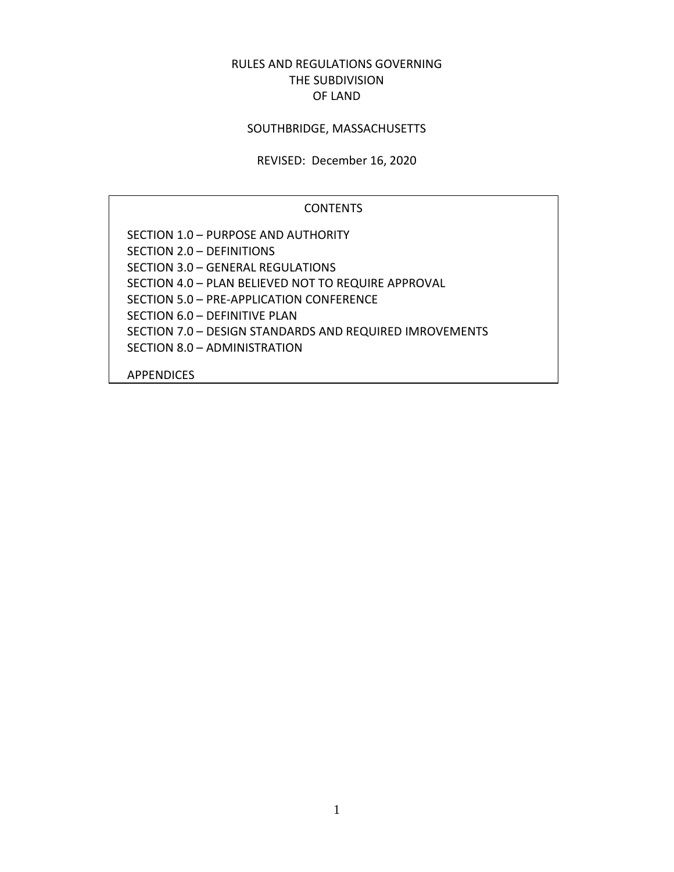### RULES AND REGULATIONS GOVERNING THE SUBDIVISION OF LAND

#### SOUTHBRIDGE, MASSACHUSETTS

REVISED: December 16, 2020

#### CONTENTS

SECTION 1.0 – PURPOSE AND AUTHORITY SECTION 2.0 – DEFINITIONS SECTION 3.0 – GENERAL REGULATIONS SECTION 4.0 – PLAN BELIEVED NOT TO REQUIRE APPROVAL SECTION 5.0 – PRE-APPLICATION CONFERENCE SECTION 6.0 – DEFINITIVE PLAN SECTION 7.0 – DESIGN STANDARDS AND REQUIRED IMROVEMENTS SECTION 8.0 – ADMINISTRATION

APPENDICES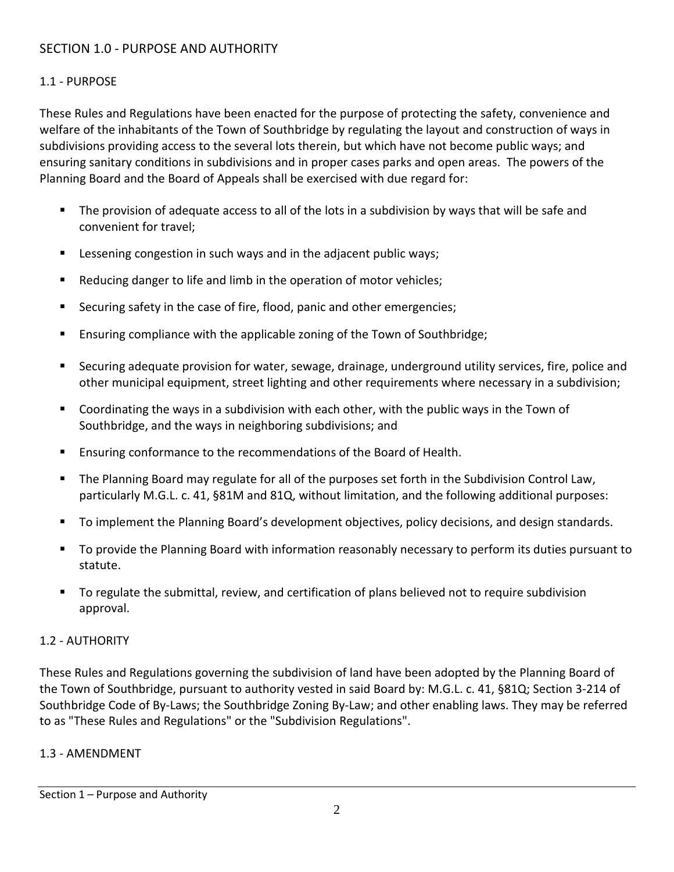# SECTION 1.0 - PURPOSE AND AUTHORITY

#### 1.1 - PURPOSE

These Rules and Regulations have been enacted for the purpose of protecting the safety, convenience and welfare of the inhabitants of the Town of Southbridge by regulating the layout and construction of ways in subdivisions providing access to the several lots therein, but which have not become public ways; and ensuring sanitary conditions in subdivisions and in proper cases parks and open areas. The powers of the Planning Board and the Board of Appeals shall be exercised with due regard for:

- The provision of adequate access to all of the lots in a subdivision by ways that will be safe and convenient for travel;
- **EXECTE:** Lessening congestion in such ways and in the adjacent public ways;
- Reducing danger to life and limb in the operation of motor vehicles;
- Securing safety in the case of fire, flood, panic and other emergencies;
- Ensuring compliance with the applicable zoning of the Town of Southbridge;
- Securing adequate provision for water, sewage, drainage, underground utility services, fire, police and other municipal equipment, street lighting and other requirements where necessary in a subdivision;
- Coordinating the ways in a subdivision with each other, with the public ways in the Town of Southbridge, and the ways in neighboring subdivisions; and
- Ensuring conformance to the recommendations of the Board of Health.
- The Planning Board may regulate for all of the purposes set forth in the Subdivision Control Law, particularly M.G.L. c. 41, §81M and 81Q, without limitation, and the following additional purposes:
- To implement the Planning Board's development objectives, policy decisions, and design standards.
- To provide the Planning Board with information reasonably necessary to perform its duties pursuant to statute.
- To regulate the submittal, review, and certification of plans believed not to require subdivision approval.

#### 1.2 - AUTHORITY

These Rules and Regulations governing the subdivision of land have been adopted by the Planning Board of the Town of Southbridge, pursuant to authority vested in said Board by: M.G.L. c. 41, §81Q; Section 3-214 of Southbridge Code of By-Laws; the Southbridge Zoning By-Law; and other enabling laws. They may be referred to as "These Rules and Regulations" or the "Subdivision Regulations".

#### 1.3 - AMENDMENT

Section 1 – Purpose and Authority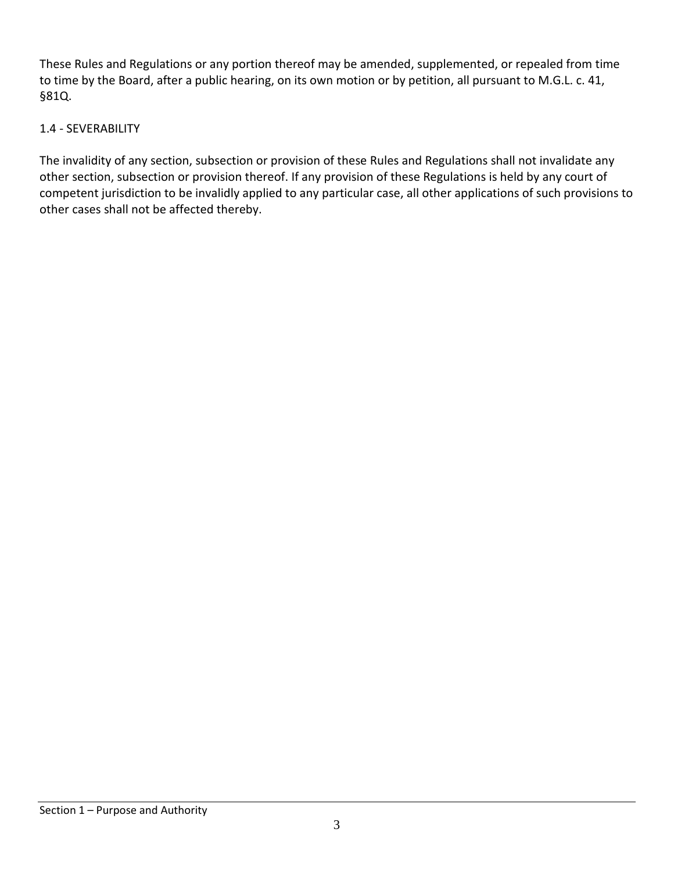These Rules and Regulations or any portion thereof may be amended, supplemented, or repealed from time to time by the Board, after a public hearing, on its own motion or by petition, all pursuant to M.G.L. c. 41, §81Q.

### 1.4 - SEVERABILITY

The invalidity of any section, subsection or provision of these Rules and Regulations shall not invalidate any other section, subsection or provision thereof. If any provision of these Regulations is held by any court of competent jurisdiction to be invalidly applied to any particular case, all other applications of such provisions to other cases shall not be affected thereby.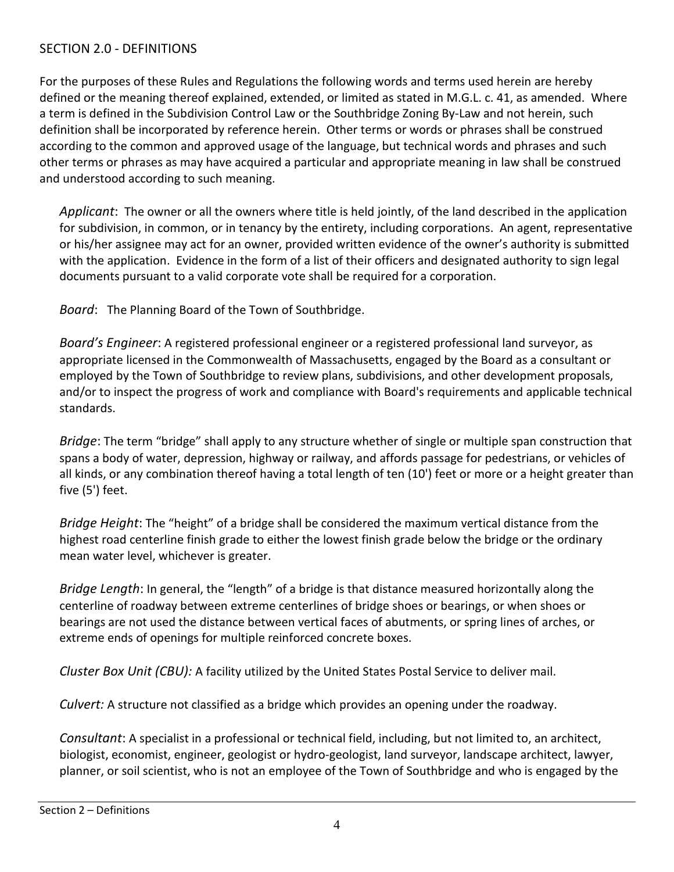### SECTION 2.0 - DEFINITIONS

For the purposes of these Rules and Regulations the following words and terms used herein are hereby defined or the meaning thereof explained, extended, or limited as stated in M.G.L. c. 41, as amended. Where a term is defined in the Subdivision Control Law or the Southbridge Zoning By-Law and not herein, such definition shall be incorporated by reference herein. Other terms or words or phrases shall be construed according to the common and approved usage of the language, but technical words and phrases and such other terms or phrases as may have acquired a particular and appropriate meaning in law shall be construed and understood according to such meaning.

*Applicant*: The owner or all the owners where title is held jointly, of the land described in the application for subdivision, in common, or in tenancy by the entirety, including corporations. An agent, representative or his/her assignee may act for an owner, provided written evidence of the owner's authority is submitted with the application. Evidence in the form of a list of their officers and designated authority to sign legal documents pursuant to a valid corporate vote shall be required for a corporation.

*Board*: The Planning Board of the Town of Southbridge.

*Board's Engineer*: A registered professional engineer or a registered professional land surveyor, as appropriate licensed in the Commonwealth of Massachusetts, engaged by the Board as a consultant or employed by the Town of Southbridge to review plans, subdivisions, and other development proposals, and/or to inspect the progress of work and compliance with Board's requirements and applicable technical standards.

*Bridge*: The term "bridge" shall apply to any structure whether of single or multiple span construction that spans a body of water, depression, highway or railway, and affords passage for pedestrians, or vehicles of all kinds, or any combination thereof having a total length of ten (10') feet or more or a height greater than five (5') feet.

*Bridge Height*: The "height" of a bridge shall be considered the maximum vertical distance from the highest road centerline finish grade to either the lowest finish grade below the bridge or the ordinary mean water level, whichever is greater.

*Bridge Length*: In general, the "length" of a bridge is that distance measured horizontally along the centerline of roadway between extreme centerlines of bridge shoes or bearings, or when shoes or bearings are not used the distance between vertical faces of abutments, or spring lines of arches, or extreme ends of openings for multiple reinforced concrete boxes.

*Cluster Box Unit (CBU):* A facility utilized by the United States Postal Service to deliver mail.

*Culvert:* A structure not classified as a bridge which provides an opening under the roadway.

*Consultant*: A specialist in a professional or technical field, including, but not limited to, an architect, biologist, economist, engineer, geologist or hydro-geologist, land surveyor, landscape architect, lawyer, planner, or soil scientist, who is not an employee of the Town of Southbridge and who is engaged by the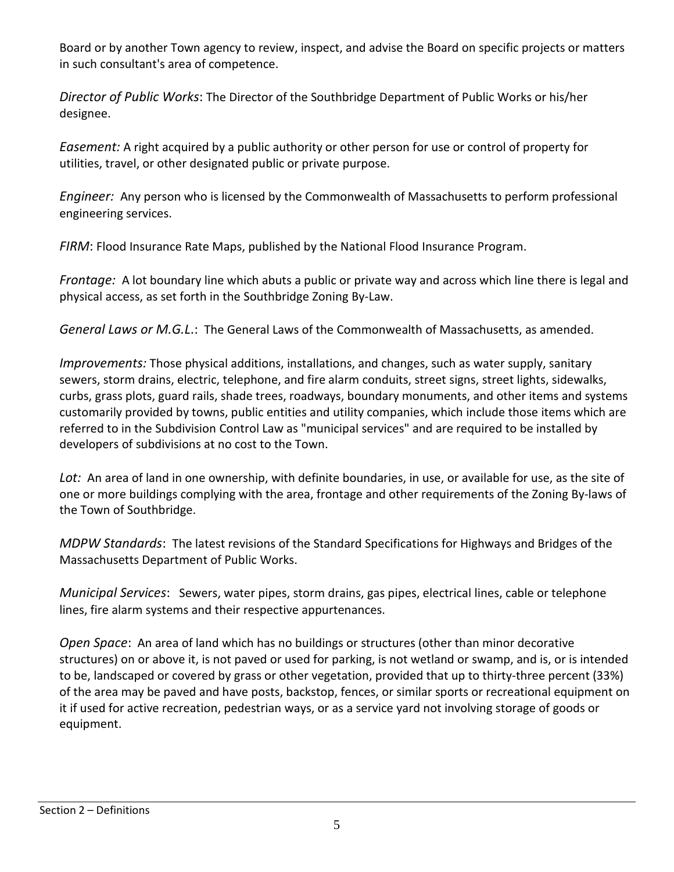Board or by another Town agency to review, inspect, and advise the Board on specific projects or matters in such consultant's area of competence.

*Director of Public Works*: The Director of the Southbridge Department of Public Works or his/her designee.

*Easement:* A right acquired by a public authority or other person for use or control of property for utilities, travel, or other designated public or private purpose.

*Engineer:* Any person who is licensed by the Commonwealth of Massachusetts to perform professional engineering services.

*FIRM*: Flood Insurance Rate Maps, published by the National Flood Insurance Program.

*Frontage:* A lot boundary line which abuts a public or private way and across which line there is legal and physical access, as set forth in the Southbridge Zoning By-Law.

*General Laws or M.G.L*.: The General Laws of the Commonwealth of Massachusetts, as amended.

*Improvements:* Those physical additions, installations, and changes, such as water supply, sanitary sewers, storm drains, electric, telephone, and fire alarm conduits, street signs, street lights, sidewalks, curbs, grass plots, guard rails, shade trees, roadways, boundary monuments, and other items and systems customarily provided by towns, public entities and utility companies, which include those items which are referred to in the Subdivision Control Law as "municipal services" and are required to be installed by developers of subdivisions at no cost to the Town.

*Lot:* An area of land in one ownership, with definite boundaries, in use, or available for use, as the site of one or more buildings complying with the area, frontage and other requirements of the Zoning By-laws of the Town of Southbridge.

*MDPW Standards*: The latest revisions of the Standard Specifications for Highways and Bridges of the Massachusetts Department of Public Works.

*Municipal Services*: Sewers, water pipes, storm drains, gas pipes, electrical lines, cable or telephone lines, fire alarm systems and their respective appurtenances.

*Open Space*: An area of land which has no buildings or structures (other than minor decorative structures) on or above it, is not paved or used for parking, is not wetland or swamp, and is, or is intended to be, landscaped or covered by grass or other vegetation, provided that up to thirty-three percent (33%) of the area may be paved and have posts, backstop, fences, or similar sports or recreational equipment on it if used for active recreation, pedestrian ways, or as a service yard not involving storage of goods or equipment.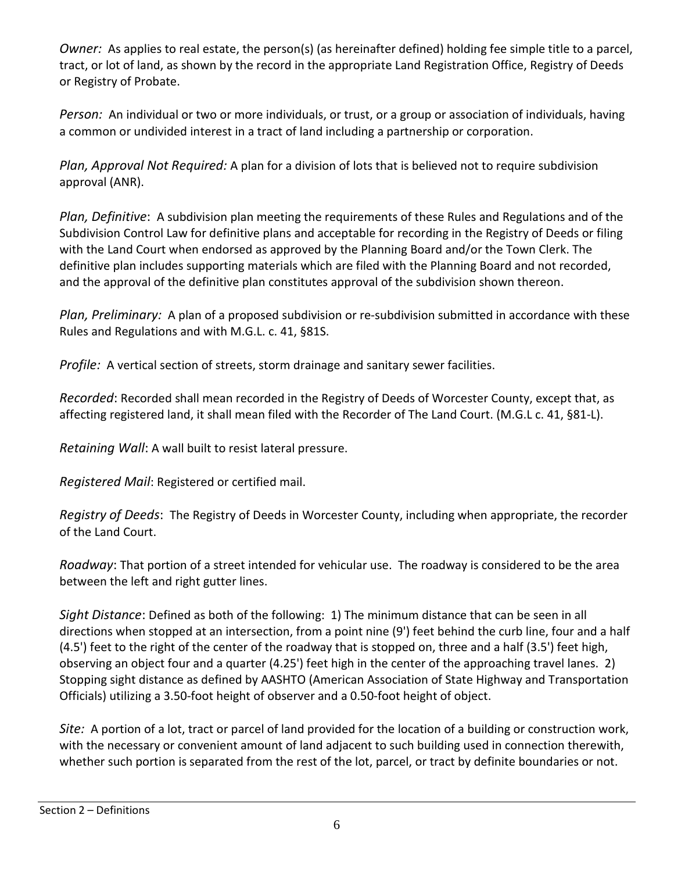*Owner:* As applies to real estate, the person(s) (as hereinafter defined) holding fee simple title to a parcel, tract, or lot of land, as shown by the record in the appropriate Land Registration Office, Registry of Deeds or Registry of Probate.

*Person:* An individual or two or more individuals, or trust, or a group or association of individuals, having a common or undivided interest in a tract of land including a partnership or corporation.

*Plan, Approval Not Required:* A plan for a division of lots that is believed not to require subdivision approval (ANR).

*Plan, Definitive*: A subdivision plan meeting the requirements of these Rules and Regulations and of the Subdivision Control Law for definitive plans and acceptable for recording in the Registry of Deeds or filing with the Land Court when endorsed as approved by the Planning Board and/or the Town Clerk. The definitive plan includes supporting materials which are filed with the Planning Board and not recorded, and the approval of the definitive plan constitutes approval of the subdivision shown thereon.

*Plan, Preliminary:* A plan of a proposed subdivision or re-subdivision submitted in accordance with these Rules and Regulations and with M.G.L. c. 41, §81S.

*Profile:* A vertical section of streets, storm drainage and sanitary sewer facilities.

*Recorded*: Recorded shall mean recorded in the Registry of Deeds of Worcester County, except that, as affecting registered land, it shall mean filed with the Recorder of The Land Court. (M.G.L c. 41, §81-L).

*Retaining Wall*: A wall built to resist lateral pressure.

*Registered Mail*: Registered or certified mail.

*Registry of Deeds*: The Registry of Deeds in Worcester County, including when appropriate, the recorder of the Land Court.

*Roadway*: That portion of a street intended for vehicular use. The roadway is considered to be the area between the left and right gutter lines.

*Sight Distance*: Defined as both of the following: 1) The minimum distance that can be seen in all directions when stopped at an intersection, from a point nine (9') feet behind the curb line, four and a half (4.5') feet to the right of the center of the roadway that is stopped on, three and a half (3.5') feet high, observing an object four and a quarter (4.25') feet high in the center of the approaching travel lanes. 2) Stopping sight distance as defined by AASHTO (American Association of State Highway and Transportation Officials) utilizing a 3.50-foot height of observer and a 0.50-foot height of object.

*Site:* A portion of a lot, tract or parcel of land provided for the location of a building or construction work, with the necessary or convenient amount of land adjacent to such building used in connection therewith, whether such portion is separated from the rest of the lot, parcel, or tract by definite boundaries or not.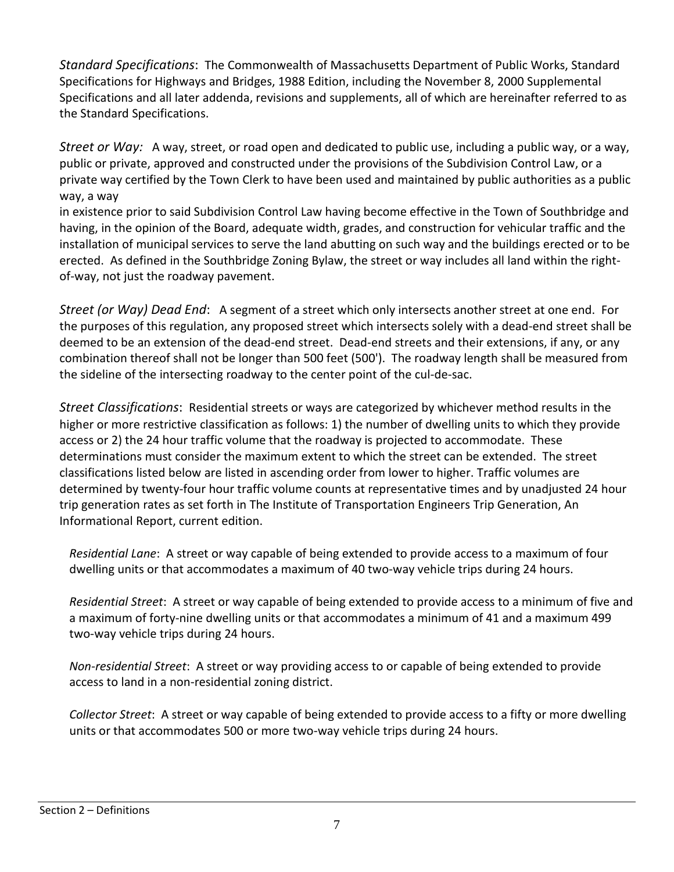*Standard Specifications*: The Commonwealth of Massachusetts Department of Public Works, Standard Specifications for Highways and Bridges, 1988 Edition, including the November 8, 2000 Supplemental Specifications and all later addenda, revisions and supplements, all of which are hereinafter referred to as the Standard Specifications.

*Street or Way:* A way, street, or road open and dedicated to public use, including a public way, or a way, public or private, approved and constructed under the provisions of the Subdivision Control Law, or a private way certified by the Town Clerk to have been used and maintained by public authorities as a public way, a way

in existence prior to said Subdivision Control Law having become effective in the Town of Southbridge and having, in the opinion of the Board, adequate width, grades, and construction for vehicular traffic and the installation of municipal services to serve the land abutting on such way and the buildings erected or to be erected. As defined in the Southbridge Zoning Bylaw, the street or way includes all land within the rightof-way, not just the roadway pavement.

*Street (or Way) Dead End*: A segment of a street which only intersects another street at one end. For the purposes of this regulation, any proposed street which intersects solely with a dead-end street shall be deemed to be an extension of the dead-end street. Dead-end streets and their extensions, if any, or any combination thereof shall not be longer than 500 feet (500'). The roadway length shall be measured from the sideline of the intersecting roadway to the center point of the cul-de-sac.

*Street Classifications*: Residential streets or ways are categorized by whichever method results in the higher or more restrictive classification as follows: 1) the number of dwelling units to which they provide access or 2) the 24 hour traffic volume that the roadway is projected to accommodate. These determinations must consider the maximum extent to which the street can be extended. The street classifications listed below are listed in ascending order from lower to higher. Traffic volumes are determined by twenty-four hour traffic volume counts at representative times and by unadjusted 24 hour trip generation rates as set forth in The Institute of Transportation Engineers Trip Generation, An Informational Report, current edition.

*Residential Lane*: A street or way capable of being extended to provide access to a maximum of four dwelling units or that accommodates a maximum of 40 two-way vehicle trips during 24 hours.

*Residential Street*: A street or way capable of being extended to provide access to a minimum of five and a maximum of forty-nine dwelling units or that accommodates a minimum of 41 and a maximum 499 two-way vehicle trips during 24 hours.

*Non-residential Street*: A street or way providing access to or capable of being extended to provide access to land in a non-residential zoning district.

*Collector Street*: A street or way capable of being extended to provide access to a fifty or more dwelling units or that accommodates 500 or more two-way vehicle trips during 24 hours.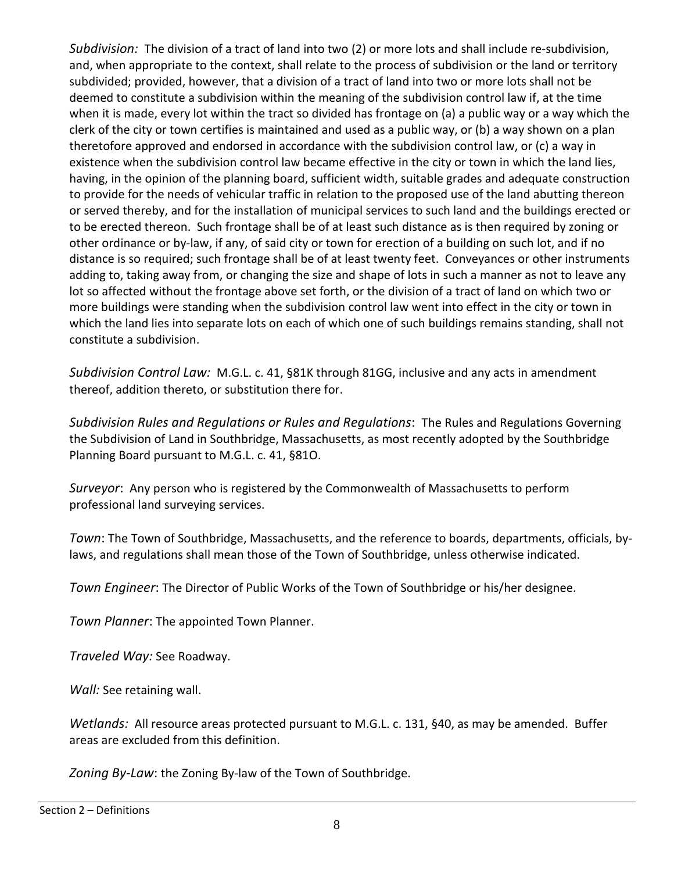*Subdivision:* The division of a tract of land into two (2) or more lots and shall include re-subdivision, and, when appropriate to the context, shall relate to the process of subdivision or the land or territory subdivided; provided, however, that a division of a tract of land into two or more lots shall not be deemed to constitute a subdivision within the meaning of the subdivision control law if, at the time when it is made, every lot within the tract so divided has frontage on (a) a public way or a way which the clerk of the city or town certifies is maintained and used as a public way, or (b) a way shown on a plan theretofore approved and endorsed in accordance with the subdivision control law, or (c) a way in existence when the subdivision control law became effective in the city or town in which the land lies, having, in the opinion of the planning board, sufficient width, suitable grades and adequate construction to provide for the needs of vehicular traffic in relation to the proposed use of the land abutting thereon or served thereby, and for the installation of municipal services to such land and the buildings erected or to be erected thereon. Such frontage shall be of at least such distance as is then required by zoning or other ordinance or by-law, if any, of said city or town for erection of a building on such lot, and if no distance is so required; such frontage shall be of at least twenty feet. Conveyances or other instruments adding to, taking away from, or changing the size and shape of lots in such a manner as not to leave any lot so affected without the frontage above set forth, or the division of a tract of land on which two or more buildings were standing when the subdivision control law went into effect in the city or town in which the land lies into separate lots on each of which one of such buildings remains standing, shall not constitute a subdivision.

*Subdivision Control Law:* M.G.L. c. 41, §81K through 81GG, inclusive and any acts in amendment thereof, addition thereto, or substitution there for.

*Subdivision Rules and Regulations or Rules and Regulations*: The Rules and Regulations Governing the Subdivision of Land in Southbridge, Massachusetts, as most recently adopted by the Southbridge Planning Board pursuant to M.G.L. c. 41, §81O.

*Surveyor*: Any person who is registered by the Commonwealth of Massachusetts to perform professional land surveying services.

*Town*: The Town of Southbridge, Massachusetts, and the reference to boards, departments, officials, bylaws, and regulations shall mean those of the Town of Southbridge, unless otherwise indicated.

*Town Engineer*: The Director of Public Works of the Town of Southbridge or his/her designee.

*Town Planner*: The appointed Town Planner.

*Traveled Way:* See Roadway.

*Wall:* See retaining wall.

*Wetlands:* All resource areas protected pursuant to M.G.L. c. 131, §40, as may be amended. Buffer areas are excluded from this definition.

*Zoning By-Law*: the Zoning By-law of the Town of Southbridge.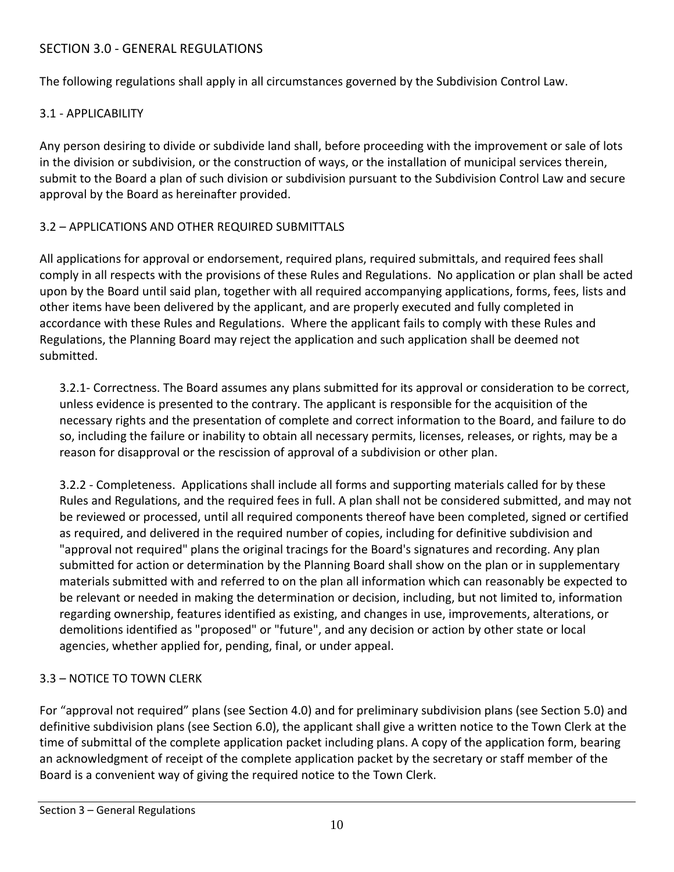# SECTION 3.0 - GENERAL REGULATIONS

The following regulations shall apply in all circumstances governed by the Subdivision Control Law.

### 3.1 - APPLICABILITY

Any person desiring to divide or subdivide land shall, before proceeding with the improvement or sale of lots in the division or subdivision, or the construction of ways, or the installation of municipal services therein, submit to the Board a plan of such division or subdivision pursuant to the Subdivision Control Law and secure approval by the Board as hereinafter provided.

# 3.2 – APPLICATIONS AND OTHER REQUIRED SUBMITTALS

All applications for approval or endorsement, required plans, required submittals, and required fees shall comply in all respects with the provisions of these Rules and Regulations. No application or plan shall be acted upon by the Board until said plan, together with all required accompanying applications, forms, fees, lists and other items have been delivered by the applicant, and are properly executed and fully completed in accordance with these Rules and Regulations. Where the applicant fails to comply with these Rules and Regulations, the Planning Board may reject the application and such application shall be deemed not submitted.

3.2.1- Correctness. The Board assumes any plans submitted for its approval or consideration to be correct, unless evidence is presented to the contrary. The applicant is responsible for the acquisition of the necessary rights and the presentation of complete and correct information to the Board, and failure to do so, including the failure or inability to obtain all necessary permits, licenses, releases, or rights, may be a reason for disapproval or the rescission of approval of a subdivision or other plan.

3.2.2 - Completeness. Applications shall include all forms and supporting materials called for by these Rules and Regulations, and the required fees in full. A plan shall not be considered submitted, and may not be reviewed or processed, until all required components thereof have been completed, signed or certified as required, and delivered in the required number of copies, including for definitive subdivision and "approval not required" plans the original tracings for the Board's signatures and recording. Any plan submitted for action or determination by the Planning Board shall show on the plan or in supplementary materials submitted with and referred to on the plan all information which can reasonably be expected to be relevant or needed in making the determination or decision, including, but not limited to, information regarding ownership, features identified as existing, and changes in use, improvements, alterations, or demolitions identified as "proposed" or "future", and any decision or action by other state or local agencies, whether applied for, pending, final, or under appeal.

# 3.3 – NOTICE TO TOWN CLERK

For "approval not required" plans (see Section 4.0) and for preliminary subdivision plans (see Section 5.0) and definitive subdivision plans (see Section 6.0), the applicant shall give a written notice to the Town Clerk at the time of submittal of the complete application packet including plans. A copy of the application form, bearing an acknowledgment of receipt of the complete application packet by the secretary or staff member of the Board is a convenient way of giving the required notice to the Town Clerk.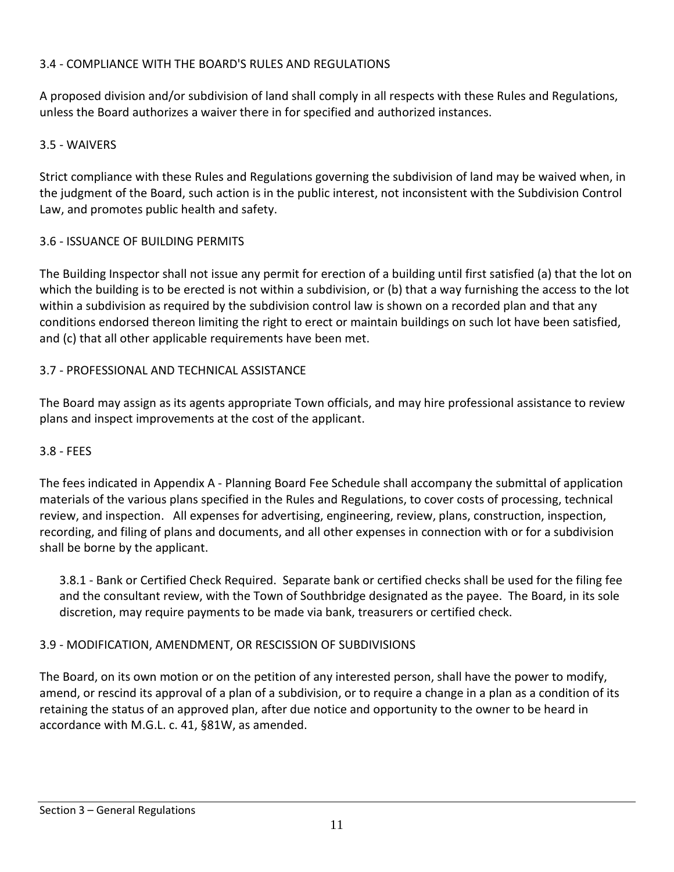### 3.4 - COMPLIANCE WITH THE BOARD'S RULES AND REGULATIONS

A proposed division and/or subdivision of land shall comply in all respects with these Rules and Regulations, unless the Board authorizes a waiver there in for specified and authorized instances.

### 3.5 - WAIVERS

Strict compliance with these Rules and Regulations governing the subdivision of land may be waived when, in the judgment of the Board, such action is in the public interest, not inconsistent with the Subdivision Control Law, and promotes public health and safety.

### 3.6 - ISSUANCE OF BUILDING PERMITS

The Building Inspector shall not issue any permit for erection of a building until first satisfied (a) that the lot on which the building is to be erected is not within a subdivision, or (b) that a way furnishing the access to the lot within a subdivision as required by the subdivision control law is shown on a recorded plan and that any conditions endorsed thereon limiting the right to erect or maintain buildings on such lot have been satisfied, and (c) that all other applicable requirements have been met.

### 3.7 - PROFESSIONAL AND TECHNICAL ASSISTANCE

The Board may assign as its agents appropriate Town officials, and may hire professional assistance to review plans and inspect improvements at the cost of the applicant.

### 3.8 - FEES

The fees indicated in Appendix A - Planning Board Fee Schedule shall accompany the submittal of application materials of the various plans specified in the Rules and Regulations, to cover costs of processing, technical review, and inspection. All expenses for advertising, engineering, review, plans, construction, inspection, recording, and filing of plans and documents, and all other expenses in connection with or for a subdivision shall be borne by the applicant.

3.8.1 - Bank or Certified Check Required. Separate bank or certified checks shall be used for the filing fee and the consultant review, with the Town of Southbridge designated as the payee. The Board, in its sole discretion, may require payments to be made via bank, treasurers or certified check.

# 3.9 - MODIFICATION, AMENDMENT, OR RESCISSION OF SUBDIVISIONS

The Board, on its own motion or on the petition of any interested person, shall have the power to modify, amend, or rescind its approval of a plan of a subdivision, or to require a change in a plan as a condition of its retaining the status of an approved plan, after due notice and opportunity to the owner to be heard in accordance with M.G.L. c. 41, §81W, as amended.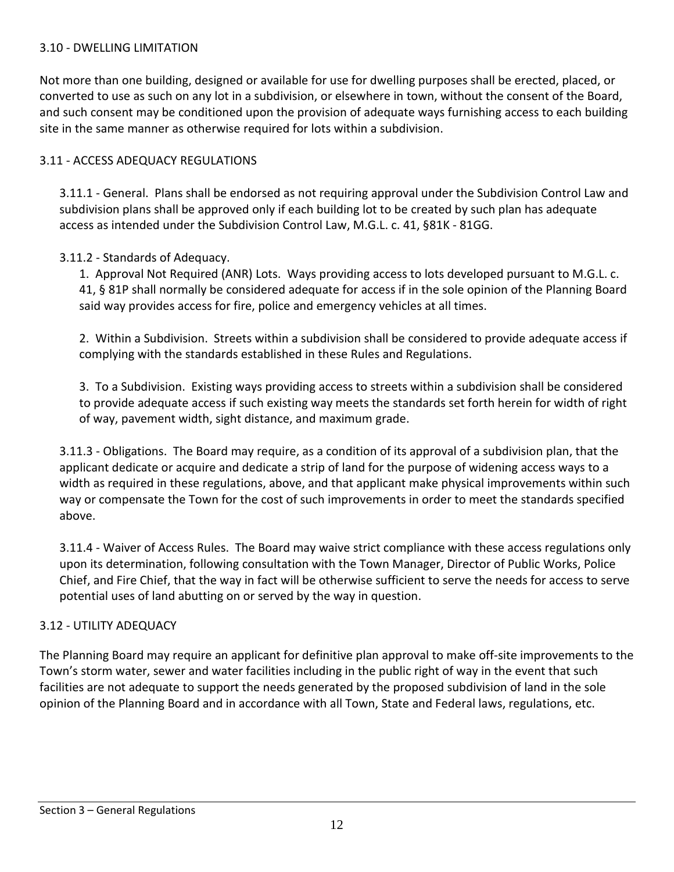### 3.10 - DWELLING LIMITATION

Not more than one building, designed or available for use for dwelling purposes shall be erected, placed, or converted to use as such on any lot in a subdivision, or elsewhere in town, without the consent of the Board, and such consent may be conditioned upon the provision of adequate ways furnishing access to each building site in the same manner as otherwise required for lots within a subdivision.

### 3.11 - ACCESS ADEQUACY REGULATIONS

3.11.1 - General. Plans shall be endorsed as not requiring approval under the Subdivision Control Law and subdivision plans shall be approved only if each building lot to be created by such plan has adequate access as intended under the Subdivision Control Law, M.G.L. c. 41, §81K - 81GG.

### 3.11.2 - Standards of Adequacy.

1. Approval Not Required (ANR) Lots. Ways providing access to lots developed pursuant to M.G.L. c. 41, § 81P shall normally be considered adequate for access if in the sole opinion of the Planning Board said way provides access for fire, police and emergency vehicles at all times.

2. Within a Subdivision. Streets within a subdivision shall be considered to provide adequate access if complying with the standards established in these Rules and Regulations.

3. To a Subdivision. Existing ways providing access to streets within a subdivision shall be considered to provide adequate access if such existing way meets the standards set forth herein for width of right of way, pavement width, sight distance, and maximum grade.

3.11.3 - Obligations. The Board may require, as a condition of its approval of a subdivision plan, that the applicant dedicate or acquire and dedicate a strip of land for the purpose of widening access ways to a width as required in these regulations, above, and that applicant make physical improvements within such way or compensate the Town for the cost of such improvements in order to meet the standards specified above.

3.11.4 - Waiver of Access Rules. The Board may waive strict compliance with these access regulations only upon its determination, following consultation with the Town Manager, Director of Public Works, Police Chief, and Fire Chief, that the way in fact will be otherwise sufficient to serve the needs for access to serve potential uses of land abutting on or served by the way in question.

### 3.12 - UTILITY ADEQUACY

The Planning Board may require an applicant for definitive plan approval to make off-site improvements to the Town's storm water, sewer and water facilities including in the public right of way in the event that such facilities are not adequate to support the needs generated by the proposed subdivision of land in the sole opinion of the Planning Board and in accordance with all Town, State and Federal laws, regulations, etc.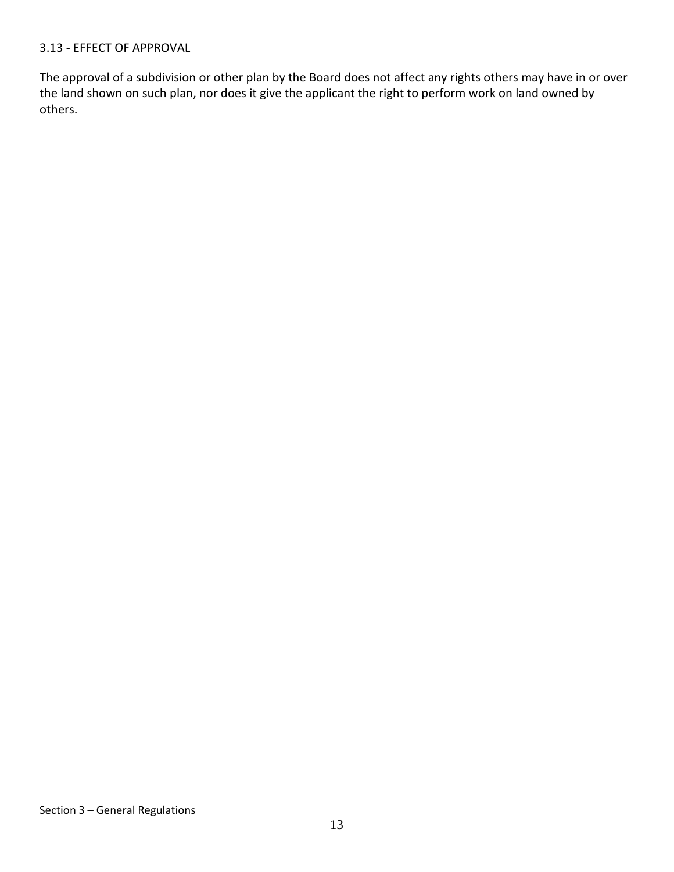### 3.13 - EFFECT OF APPROVAL

The approval of a subdivision or other plan by the Board does not affect any rights others may have in or over the land shown on such plan, nor does it give the applicant the right to perform work on land owned by others.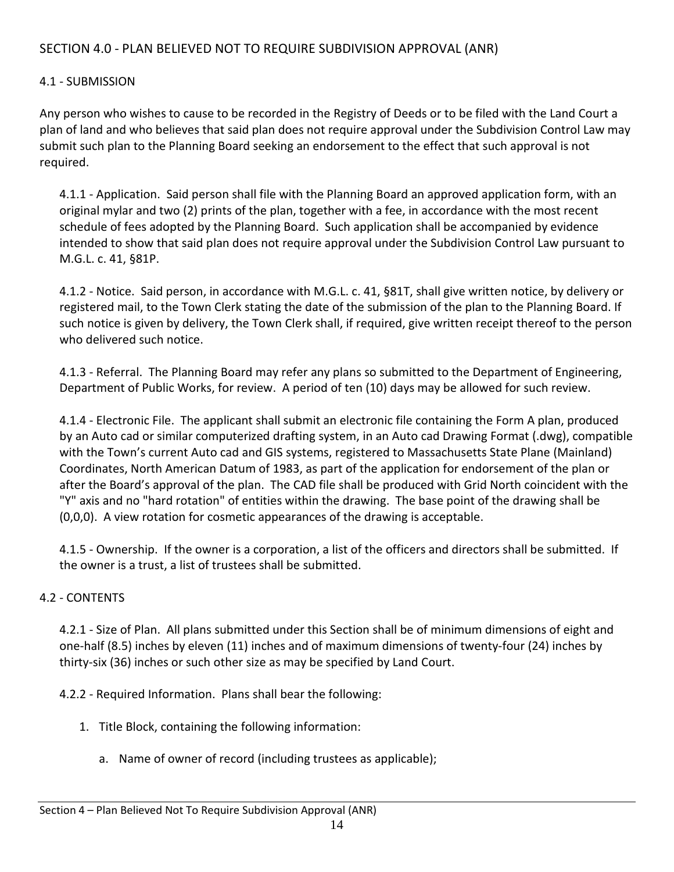# SECTION 4.0 - PLAN BELIEVED NOT TO REQUIRE SUBDIVISION APPROVAL (ANR)

### 4.1 - SUBMISSION

Any person who wishes to cause to be recorded in the Registry of Deeds or to be filed with the Land Court a plan of land and who believes that said plan does not require approval under the Subdivision Control Law may submit such plan to the Planning Board seeking an endorsement to the effect that such approval is not required.

4.1.1 - Application. Said person shall file with the Planning Board an approved application form, with an original mylar and two (2) prints of the plan, together with a fee, in accordance with the most recent schedule of fees adopted by the Planning Board. Such application shall be accompanied by evidence intended to show that said plan does not require approval under the Subdivision Control Law pursuant to M.G.L. c. 41, §81P.

4.1.2 - Notice. Said person, in accordance with M.G.L. c. 41, §81T, shall give written notice, by delivery or registered mail, to the Town Clerk stating the date of the submission of the plan to the Planning Board. If such notice is given by delivery, the Town Clerk shall, if required, give written receipt thereof to the person who delivered such notice.

4.1.3 - Referral. The Planning Board may refer any plans so submitted to the Department of Engineering, Department of Public Works, for review. A period of ten (10) days may be allowed for such review.

4.1.4 - Electronic File. The applicant shall submit an electronic file containing the Form A plan, produced by an Auto cad or similar computerized drafting system, in an Auto cad Drawing Format (.dwg), compatible with the Town's current Auto cad and GIS systems, registered to Massachusetts State Plane (Mainland) Coordinates, North American Datum of 1983, as part of the application for endorsement of the plan or after the Board's approval of the plan. The CAD file shall be produced with Grid North coincident with the "Y" axis and no "hard rotation" of entities within the drawing. The base point of the drawing shall be (0,0,0). A view rotation for cosmetic appearances of the drawing is acceptable.

4.1.5 - Ownership. If the owner is a corporation, a list of the officers and directors shall be submitted. If the owner is a trust, a list of trustees shall be submitted.

### 4.2 - CONTENTS

4.2.1 - Size of Plan. All plans submitted under this Section shall be of minimum dimensions of eight and one-half (8.5) inches by eleven (11) inches and of maximum dimensions of twenty-four (24) inches by thirty-six (36) inches or such other size as may be specified by Land Court.

4.2.2 - Required Information. Plans shall bear the following:

- 1. Title Block, containing the following information:
	- a. Name of owner of record (including trustees as applicable);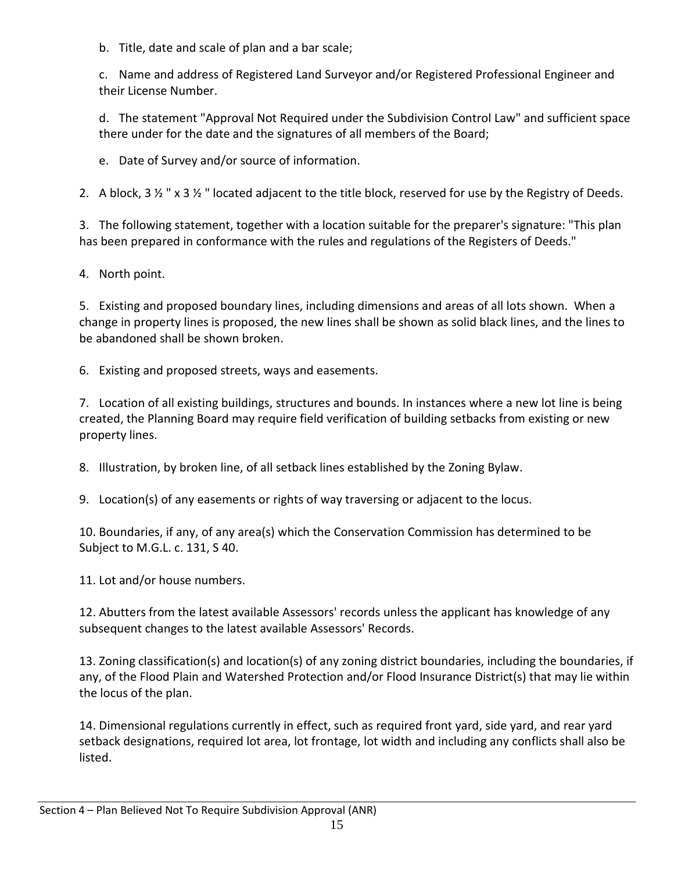b. Title, date and scale of plan and a bar scale;

c. Name and address of Registered Land Surveyor and/or Registered Professional Engineer and their License Number.

d. The statement "Approval Not Required under the Subdivision Control Law" and sufficient space there under for the date and the signatures of all members of the Board;

e. Date of Survey and/or source of information.

2. A block, 3  $\frac{1}{2}$  " x 3  $\frac{1}{2}$  " located adjacent to the title block, reserved for use by the Registry of Deeds.

3. The following statement, together with a location suitable for the preparer's signature: "This plan has been prepared in conformance with the rules and regulations of the Registers of Deeds."

4. North point.

5. Existing and proposed boundary lines, including dimensions and areas of all lots shown. When a change in property lines is proposed, the new lines shall be shown as solid black lines, and the lines to be abandoned shall be shown broken.

6. Existing and proposed streets, ways and easements.

7. Location of all existing buildings, structures and bounds. In instances where a new lot line is being created, the Planning Board may require field verification of building setbacks from existing or new property lines.

8. Illustration, by broken line, of all setback lines established by the Zoning Bylaw.

9. Location(s) of any easements or rights of way traversing or adjacent to the locus.

10. Boundaries, if any, of any area(s) which the Conservation Commission has determined to be Subject to M.G.L. c. 131, S 40.

11. Lot and/or house numbers.

12. Abutters from the latest available Assessors' records unless the applicant has knowledge of any subsequent changes to the latest available Assessors' Records.

13. Zoning classification(s) and location(s) of any zoning district boundaries, including the boundaries, if any, of the Flood Plain and Watershed Protection and/or Flood Insurance District(s) that may lie within the locus of the plan.

14. Dimensional regulations currently in effect, such as required front yard, side yard, and rear yard setback designations, required lot area, lot frontage, lot width and including any conflicts shall also be listed.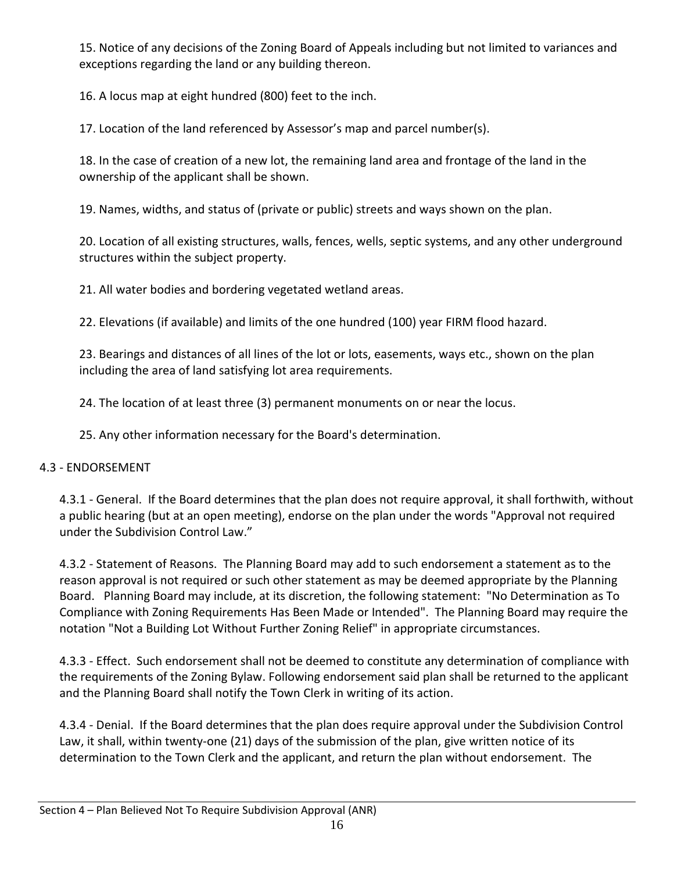15. Notice of any decisions of the Zoning Board of Appeals including but not limited to variances and exceptions regarding the land or any building thereon.

16. A locus map at eight hundred (800) feet to the inch.

17. Location of the land referenced by Assessor's map and parcel number(s).

18. In the case of creation of a new lot, the remaining land area and frontage of the land in the ownership of the applicant shall be shown.

19. Names, widths, and status of (private or public) streets and ways shown on the plan.

20. Location of all existing structures, walls, fences, wells, septic systems, and any other underground structures within the subject property.

21. All water bodies and bordering vegetated wetland areas.

22. Elevations (if available) and limits of the one hundred (100) year FIRM flood hazard.

23. Bearings and distances of all lines of the lot or lots, easements, ways etc., shown on the plan including the area of land satisfying lot area requirements.

24. The location of at least three (3) permanent monuments on or near the locus.

25. Any other information necessary for the Board's determination.

# 4.3 - ENDORSEMENT

4.3.1 - General. If the Board determines that the plan does not require approval, it shall forthwith, without a public hearing (but at an open meeting), endorse on the plan under the words "Approval not required under the Subdivision Control Law."

4.3.2 - Statement of Reasons. The Planning Board may add to such endorsement a statement as to the reason approval is not required or such other statement as may be deemed appropriate by the Planning Board. Planning Board may include, at its discretion, the following statement: "No Determination as To Compliance with Zoning Requirements Has Been Made or Intended". The Planning Board may require the notation "Not a Building Lot Without Further Zoning Relief" in appropriate circumstances.

4.3.3 - Effect. Such endorsement shall not be deemed to constitute any determination of compliance with the requirements of the Zoning Bylaw. Following endorsement said plan shall be returned to the applicant and the Planning Board shall notify the Town Clerk in writing of its action.

4.3.4 - Denial. If the Board determines that the plan does require approval under the Subdivision Control Law, it shall, within twenty-one (21) days of the submission of the plan, give written notice of its determination to the Town Clerk and the applicant, and return the plan without endorsement. The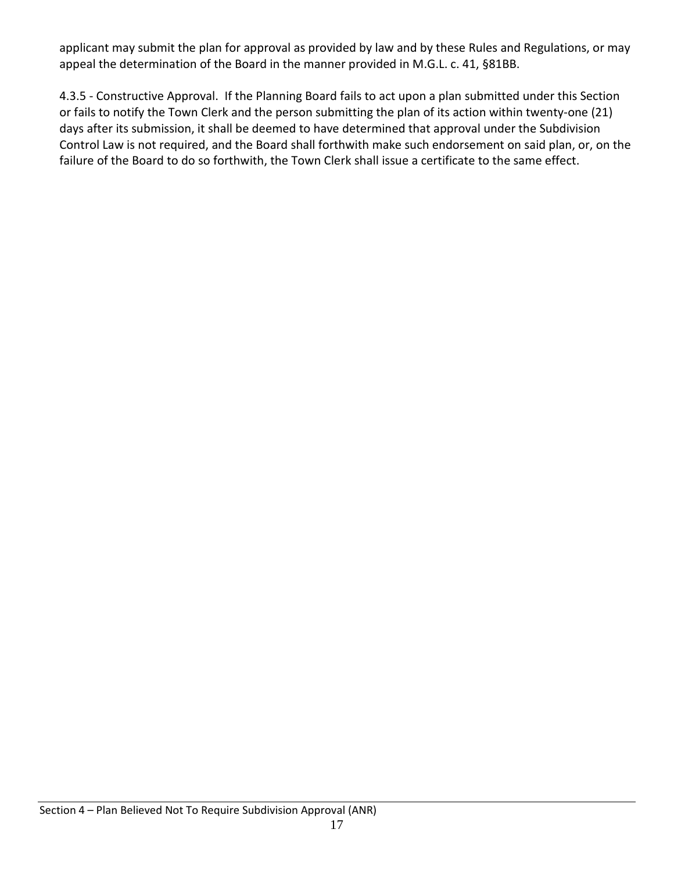applicant may submit the plan for approval as provided by law and by these Rules and Regulations, or may appeal the determination of the Board in the manner provided in M.G.L. c. 41, §81BB.

4.3.5 - Constructive Approval. If the Planning Board fails to act upon a plan submitted under this Section or fails to notify the Town Clerk and the person submitting the plan of its action within twenty-one (21) days after its submission, it shall be deemed to have determined that approval under the Subdivision Control Law is not required, and the Board shall forthwith make such endorsement on said plan, or, on the failure of the Board to do so forthwith, the Town Clerk shall issue a certificate to the same effect.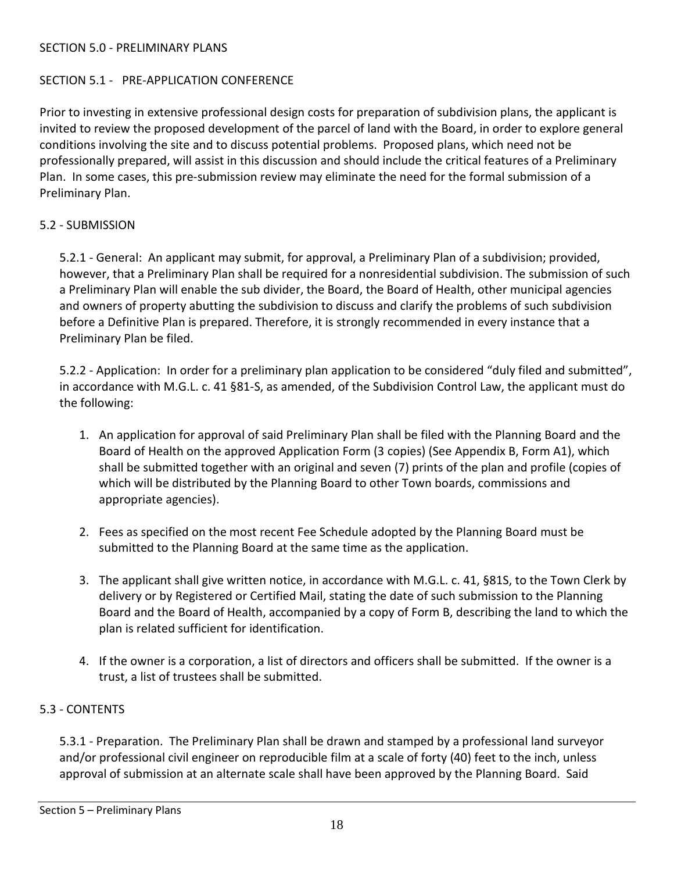#### SECTION 5.0 - PRELIMINARY PLANS

#### SECTION 5.1 - PRE-APPLICATION CONFERENCE

Prior to investing in extensive professional design costs for preparation of subdivision plans, the applicant is invited to review the proposed development of the parcel of land with the Board, in order to explore general conditions involving the site and to discuss potential problems. Proposed plans, which need not be professionally prepared, will assist in this discussion and should include the critical features of a Preliminary Plan. In some cases, this pre-submission review may eliminate the need for the formal submission of a Preliminary Plan.

#### 5.2 - SUBMISSION

5.2.1 - General: An applicant may submit, for approval, a Preliminary Plan of a subdivision; provided, however, that a Preliminary Plan shall be required for a nonresidential subdivision. The submission of such a Preliminary Plan will enable the sub divider, the Board, the Board of Health, other municipal agencies and owners of property abutting the subdivision to discuss and clarify the problems of such subdivision before a Definitive Plan is prepared. Therefore, it is strongly recommended in every instance that a Preliminary Plan be filed.

5.2.2 - Application: In order for a preliminary plan application to be considered "duly filed and submitted", in accordance with M.G.L. c. 41 §81-S, as amended, of the Subdivision Control Law, the applicant must do the following:

- 1. An application for approval of said Preliminary Plan shall be filed with the Planning Board and the Board of Health on the approved Application Form (3 copies) (See Appendix B, Form A1), which shall be submitted together with an original and seven (7) prints of the plan and profile (copies of which will be distributed by the Planning Board to other Town boards, commissions and appropriate agencies).
- 2. Fees as specified on the most recent Fee Schedule adopted by the Planning Board must be submitted to the Planning Board at the same time as the application.
- 3. The applicant shall give written notice, in accordance with M.G.L. c. 41, §81S, to the Town Clerk by delivery or by Registered or Certified Mail, stating the date of such submission to the Planning Board and the Board of Health, accompanied by a copy of Form B, describing the land to which the plan is related sufficient for identification.
- 4. If the owner is a corporation, a list of directors and officers shall be submitted. If the owner is a trust, a list of trustees shall be submitted.

### 5.3 - CONTENTS

5.3.1 - Preparation. The Preliminary Plan shall be drawn and stamped by a professional land surveyor and/or professional civil engineer on reproducible film at a scale of forty (40) feet to the inch, unless approval of submission at an alternate scale shall have been approved by the Planning Board. Said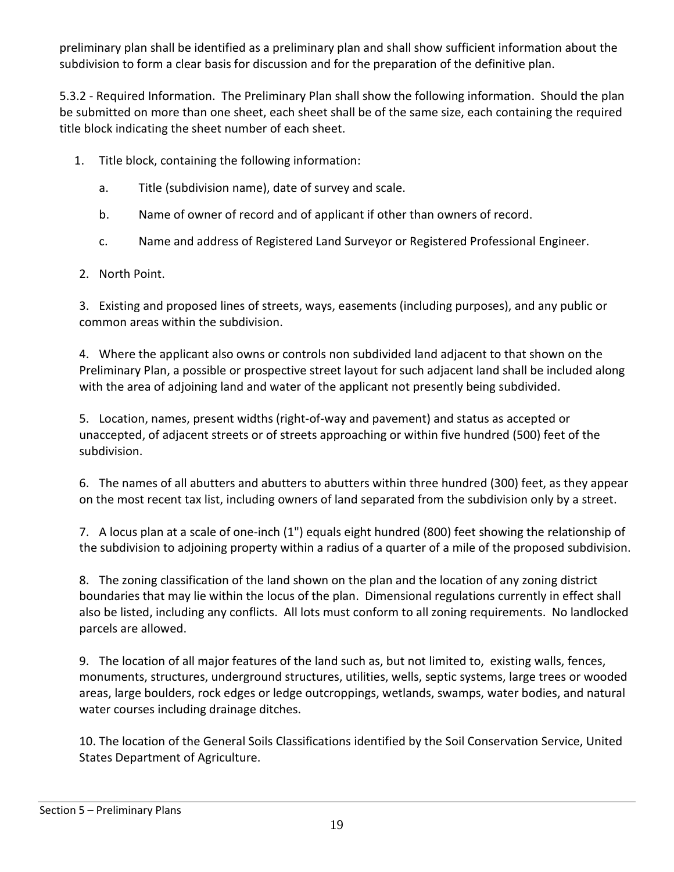preliminary plan shall be identified as a preliminary plan and shall show sufficient information about the subdivision to form a clear basis for discussion and for the preparation of the definitive plan.

5.3.2 - Required Information. The Preliminary Plan shall show the following information. Should the plan be submitted on more than one sheet, each sheet shall be of the same size, each containing the required title block indicating the sheet number of each sheet.

1. Title block, containing the following information:

- a. Title (subdivision name), date of survey and scale.
- b. Name of owner of record and of applicant if other than owners of record.
- c. Name and address of Registered Land Surveyor or Registered Professional Engineer.
- 2. North Point.

3. Existing and proposed lines of streets, ways, easements (including purposes), and any public or common areas within the subdivision.

4. Where the applicant also owns or controls non subdivided land adjacent to that shown on the Preliminary Plan, a possible or prospective street layout for such adjacent land shall be included along with the area of adjoining land and water of the applicant not presently being subdivided.

5. Location, names, present widths (right-of-way and pavement) and status as accepted or unaccepted, of adjacent streets or of streets approaching or within five hundred (500) feet of the subdivision.

6. The names of all abutters and abutters to abutters within three hundred (300) feet, as they appear on the most recent tax list, including owners of land separated from the subdivision only by a street.

7. A locus plan at a scale of one-inch (1") equals eight hundred (800) feet showing the relationship of the subdivision to adjoining property within a radius of a quarter of a mile of the proposed subdivision.

8. The zoning classification of the land shown on the plan and the location of any zoning district boundaries that may lie within the locus of the plan. Dimensional regulations currently in effect shall also be listed, including any conflicts. All lots must conform to all zoning requirements. No landlocked parcels are allowed.

9. The location of all major features of the land such as, but not limited to, existing walls, fences, monuments, structures, underground structures, utilities, wells, septic systems, large trees or wooded areas, large boulders, rock edges or ledge outcroppings, wetlands, swamps, water bodies, and natural water courses including drainage ditches.

10. The location of the General Soils Classifications identified by the Soil Conservation Service, United States Department of Agriculture.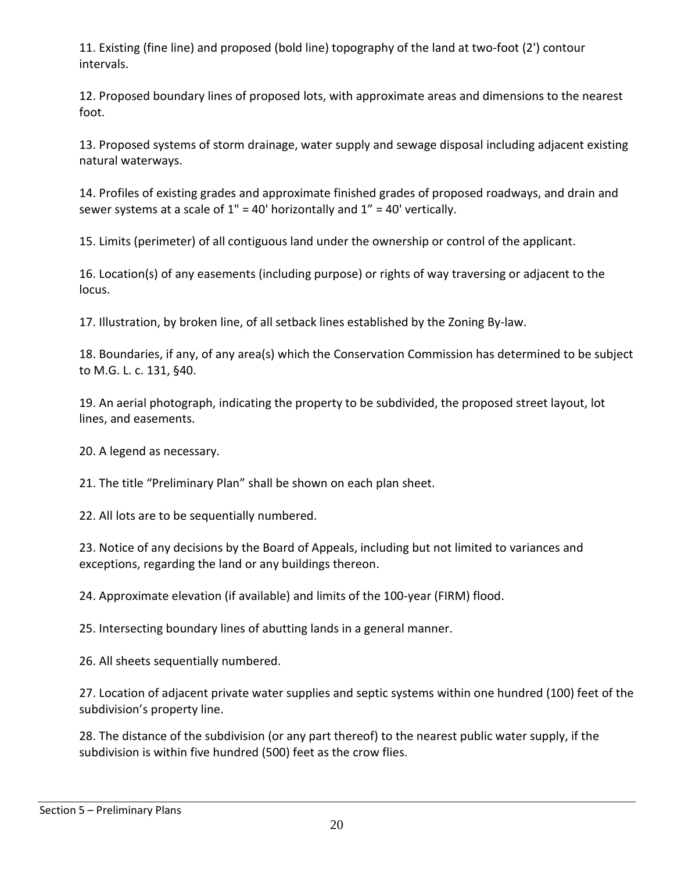11. Existing (fine line) and proposed (bold line) topography of the land at two-foot (2') contour intervals.

12. Proposed boundary lines of proposed lots, with approximate areas and dimensions to the nearest foot.

13. Proposed systems of storm drainage, water supply and sewage disposal including adjacent existing natural waterways.

14. Profiles of existing grades and approximate finished grades of proposed roadways, and drain and sewer systems at a scale of  $1" = 40'$  horizontally and  $1" = 40'$  vertically.

15. Limits (perimeter) of all contiguous land under the ownership or control of the applicant.

16. Location(s) of any easements (including purpose) or rights of way traversing or adjacent to the locus.

17. Illustration, by broken line, of all setback lines established by the Zoning By-law.

18. Boundaries, if any, of any area(s) which the Conservation Commission has determined to be subject to M.G. L. c. 131, §40.

19. An aerial photograph, indicating the property to be subdivided, the proposed street layout, lot lines, and easements.

20. A legend as necessary.

21. The title "Preliminary Plan" shall be shown on each plan sheet.

22. All lots are to be sequentially numbered.

23. Notice of any decisions by the Board of Appeals, including but not limited to variances and exceptions, regarding the land or any buildings thereon.

24. Approximate elevation (if available) and limits of the 100-year (FIRM) flood.

25. Intersecting boundary lines of abutting lands in a general manner.

26. All sheets sequentially numbered.

27. Location of adjacent private water supplies and septic systems within one hundred (100) feet of the subdivision's property line.

28. The distance of the subdivision (or any part thereof) to the nearest public water supply, if the subdivision is within five hundred (500) feet as the crow flies.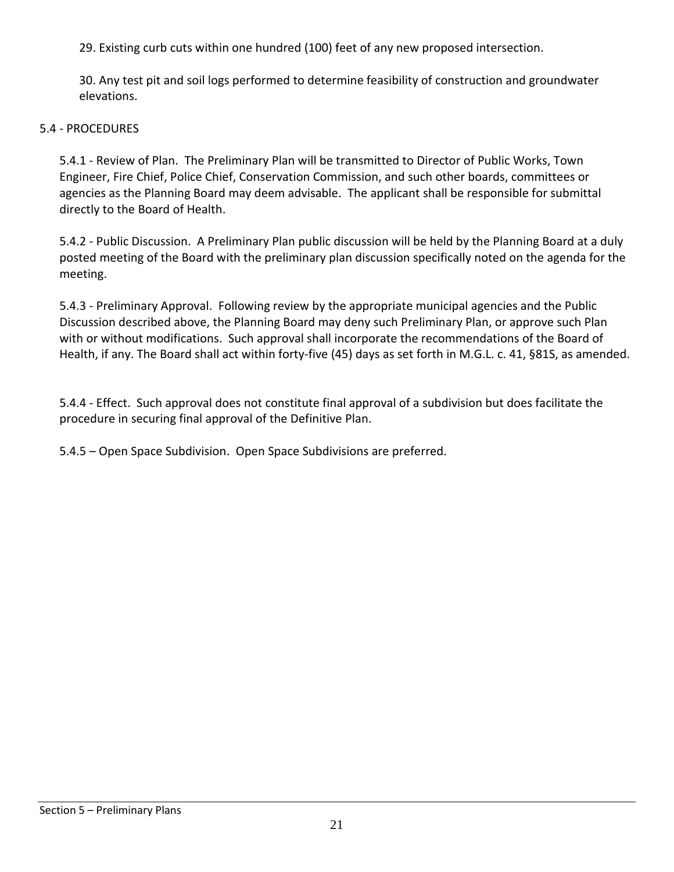29. Existing curb cuts within one hundred (100) feet of any new proposed intersection.

30. Any test pit and soil logs performed to determine feasibility of construction and groundwater elevations.

### 5.4 - PROCEDURES

5.4.1 - Review of Plan. The Preliminary Plan will be transmitted to Director of Public Works, Town Engineer, Fire Chief, Police Chief, Conservation Commission, and such other boards, committees or agencies as the Planning Board may deem advisable. The applicant shall be responsible for submittal directly to the Board of Health.

5.4.2 - Public Discussion. A Preliminary Plan public discussion will be held by the Planning Board at a duly posted meeting of the Board with the preliminary plan discussion specifically noted on the agenda for the meeting.

5.4.3 - Preliminary Approval. Following review by the appropriate municipal agencies and the Public Discussion described above, the Planning Board may deny such Preliminary Plan, or approve such Plan with or without modifications. Such approval shall incorporate the recommendations of the Board of Health, if any. The Board shall act within forty-five (45) days as set forth in M.G.L. c. 41, §81S, as amended.

5.4.4 - Effect. Such approval does not constitute final approval of a subdivision but does facilitate the procedure in securing final approval of the Definitive Plan.

5.4.5 – Open Space Subdivision. Open Space Subdivisions are preferred.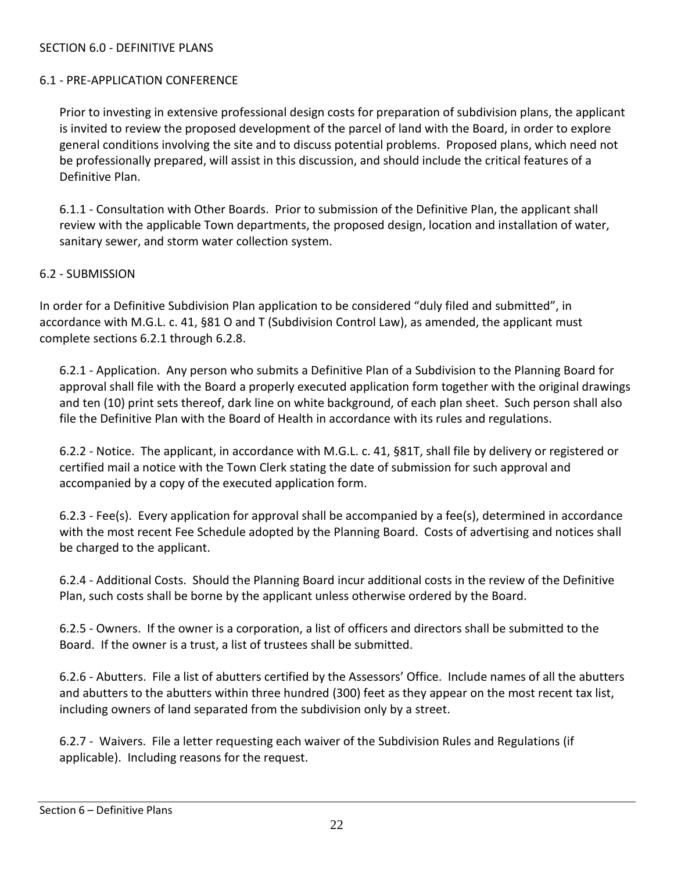#### SECTION 6.0 - DEFINITIVE PLANS

#### 6.1 - PRE-APPLICATION CONFERENCE

Prior to investing in extensive professional design costs for preparation of subdivision plans, the applicant is invited to review the proposed development of the parcel of land with the Board, in order to explore general conditions involving the site and to discuss potential problems. Proposed plans, which need not be professionally prepared, will assist in this discussion, and should include the critical features of a Definitive Plan.

6.1.1 - Consultation with Other Boards. Prior to submission of the Definitive Plan, the applicant shall review with the applicable Town departments, the proposed design, location and installation of water, sanitary sewer, and storm water collection system.

#### 6.2 - SUBMISSION

In order for a Definitive Subdivision Plan application to be considered "duly filed and submitted", in accordance with M.G.L. c. 41, §81 O and T (Subdivision Control Law), as amended, the applicant must complete sections 6.2.1 through 6.2.8.

6.2.1 - Application. Any person who submits a Definitive Plan of a Subdivision to the Planning Board for approval shall file with the Board a properly executed application form together with the original drawings and ten (10) print sets thereof, dark line on white background, of each plan sheet. Such person shall also file the Definitive Plan with the Board of Health in accordance with its rules and regulations.

6.2.2 - Notice. The applicant, in accordance with M.G.L. c. 41, §81T, shall file by delivery or registered or certified mail a notice with the Town Clerk stating the date of submission for such approval and accompanied by a copy of the executed application form.

6.2.3 - Fee(s). Every application for approval shall be accompanied by a fee(s), determined in accordance with the most recent Fee Schedule adopted by the Planning Board. Costs of advertising and notices shall be charged to the applicant.

6.2.4 - Additional Costs. Should the Planning Board incur additional costs in the review of the Definitive Plan, such costs shall be borne by the applicant unless otherwise ordered by the Board.

6.2.5 - Owners. If the owner is a corporation, a list of officers and directors shall be submitted to the Board. If the owner is a trust, a list of trustees shall be submitted.

6.2.6 - Abutters. File a list of abutters certified by the Assessors' Office. Include names of all the abutters and abutters to the abutters within three hundred (300) feet as they appear on the most recent tax list, including owners of land separated from the subdivision only by a street.

6.2.7 - Waivers. File a letter requesting each waiver of the Subdivision Rules and Regulations (if applicable). Including reasons for the request.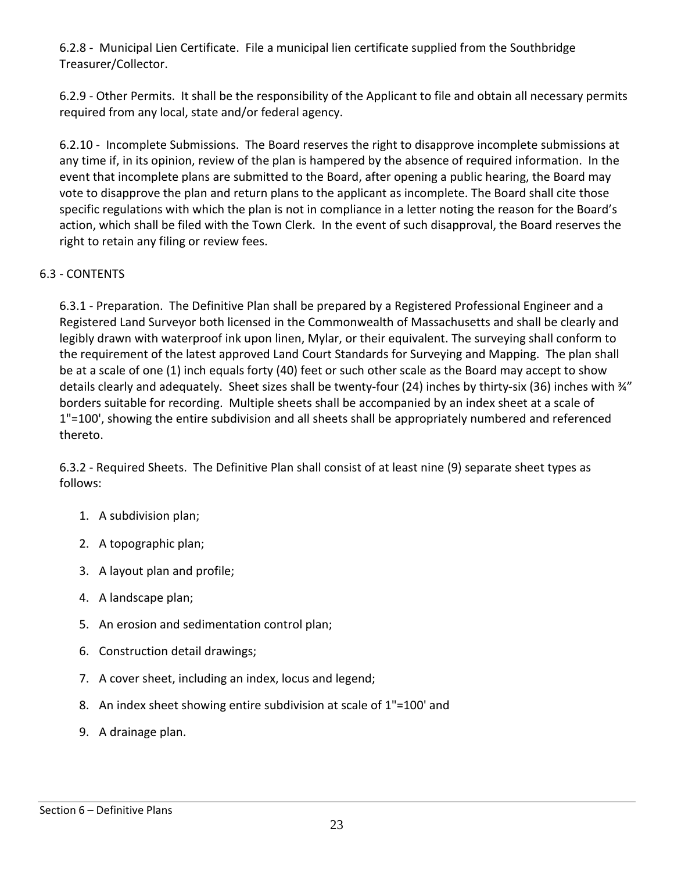6.2.8 - Municipal Lien Certificate. File a municipal lien certificate supplied from the Southbridge Treasurer/Collector.

6.2.9 - Other Permits. It shall be the responsibility of the Applicant to file and obtain all necessary permits required from any local, state and/or federal agency.

6.2.10 - Incomplete Submissions. The Board reserves the right to disapprove incomplete submissions at any time if, in its opinion, review of the plan is hampered by the absence of required information. In the event that incomplete plans are submitted to the Board, after opening a public hearing, the Board may vote to disapprove the plan and return plans to the applicant as incomplete. The Board shall cite those specific regulations with which the plan is not in compliance in a letter noting the reason for the Board's action, which shall be filed with the Town Clerk. In the event of such disapproval, the Board reserves the right to retain any filing or review fees.

# 6.3 - CONTENTS

6.3.1 - Preparation. The Definitive Plan shall be prepared by a Registered Professional Engineer and a Registered Land Surveyor both licensed in the Commonwealth of Massachusetts and shall be clearly and legibly drawn with waterproof ink upon linen, Mylar, or their equivalent. The surveying shall conform to the requirement of the latest approved Land Court Standards for Surveying and Mapping. The plan shall be at a scale of one (1) inch equals forty (40) feet or such other scale as the Board may accept to show details clearly and adequately. Sheet sizes shall be twenty-four (24) inches by thirty-six (36) inches with 34" borders suitable for recording. Multiple sheets shall be accompanied by an index sheet at a scale of 1"=100', showing the entire subdivision and all sheets shall be appropriately numbered and referenced thereto.

6.3.2 - Required Sheets. The Definitive Plan shall consist of at least nine (9) separate sheet types as follows:

- 1. A subdivision plan;
- 2. A topographic plan;
- 3. A layout plan and profile;
- 4. A landscape plan;
- 5. An erosion and sedimentation control plan;
- 6. Construction detail drawings;
- 7. A cover sheet, including an index, locus and legend;
- 8. An index sheet showing entire subdivision at scale of 1"=100' and
- 9. A drainage plan.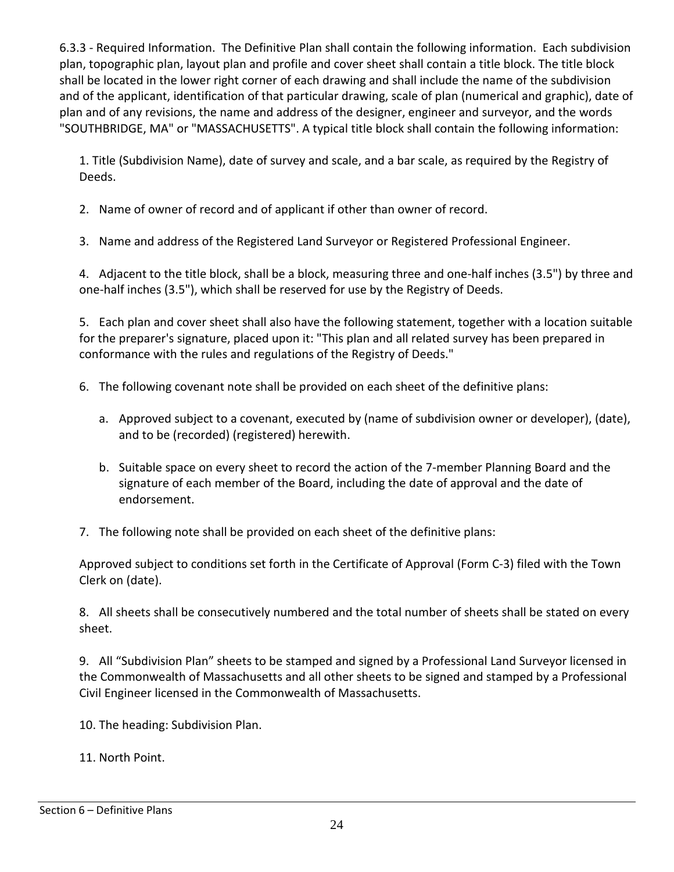6.3.3 - Required Information. The Definitive Plan shall contain the following information. Each subdivision plan, topographic plan, layout plan and profile and cover sheet shall contain a title block. The title block shall be located in the lower right corner of each drawing and shall include the name of the subdivision and of the applicant, identification of that particular drawing, scale of plan (numerical and graphic), date of plan and of any revisions, the name and address of the designer, engineer and surveyor, and the words "SOUTHBRIDGE, MA" or "MASSACHUSETTS". A typical title block shall contain the following information:

1. Title (Subdivision Name), date of survey and scale, and a bar scale, as required by the Registry of Deeds.

2. Name of owner of record and of applicant if other than owner of record.

3. Name and address of the Registered Land Surveyor or Registered Professional Engineer.

4. Adjacent to the title block, shall be a block, measuring three and one-half inches (3.5") by three and one-half inches (3.5"), which shall be reserved for use by the Registry of Deeds.

5. Each plan and cover sheet shall also have the following statement, together with a location suitable for the preparer's signature, placed upon it: "This plan and all related survey has been prepared in conformance with the rules and regulations of the Registry of Deeds."

6. The following covenant note shall be provided on each sheet of the definitive plans:

- a. Approved subject to a covenant, executed by (name of subdivision owner or developer), (date), and to be (recorded) (registered) herewith.
- b. Suitable space on every sheet to record the action of the 7-member Planning Board and the signature of each member of the Board, including the date of approval and the date of endorsement.
- 7. The following note shall be provided on each sheet of the definitive plans:

Approved subject to conditions set forth in the Certificate of Approval (Form C-3) filed with the Town Clerk on (date).

8. All sheets shall be consecutively numbered and the total number of sheets shall be stated on every sheet.

9. All "Subdivision Plan" sheets to be stamped and signed by a Professional Land Surveyor licensed in the Commonwealth of Massachusetts and all other sheets to be signed and stamped by a Professional Civil Engineer licensed in the Commonwealth of Massachusetts.

10. The heading: Subdivision Plan.

11. North Point.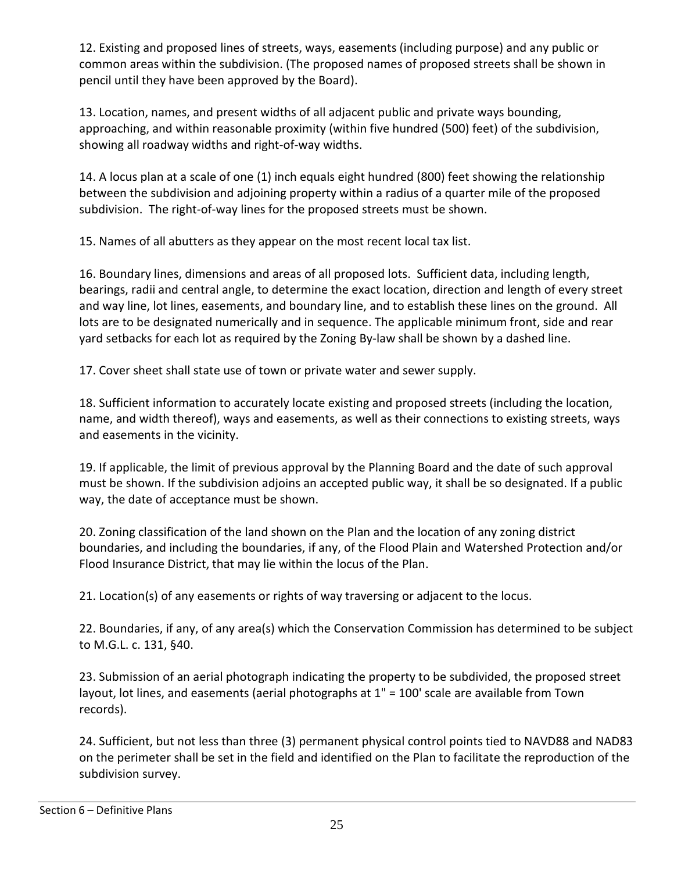12. Existing and proposed lines of streets, ways, easements (including purpose) and any public or common areas within the subdivision. (The proposed names of proposed streets shall be shown in pencil until they have been approved by the Board).

13. Location, names, and present widths of all adjacent public and private ways bounding, approaching, and within reasonable proximity (within five hundred (500) feet) of the subdivision, showing all roadway widths and right-of-way widths.

14. A locus plan at a scale of one (1) inch equals eight hundred (800) feet showing the relationship between the subdivision and adjoining property within a radius of a quarter mile of the proposed subdivision. The right-of-way lines for the proposed streets must be shown.

15. Names of all abutters as they appear on the most recent local tax list.

16. Boundary lines, dimensions and areas of all proposed lots. Sufficient data, including length, bearings, radii and central angle, to determine the exact location, direction and length of every street and way line, lot lines, easements, and boundary line, and to establish these lines on the ground. All lots are to be designated numerically and in sequence. The applicable minimum front, side and rear yard setbacks for each lot as required by the Zoning By-law shall be shown by a dashed line.

17. Cover sheet shall state use of town or private water and sewer supply.

18. Sufficient information to accurately locate existing and proposed streets (including the location, name, and width thereof), ways and easements, as well as their connections to existing streets, ways and easements in the vicinity.

19. If applicable, the limit of previous approval by the Planning Board and the date of such approval must be shown. If the subdivision adjoins an accepted public way, it shall be so designated. If a public way, the date of acceptance must be shown.

20. Zoning classification of the land shown on the Plan and the location of any zoning district boundaries, and including the boundaries, if any, of the Flood Plain and Watershed Protection and/or Flood Insurance District, that may lie within the locus of the Plan.

21. Location(s) of any easements or rights of way traversing or adjacent to the locus.

22. Boundaries, if any, of any area(s) which the Conservation Commission has determined to be subject to M.G.L. c. 131, §40.

23. Submission of an aerial photograph indicating the property to be subdivided, the proposed street layout, lot lines, and easements (aerial photographs at 1" = 100' scale are available from Town records).

24. Sufficient, but not less than three (3) permanent physical control points tied to NAVD88 and NAD83 on the perimeter shall be set in the field and identified on the Plan to facilitate the reproduction of the subdivision survey.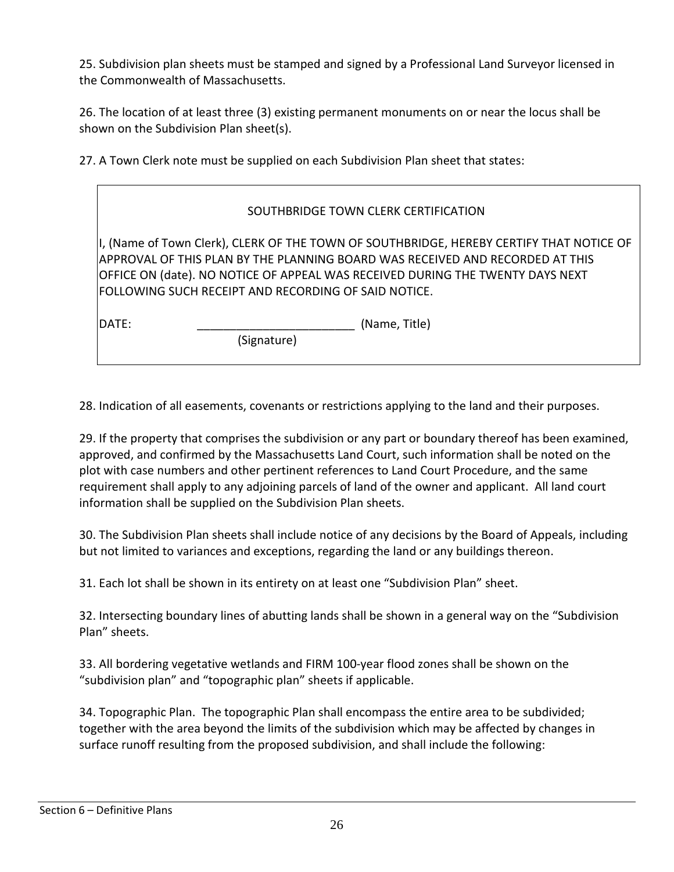25. Subdivision plan sheets must be stamped and signed by a Professional Land Surveyor licensed in the Commonwealth of Massachusetts.

26. The location of at least three (3) existing permanent monuments on or near the locus shall be shown on the Subdivision Plan sheet(s).

27. A Town Clerk note must be supplied on each Subdivision Plan sheet that states:

| SOUTHBRIDGE TOWN CLERK CERTIFICATION                                                                                                                                                                                                                                                                                 |               |
|----------------------------------------------------------------------------------------------------------------------------------------------------------------------------------------------------------------------------------------------------------------------------------------------------------------------|---------------|
| II, (Name of Town Clerk), CLERK OF THE TOWN OF SOUTHBRIDGE, HEREBY CERTIFY THAT NOTICE OF<br>APPROVAL OF THIS PLAN BY THE PLANNING BOARD WAS RECEIVED AND RECORDED AT THIS<br>OFFICE ON (date). NO NOTICE OF APPEAL WAS RECEIVED DURING THE TWENTY DAYS NEXT<br>FOLLOWING SUCH RECEIPT AND RECORDING OF SAID NOTICE. |               |
| DATE:<br>(Signature)                                                                                                                                                                                                                                                                                                 | (Name, Title) |

28. Indication of all easements, covenants or restrictions applying to the land and their purposes.

29. If the property that comprises the subdivision or any part or boundary thereof has been examined, approved, and confirmed by the Massachusetts Land Court, such information shall be noted on the plot with case numbers and other pertinent references to Land Court Procedure, and the same requirement shall apply to any adjoining parcels of land of the owner and applicant. All land court information shall be supplied on the Subdivision Plan sheets.

30. The Subdivision Plan sheets shall include notice of any decisions by the Board of Appeals, including but not limited to variances and exceptions, regarding the land or any buildings thereon.

31. Each lot shall be shown in its entirety on at least one "Subdivision Plan" sheet.

32. Intersecting boundary lines of abutting lands shall be shown in a general way on the "Subdivision Plan" sheets.

33. All bordering vegetative wetlands and FIRM 100-year flood zones shall be shown on the "subdivision plan" and "topographic plan" sheets if applicable.

34. Topographic Plan. The topographic Plan shall encompass the entire area to be subdivided; together with the area beyond the limits of the subdivision which may be affected by changes in surface runoff resulting from the proposed subdivision, and shall include the following: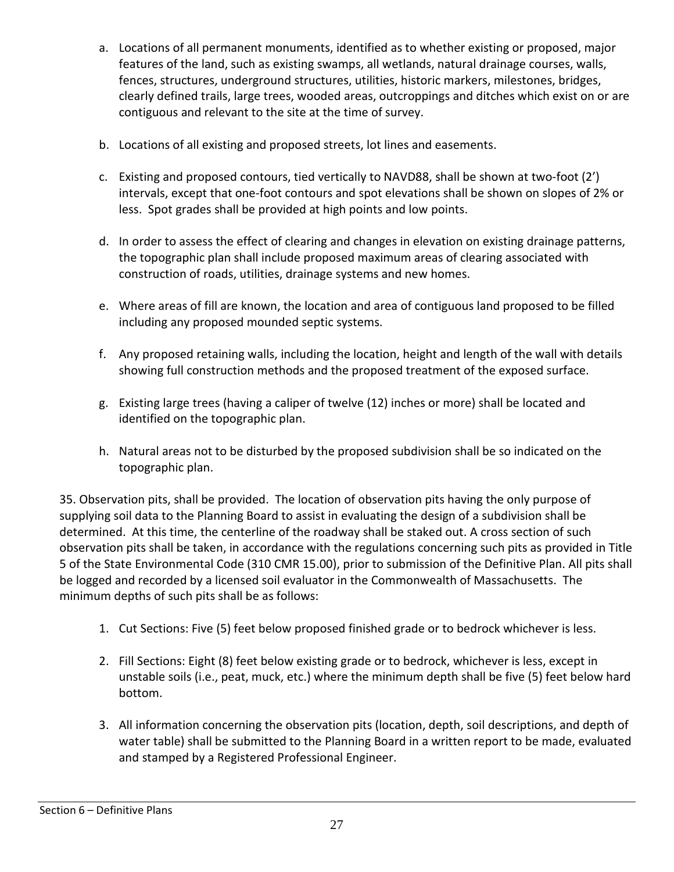- a. Locations of all permanent monuments, identified as to whether existing or proposed, major features of the land, such as existing swamps, all wetlands, natural drainage courses, walls, fences, structures, underground structures, utilities, historic markers, milestones, bridges, clearly defined trails, large trees, wooded areas, outcroppings and ditches which exist on or are contiguous and relevant to the site at the time of survey.
- b. Locations of all existing and proposed streets, lot lines and easements.
- c. Existing and proposed contours, tied vertically to NAVD88, shall be shown at two-foot (2') intervals, except that one-foot contours and spot elevations shall be shown on slopes of 2% or less. Spot grades shall be provided at high points and low points.
- d. In order to assess the effect of clearing and changes in elevation on existing drainage patterns, the topographic plan shall include proposed maximum areas of clearing associated with construction of roads, utilities, drainage systems and new homes.
- e. Where areas of fill are known, the location and area of contiguous land proposed to be filled including any proposed mounded septic systems.
- f. Any proposed retaining walls, including the location, height and length of the wall with details showing full construction methods and the proposed treatment of the exposed surface.
- g. Existing large trees (having a caliper of twelve (12) inches or more) shall be located and identified on the topographic plan.
- h. Natural areas not to be disturbed by the proposed subdivision shall be so indicated on the topographic plan.

35. Observation pits, shall be provided. The location of observation pits having the only purpose of supplying soil data to the Planning Board to assist in evaluating the design of a subdivision shall be determined. At this time, the centerline of the roadway shall be staked out. A cross section of such observation pits shall be taken, in accordance with the regulations concerning such pits as provided in Title 5 of the State Environmental Code (310 CMR 15.00), prior to submission of the Definitive Plan. All pits shall be logged and recorded by a licensed soil evaluator in the Commonwealth of Massachusetts. The minimum depths of such pits shall be as follows:

- 1. Cut Sections: Five (5) feet below proposed finished grade or to bedrock whichever is less.
- 2. Fill Sections: Eight (8) feet below existing grade or to bedrock, whichever is less, except in unstable soils (i.e., peat, muck, etc.) where the minimum depth shall be five (5) feet below hard bottom.
- 3. All information concerning the observation pits (location, depth, soil descriptions, and depth of water table) shall be submitted to the Planning Board in a written report to be made, evaluated and stamped by a Registered Professional Engineer.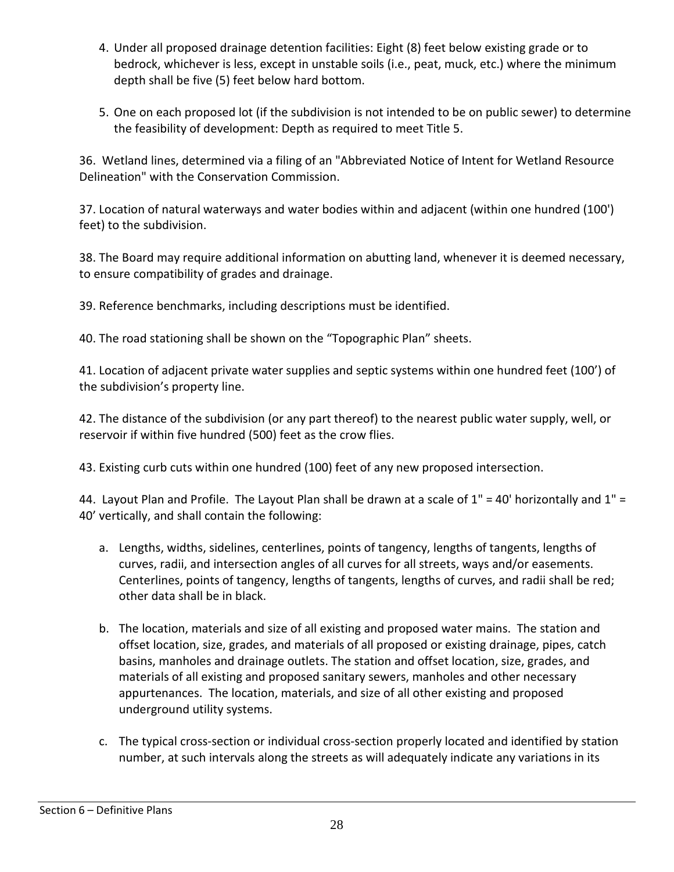- 4. Under all proposed drainage detention facilities: Eight (8) feet below existing grade or to bedrock, whichever is less, except in unstable soils (i.e., peat, muck, etc.) where the minimum depth shall be five (5) feet below hard bottom.
- 5. One on each proposed lot (if the subdivision is not intended to be on public sewer) to determine the feasibility of development: Depth as required to meet Title 5.

36. Wetland lines, determined via a filing of an "Abbreviated Notice of Intent for Wetland Resource Delineation" with the Conservation Commission.

37. Location of natural waterways and water bodies within and adjacent (within one hundred (100') feet) to the subdivision.

38. The Board may require additional information on abutting land, whenever it is deemed necessary, to ensure compatibility of grades and drainage.

39. Reference benchmarks, including descriptions must be identified.

40. The road stationing shall be shown on the "Topographic Plan" sheets.

41. Location of adjacent private water supplies and septic systems within one hundred feet (100') of the subdivision's property line.

42. The distance of the subdivision (or any part thereof) to the nearest public water supply, well, or reservoir if within five hundred (500) feet as the crow flies.

43. Existing curb cuts within one hundred (100) feet of any new proposed intersection.

44. Layout Plan and Profile. The Layout Plan shall be drawn at a scale of 1" = 40' horizontally and 1" = 40' vertically, and shall contain the following:

- a. Lengths, widths, sidelines, centerlines, points of tangency, lengths of tangents, lengths of curves, radii, and intersection angles of all curves for all streets, ways and/or easements. Centerlines, points of tangency, lengths of tangents, lengths of curves, and radii shall be red; other data shall be in black.
- b. The location, materials and size of all existing and proposed water mains. The station and offset location, size, grades, and materials of all proposed or existing drainage, pipes, catch basins, manholes and drainage outlets. The station and offset location, size, grades, and materials of all existing and proposed sanitary sewers, manholes and other necessary appurtenances. The location, materials, and size of all other existing and proposed underground utility systems.
- c. The typical cross-section or individual cross-section properly located and identified by station number, at such intervals along the streets as will adequately indicate any variations in its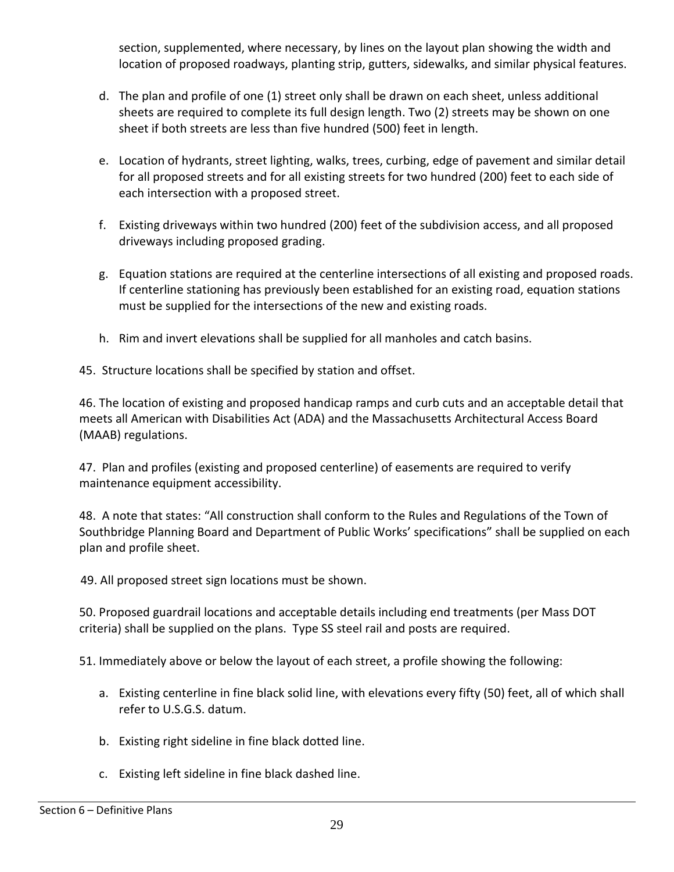section, supplemented, where necessary, by lines on the layout plan showing the width and location of proposed roadways, planting strip, gutters, sidewalks, and similar physical features.

- d. The plan and profile of one (1) street only shall be drawn on each sheet, unless additional sheets are required to complete its full design length. Two (2) streets may be shown on one sheet if both streets are less than five hundred (500) feet in length.
- e. Location of hydrants, street lighting, walks, trees, curbing, edge of pavement and similar detail for all proposed streets and for all existing streets for two hundred (200) feet to each side of each intersection with a proposed street.
- f. Existing driveways within two hundred (200) feet of the subdivision access, and all proposed driveways including proposed grading.
- g. Equation stations are required at the centerline intersections of all existing and proposed roads. If centerline stationing has previously been established for an existing road, equation stations must be supplied for the intersections of the new and existing roads.
- h. Rim and invert elevations shall be supplied for all manholes and catch basins.

45. Structure locations shall be specified by station and offset.

46. The location of existing and proposed handicap ramps and curb cuts and an acceptable detail that meets all American with Disabilities Act (ADA) and the Massachusetts Architectural Access Board (MAAB) regulations.

47. Plan and profiles (existing and proposed centerline) of easements are required to verify maintenance equipment accessibility.

48. A note that states: "All construction shall conform to the Rules and Regulations of the Town of Southbridge Planning Board and Department of Public Works' specifications" shall be supplied on each plan and profile sheet.

49. All proposed street sign locations must be shown.

50. Proposed guardrail locations and acceptable details including end treatments (per Mass DOT criteria) shall be supplied on the plans. Type SS steel rail and posts are required.

51. Immediately above or below the layout of each street, a profile showing the following:

- a. Existing centerline in fine black solid line, with elevations every fifty (50) feet, all of which shall refer to U.S.G.S. datum.
- b. Existing right sideline in fine black dotted line.
- c. Existing left sideline in fine black dashed line.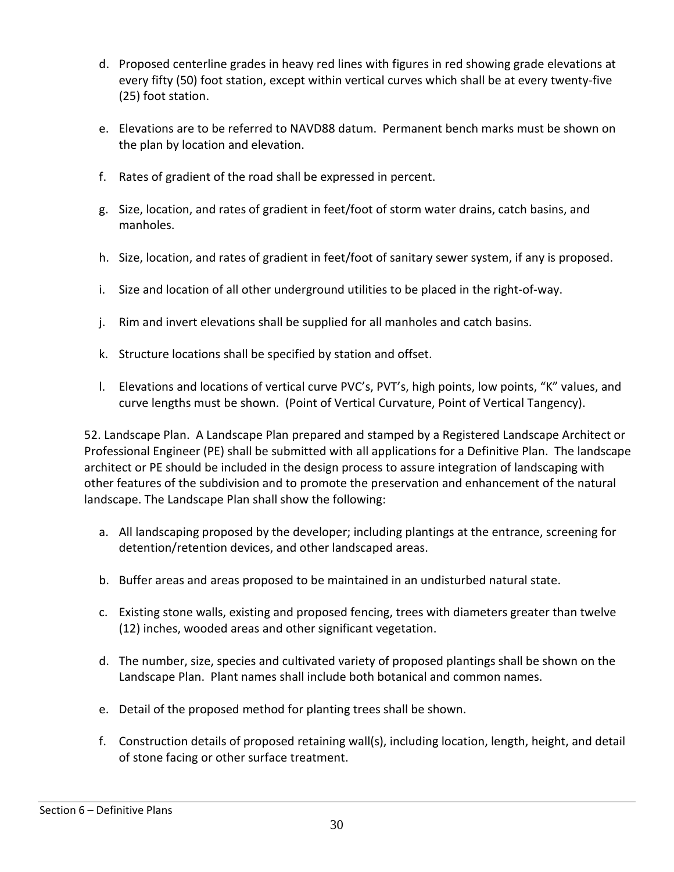- d. Proposed centerline grades in heavy red lines with figures in red showing grade elevations at every fifty (50) foot station, except within vertical curves which shall be at every twenty-five (25) foot station.
- e. Elevations are to be referred to NAVD88 datum. Permanent bench marks must be shown on the plan by location and elevation.
- f. Rates of gradient of the road shall be expressed in percent.
- g. Size, location, and rates of gradient in feet/foot of storm water drains, catch basins, and manholes.
- h. Size, location, and rates of gradient in feet/foot of sanitary sewer system, if any is proposed.
- i. Size and location of all other underground utilities to be placed in the right-of-way.
- j. Rim and invert elevations shall be supplied for all manholes and catch basins.
- k. Structure locations shall be specified by station and offset.
- l. Elevations and locations of vertical curve PVC's, PVT's, high points, low points, "K" values, and curve lengths must be shown. (Point of Vertical Curvature, Point of Vertical Tangency).

52. Landscape Plan. A Landscape Plan prepared and stamped by a Registered Landscape Architect or Professional Engineer (PE) shall be submitted with all applications for a Definitive Plan. The landscape architect or PE should be included in the design process to assure integration of landscaping with other features of the subdivision and to promote the preservation and enhancement of the natural landscape. The Landscape Plan shall show the following:

- a. All landscaping proposed by the developer; including plantings at the entrance, screening for detention/retention devices, and other landscaped areas.
- b. Buffer areas and areas proposed to be maintained in an undisturbed natural state.
- c. Existing stone walls, existing and proposed fencing, trees with diameters greater than twelve (12) inches, wooded areas and other significant vegetation.
- d. The number, size, species and cultivated variety of proposed plantings shall be shown on the Landscape Plan. Plant names shall include both botanical and common names.
- e. Detail of the proposed method for planting trees shall be shown.
- f. Construction details of proposed retaining wall(s), including location, length, height, and detail of stone facing or other surface treatment.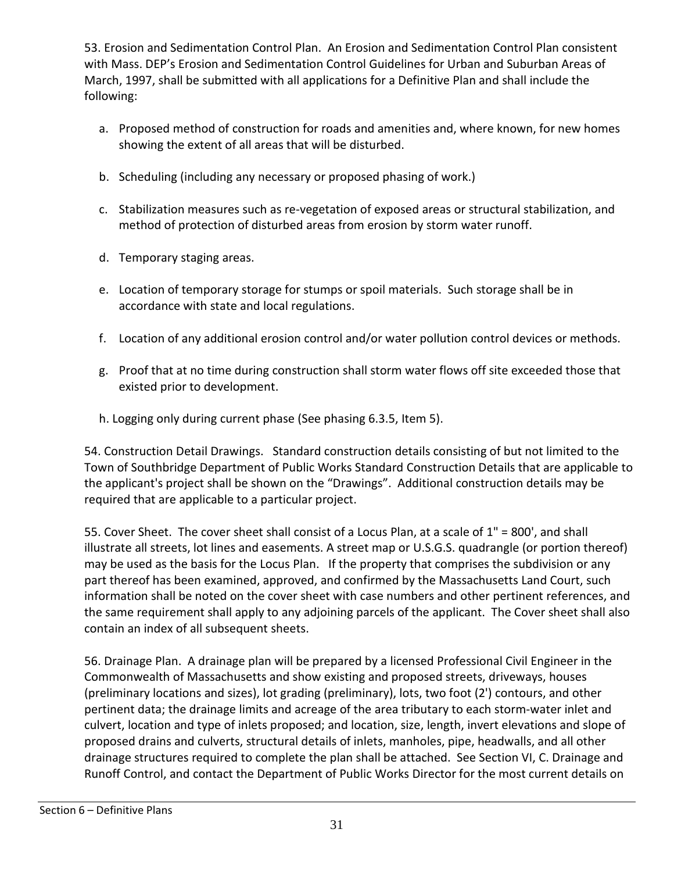53. Erosion and Sedimentation Control Plan. An Erosion and Sedimentation Control Plan consistent with Mass. DEP's Erosion and Sedimentation Control Guidelines for Urban and Suburban Areas of March, 1997, shall be submitted with all applications for a Definitive Plan and shall include the following:

- a. Proposed method of construction for roads and amenities and, where known, for new homes showing the extent of all areas that will be disturbed.
- b. Scheduling (including any necessary or proposed phasing of work.)
- c. Stabilization measures such as re-vegetation of exposed areas or structural stabilization, and method of protection of disturbed areas from erosion by storm water runoff.
- d. Temporary staging areas.
- e. Location of temporary storage for stumps or spoil materials. Such storage shall be in accordance with state and local regulations.
- f. Location of any additional erosion control and/or water pollution control devices or methods.
- g. Proof that at no time during construction shall storm water flows off site exceeded those that existed prior to development.
- h. Logging only during current phase (See phasing 6.3.5, Item 5).

54. Construction Detail Drawings. Standard construction details consisting of but not limited to the Town of Southbridge Department of Public Works Standard Construction Details that are applicable to the applicant's project shall be shown on the "Drawings". Additional construction details may be required that are applicable to a particular project.

55. Cover Sheet. The cover sheet shall consist of a Locus Plan, at a scale of 1" = 800', and shall illustrate all streets, lot lines and easements. A street map or U.S.G.S. quadrangle (or portion thereof) may be used as the basis for the Locus Plan. If the property that comprises the subdivision or any part thereof has been examined, approved, and confirmed by the Massachusetts Land Court, such information shall be noted on the cover sheet with case numbers and other pertinent references, and the same requirement shall apply to any adjoining parcels of the applicant. The Cover sheet shall also contain an index of all subsequent sheets.

56. Drainage Plan. A drainage plan will be prepared by a licensed Professional Civil Engineer in the Commonwealth of Massachusetts and show existing and proposed streets, driveways, houses (preliminary locations and sizes), lot grading (preliminary), lots, two foot (2') contours, and other pertinent data; the drainage limits and acreage of the area tributary to each storm-water inlet and culvert, location and type of inlets proposed; and location, size, length, invert elevations and slope of proposed drains and culverts, structural details of inlets, manholes, pipe, headwalls, and all other drainage structures required to complete the plan shall be attached. See Section VI, C. Drainage and Runoff Control, and contact the Department of Public Works Director for the most current details on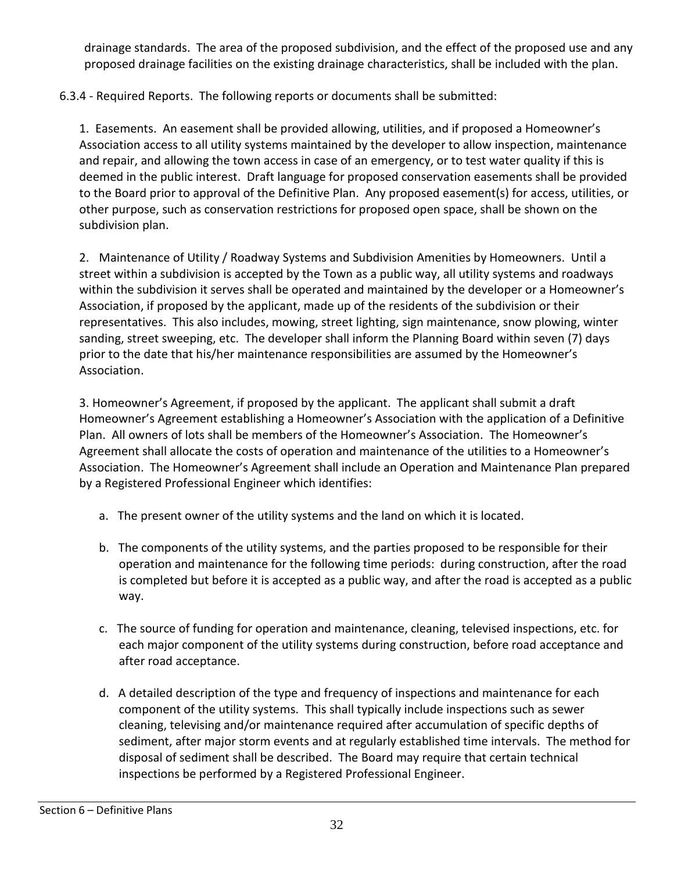drainage standards. The area of the proposed subdivision, and the effect of the proposed use and any proposed drainage facilities on the existing drainage characteristics, shall be included with the plan.

6.3.4 - Required Reports. The following reports or documents shall be submitted:

1. Easements. An easement shall be provided allowing, utilities, and if proposed a Homeowner's Association access to all utility systems maintained by the developer to allow inspection, maintenance and repair, and allowing the town access in case of an emergency, or to test water quality if this is deemed in the public interest. Draft language for proposed conservation easements shall be provided to the Board prior to approval of the Definitive Plan. Any proposed easement(s) for access, utilities, or other purpose, such as conservation restrictions for proposed open space, shall be shown on the subdivision plan.

2. Maintenance of Utility / Roadway Systems and Subdivision Amenities by Homeowners. Until a street within a subdivision is accepted by the Town as a public way, all utility systems and roadways within the subdivision it serves shall be operated and maintained by the developer or a Homeowner's Association, if proposed by the applicant, made up of the residents of the subdivision or their representatives. This also includes, mowing, street lighting, sign maintenance, snow plowing, winter sanding, street sweeping, etc. The developer shall inform the Planning Board within seven (7) days prior to the date that his/her maintenance responsibilities are assumed by the Homeowner's Association.

3. Homeowner's Agreement, if proposed by the applicant. The applicant shall submit a draft Homeowner's Agreement establishing a Homeowner's Association with the application of a Definitive Plan. All owners of lots shall be members of the Homeowner's Association. The Homeowner's Agreement shall allocate the costs of operation and maintenance of the utilities to a Homeowner's Association. The Homeowner's Agreement shall include an Operation and Maintenance Plan prepared by a Registered Professional Engineer which identifies:

- a. The present owner of the utility systems and the land on which it is located.
- b. The components of the utility systems, and the parties proposed to be responsible for their operation and maintenance for the following time periods: during construction, after the road is completed but before it is accepted as a public way, and after the road is accepted as a public way.
- c. The source of funding for operation and maintenance, cleaning, televised inspections, etc. for each major component of the utility systems during construction, before road acceptance and after road acceptance.
- d. A detailed description of the type and frequency of inspections and maintenance for each component of the utility systems. This shall typically include inspections such as sewer cleaning, televising and/or maintenance required after accumulation of specific depths of sediment, after major storm events and at regularly established time intervals. The method for disposal of sediment shall be described. The Board may require that certain technical inspections be performed by a Registered Professional Engineer.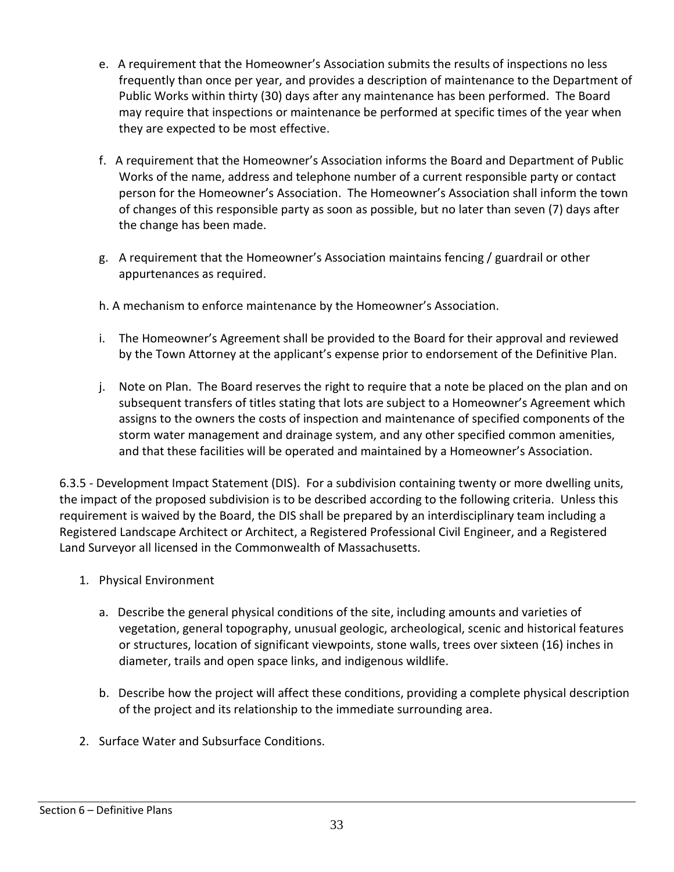- e. A requirement that the Homeowner's Association submits the results of inspections no less frequently than once per year, and provides a description of maintenance to the Department of Public Works within thirty (30) days after any maintenance has been performed. The Board may require that inspections or maintenance be performed at specific times of the year when they are expected to be most effective.
- f. A requirement that the Homeowner's Association informs the Board and Department of Public Works of the name, address and telephone number of a current responsible party or contact person for the Homeowner's Association. The Homeowner's Association shall inform the town of changes of this responsible party as soon as possible, but no later than seven (7) days after the change has been made.
- g. A requirement that the Homeowner's Association maintains fencing / guardrail or other appurtenances as required.
- h. A mechanism to enforce maintenance by the Homeowner's Association.
- i. The Homeowner's Agreement shall be provided to the Board for their approval and reviewed by the Town Attorney at the applicant's expense prior to endorsement of the Definitive Plan.
- j. Note on Plan. The Board reserves the right to require that a note be placed on the plan and on subsequent transfers of titles stating that lots are subject to a Homeowner's Agreement which assigns to the owners the costs of inspection and maintenance of specified components of the storm water management and drainage system, and any other specified common amenities, and that these facilities will be operated and maintained by a Homeowner's Association.

6.3.5 - Development Impact Statement (DIS). For a subdivision containing twenty or more dwelling units, the impact of the proposed subdivision is to be described according to the following criteria. Unless this requirement is waived by the Board, the DIS shall be prepared by an interdisciplinary team including a Registered Landscape Architect or Architect, a Registered Professional Civil Engineer, and a Registered Land Surveyor all licensed in the Commonwealth of Massachusetts.

- 1. Physical Environment
	- a. Describe the general physical conditions of the site, including amounts and varieties of vegetation, general topography, unusual geologic, archeological, scenic and historical features or structures, location of significant viewpoints, stone walls, trees over sixteen (16) inches in diameter, trails and open space links, and indigenous wildlife.
	- b. Describe how the project will affect these conditions, providing a complete physical description of the project and its relationship to the immediate surrounding area.
- 2. Surface Water and Subsurface Conditions.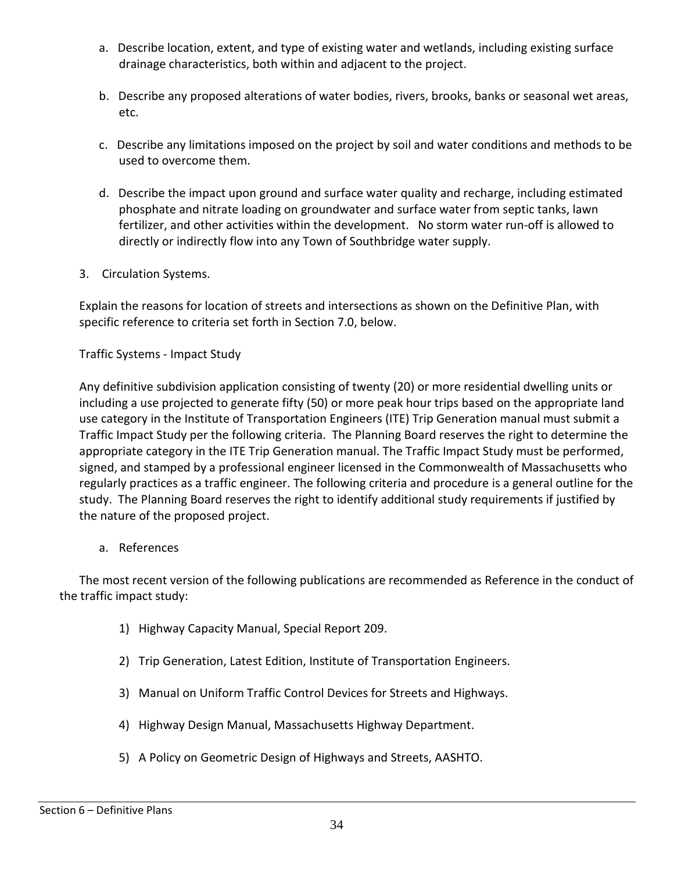- a. Describe location, extent, and type of existing water and wetlands, including existing surface drainage characteristics, both within and adjacent to the project.
- b. Describe any proposed alterations of water bodies, rivers, brooks, banks or seasonal wet areas, etc.
- c. Describe any limitations imposed on the project by soil and water conditions and methods to be used to overcome them.
- d. Describe the impact upon ground and surface water quality and recharge, including estimated phosphate and nitrate loading on groundwater and surface water from septic tanks, lawn fertilizer, and other activities within the development. No storm water run-off is allowed to directly or indirectly flow into any Town of Southbridge water supply.
- 3. Circulation Systems.

Explain the reasons for location of streets and intersections as shown on the Definitive Plan, with specific reference to criteria set forth in Section 7.0, below.

### Traffic Systems - Impact Study

Any definitive subdivision application consisting of twenty (20) or more residential dwelling units or including a use projected to generate fifty (50) or more peak hour trips based on the appropriate land use category in the Institute of Transportation Engineers (ITE) Trip Generation manual must submit a Traffic Impact Study per the following criteria. The Planning Board reserves the right to determine the appropriate category in the ITE Trip Generation manual. The Traffic Impact Study must be performed, signed, and stamped by a professional engineer licensed in the Commonwealth of Massachusetts who regularly practices as a traffic engineer. The following criteria and procedure is a general outline for the study. The Planning Board reserves the right to identify additional study requirements if justified by the nature of the proposed project.

a. References

The most recent version of the following publications are recommended as Reference in the conduct of the traffic impact study:

- 1) Highway Capacity Manual, Special Report 209.
- 2) Trip Generation, Latest Edition, Institute of Transportation Engineers.
- 3) Manual on Uniform Traffic Control Devices for Streets and Highways.
- 4) Highway Design Manual, Massachusetts Highway Department.
- 5) A Policy on Geometric Design of Highways and Streets, AASHTO.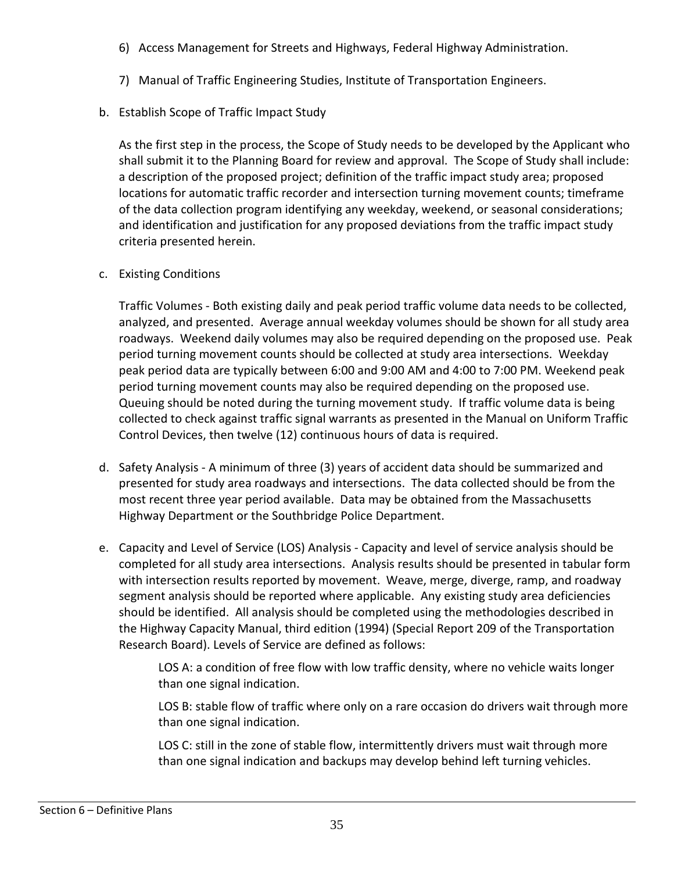- 6) Access Management for Streets and Highways, Federal Highway Administration.
- 7) Manual of Traffic Engineering Studies, Institute of Transportation Engineers.
- b. Establish Scope of Traffic Impact Study

As the first step in the process, the Scope of Study needs to be developed by the Applicant who shall submit it to the Planning Board for review and approval. The Scope of Study shall include: a description of the proposed project; definition of the traffic impact study area; proposed locations for automatic traffic recorder and intersection turning movement counts; timeframe of the data collection program identifying any weekday, weekend, or seasonal considerations; and identification and justification for any proposed deviations from the traffic impact study criteria presented herein.

c. Existing Conditions

Traffic Volumes - Both existing daily and peak period traffic volume data needs to be collected, analyzed, and presented. Average annual weekday volumes should be shown for all study area roadways. Weekend daily volumes may also be required depending on the proposed use. Peak period turning movement counts should be collected at study area intersections. Weekday peak period data are typically between 6:00 and 9:00 AM and 4:00 to 7:00 PM. Weekend peak period turning movement counts may also be required depending on the proposed use. Queuing should be noted during the turning movement study. If traffic volume data is being collected to check against traffic signal warrants as presented in the Manual on Uniform Traffic Control Devices, then twelve (12) continuous hours of data is required.

- d. Safety Analysis A minimum of three (3) years of accident data should be summarized and presented for study area roadways and intersections. The data collected should be from the most recent three year period available. Data may be obtained from the Massachusetts Highway Department or the Southbridge Police Department.
- e. Capacity and Level of Service (LOS) Analysis Capacity and level of service analysis should be completed for all study area intersections. Analysis results should be presented in tabular form with intersection results reported by movement. Weave, merge, diverge, ramp, and roadway segment analysis should be reported where applicable. Any existing study area deficiencies should be identified. All analysis should be completed using the methodologies described in the Highway Capacity Manual, third edition (1994) (Special Report 209 of the Transportation Research Board). Levels of Service are defined as follows:

LOS A: a condition of free flow with low traffic density, where no vehicle waits longer than one signal indication.

LOS B: stable flow of traffic where only on a rare occasion do drivers wait through more than one signal indication.

LOS C: still in the zone of stable flow, intermittently drivers must wait through more than one signal indication and backups may develop behind left turning vehicles.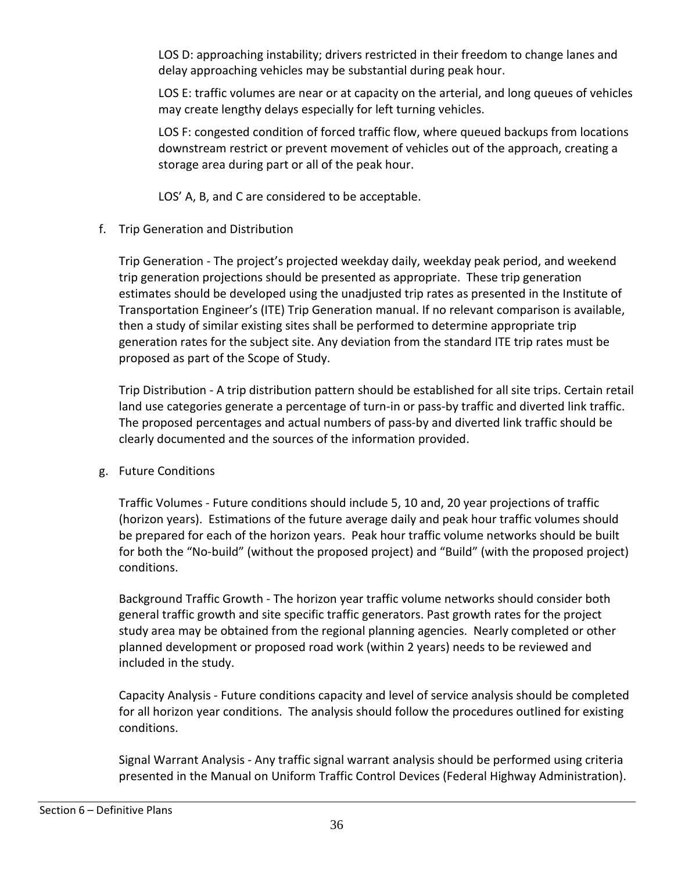LOS D: approaching instability; drivers restricted in their freedom to change lanes and delay approaching vehicles may be substantial during peak hour.

LOS E: traffic volumes are near or at capacity on the arterial, and long queues of vehicles may create lengthy delays especially for left turning vehicles.

LOS F: congested condition of forced traffic flow, where queued backups from locations downstream restrict or prevent movement of vehicles out of the approach, creating a storage area during part or all of the peak hour.

LOS' A, B, and C are considered to be acceptable.

f. Trip Generation and Distribution

Trip Generation - The project's projected weekday daily, weekday peak period, and weekend trip generation projections should be presented as appropriate. These trip generation estimates should be developed using the unadjusted trip rates as presented in the Institute of Transportation Engineer's (ITE) Trip Generation manual. If no relevant comparison is available, then a study of similar existing sites shall be performed to determine appropriate trip generation rates for the subject site. Any deviation from the standard ITE trip rates must be proposed as part of the Scope of Study.

Trip Distribution - A trip distribution pattern should be established for all site trips. Certain retail land use categories generate a percentage of turn-in or pass-by traffic and diverted link traffic. The proposed percentages and actual numbers of pass-by and diverted link traffic should be clearly documented and the sources of the information provided.

# g. Future Conditions

Traffic Volumes - Future conditions should include 5, 10 and, 20 year projections of traffic (horizon years). Estimations of the future average daily and peak hour traffic volumes should be prepared for each of the horizon years. Peak hour traffic volume networks should be built for both the "No-build" (without the proposed project) and "Build" (with the proposed project) conditions.

Background Traffic Growth - The horizon year traffic volume networks should consider both general traffic growth and site specific traffic generators. Past growth rates for the project study area may be obtained from the regional planning agencies. Nearly completed or other planned development or proposed road work (within 2 years) needs to be reviewed and included in the study.

Capacity Analysis - Future conditions capacity and level of service analysis should be completed for all horizon year conditions. The analysis should follow the procedures outlined for existing conditions.

Signal Warrant Analysis - Any traffic signal warrant analysis should be performed using criteria presented in the Manual on Uniform Traffic Control Devices (Federal Highway Administration).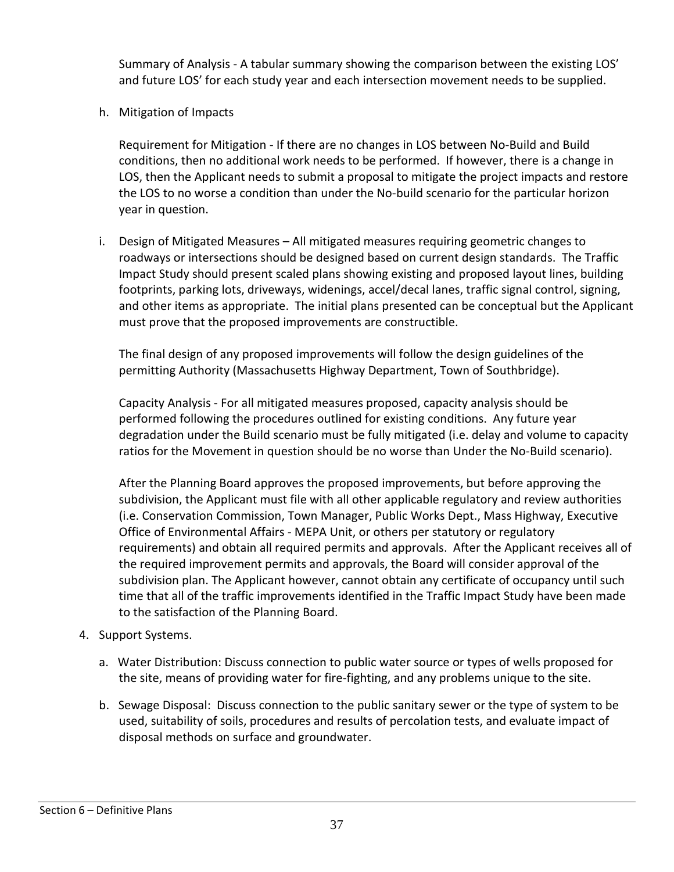Summary of Analysis - A tabular summary showing the comparison between the existing LOS' and future LOS' for each study year and each intersection movement needs to be supplied.

h. Mitigation of Impacts

Requirement for Mitigation - If there are no changes in LOS between No-Build and Build conditions, then no additional work needs to be performed. If however, there is a change in LOS, then the Applicant needs to submit a proposal to mitigate the project impacts and restore the LOS to no worse a condition than under the No-build scenario for the particular horizon year in question.

i. Design of Mitigated Measures – All mitigated measures requiring geometric changes to roadways or intersections should be designed based on current design standards. The Traffic Impact Study should present scaled plans showing existing and proposed layout lines, building footprints, parking lots, driveways, widenings, accel/decal lanes, traffic signal control, signing, and other items as appropriate. The initial plans presented can be conceptual but the Applicant must prove that the proposed improvements are constructible.

The final design of any proposed improvements will follow the design guidelines of the permitting Authority (Massachusetts Highway Department, Town of Southbridge).

Capacity Analysis - For all mitigated measures proposed, capacity analysis should be performed following the procedures outlined for existing conditions. Any future year degradation under the Build scenario must be fully mitigated (i.e. delay and volume to capacity ratios for the Movement in question should be no worse than Under the No-Build scenario).

After the Planning Board approves the proposed improvements, but before approving the subdivision, the Applicant must file with all other applicable regulatory and review authorities (i.e. Conservation Commission, Town Manager, Public Works Dept., Mass Highway, Executive Office of Environmental Affairs - MEPA Unit, or others per statutory or regulatory requirements) and obtain all required permits and approvals. After the Applicant receives all of the required improvement permits and approvals, the Board will consider approval of the subdivision plan. The Applicant however, cannot obtain any certificate of occupancy until such time that all of the traffic improvements identified in the Traffic Impact Study have been made to the satisfaction of the Planning Board.

- 4. Support Systems.
	- a. Water Distribution: Discuss connection to public water source or types of wells proposed for the site, means of providing water for fire-fighting, and any problems unique to the site.
	- b. Sewage Disposal: Discuss connection to the public sanitary sewer or the type of system to be used, suitability of soils, procedures and results of percolation tests, and evaluate impact of disposal methods on surface and groundwater.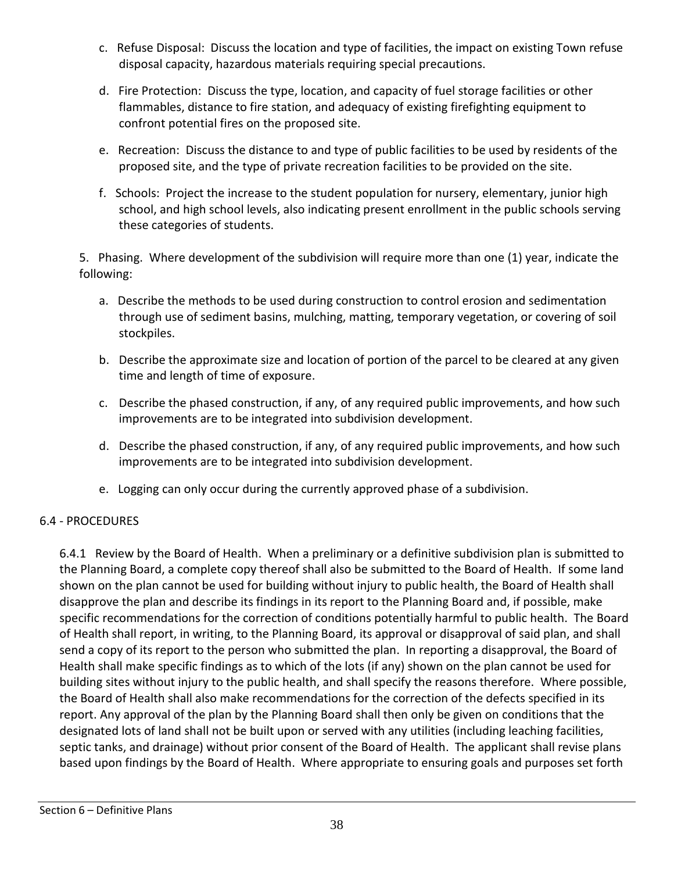- c. Refuse Disposal: Discuss the location and type of facilities, the impact on existing Town refuse disposal capacity, hazardous materials requiring special precautions.
- d. Fire Protection: Discuss the type, location, and capacity of fuel storage facilities or other flammables, distance to fire station, and adequacy of existing firefighting equipment to confront potential fires on the proposed site.
- e. Recreation: Discuss the distance to and type of public facilities to be used by residents of the proposed site, and the type of private recreation facilities to be provided on the site.
- f. Schools: Project the increase to the student population for nursery, elementary, junior high school, and high school levels, also indicating present enrollment in the public schools serving these categories of students.

5. Phasing. Where development of the subdivision will require more than one (1) year, indicate the following:

- a. Describe the methods to be used during construction to control erosion and sedimentation through use of sediment basins, mulching, matting, temporary vegetation, or covering of soil stockpiles.
- b. Describe the approximate size and location of portion of the parcel to be cleared at any given time and length of time of exposure.
- c. Describe the phased construction, if any, of any required public improvements, and how such improvements are to be integrated into subdivision development.
- d. Describe the phased construction, if any, of any required public improvements, and how such improvements are to be integrated into subdivision development.
- e. Logging can only occur during the currently approved phase of a subdivision.

## 6.4 - PROCEDURES

6.4.1 Review by the Board of Health. When a preliminary or a definitive subdivision plan is submitted to the Planning Board, a complete copy thereof shall also be submitted to the Board of Health. If some land shown on the plan cannot be used for building without injury to public health, the Board of Health shall disapprove the plan and describe its findings in its report to the Planning Board and, if possible, make specific recommendations for the correction of conditions potentially harmful to public health. The Board of Health shall report, in writing, to the Planning Board, its approval or disapproval of said plan, and shall send a copy of its report to the person who submitted the plan. In reporting a disapproval, the Board of Health shall make specific findings as to which of the lots (if any) shown on the plan cannot be used for building sites without injury to the public health, and shall specify the reasons therefore. Where possible, the Board of Health shall also make recommendations for the correction of the defects specified in its report. Any approval of the plan by the Planning Board shall then only be given on conditions that the designated lots of land shall not be built upon or served with any utilities (including leaching facilities, septic tanks, and drainage) without prior consent of the Board of Health. The applicant shall revise plans based upon findings by the Board of Health. Where appropriate to ensuring goals and purposes set forth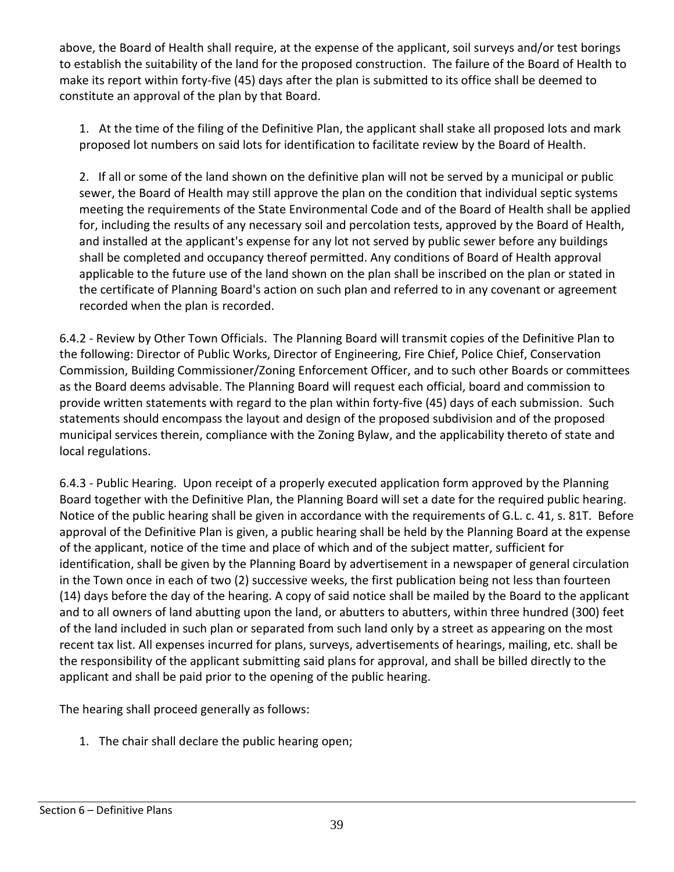above, the Board of Health shall require, at the expense of the applicant, soil surveys and/or test borings to establish the suitability of the land for the proposed construction. The failure of the Board of Health to make its report within forty-five (45) days after the plan is submitted to its office shall be deemed to constitute an approval of the plan by that Board.

1. At the time of the filing of the Definitive Plan, the applicant shall stake all proposed lots and mark proposed lot numbers on said lots for identification to facilitate review by the Board of Health.

2. If all or some of the land shown on the definitive plan will not be served by a municipal or public sewer, the Board of Health may still approve the plan on the condition that individual septic systems meeting the requirements of the State Environmental Code and of the Board of Health shall be applied for, including the results of any necessary soil and percolation tests, approved by the Board of Health, and installed at the applicant's expense for any lot not served by public sewer before any buildings shall be completed and occupancy thereof permitted. Any conditions of Board of Health approval applicable to the future use of the land shown on the plan shall be inscribed on the plan or stated in the certificate of Planning Board's action on such plan and referred to in any covenant or agreement recorded when the plan is recorded.

6.4.2 - Review by Other Town Officials. The Planning Board will transmit copies of the Definitive Plan to the following: Director of Public Works, Director of Engineering, Fire Chief, Police Chief, Conservation Commission, Building Commissioner/Zoning Enforcement Officer, and to such other Boards or committees as the Board deems advisable. The Planning Board will request each official, board and commission to provide written statements with regard to the plan within forty-five (45) days of each submission. Such statements should encompass the layout and design of the proposed subdivision and of the proposed municipal services therein, compliance with the Zoning Bylaw, and the applicability thereto of state and local regulations.

6.4.3 - Public Hearing. Upon receipt of a properly executed application form approved by the Planning Board together with the Definitive Plan, the Planning Board will set a date for the required public hearing. Notice of the public hearing shall be given in accordance with the requirements of G.L. c. 41, s. 81T. Before approval of the Definitive Plan is given, a public hearing shall be held by the Planning Board at the expense of the applicant, notice of the time and place of which and of the subject matter, sufficient for identification, shall be given by the Planning Board by advertisement in a newspaper of general circulation in the Town once in each of two (2) successive weeks, the first publication being not less than fourteen (14) days before the day of the hearing. A copy of said notice shall be mailed by the Board to the applicant and to all owners of land abutting upon the land, or abutters to abutters, within three hundred (300) feet of the land included in such plan or separated from such land only by a street as appearing on the most recent tax list. All expenses incurred for plans, surveys, advertisements of hearings, mailing, etc. shall be the responsibility of the applicant submitting said plans for approval, and shall be billed directly to the applicant and shall be paid prior to the opening of the public hearing.

The hearing shall proceed generally as follows:

1. The chair shall declare the public hearing open;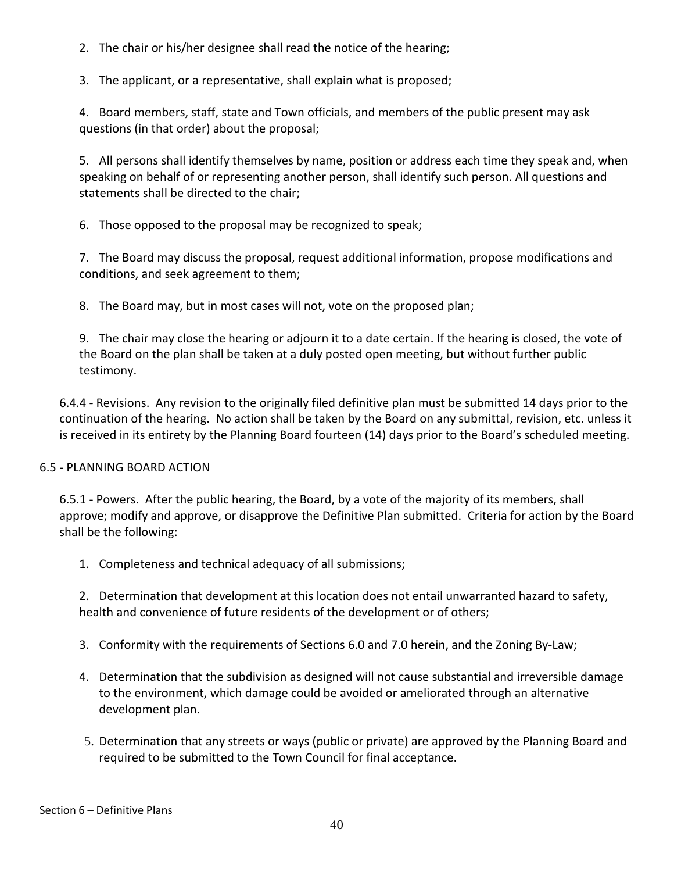2. The chair or his/her designee shall read the notice of the hearing;

3. The applicant, or a representative, shall explain what is proposed;

4. Board members, staff, state and Town officials, and members of the public present may ask questions (in that order) about the proposal;

5. All persons shall identify themselves by name, position or address each time they speak and, when speaking on behalf of or representing another person, shall identify such person. All questions and statements shall be directed to the chair;

6. Those opposed to the proposal may be recognized to speak;

7. The Board may discuss the proposal, request additional information, propose modifications and conditions, and seek agreement to them;

8. The Board may, but in most cases will not, vote on the proposed plan;

9. The chair may close the hearing or adjourn it to a date certain. If the hearing is closed, the vote of the Board on the plan shall be taken at a duly posted open meeting, but without further public testimony.

6.4.4 - Revisions. Any revision to the originally filed definitive plan must be submitted 14 days prior to the continuation of the hearing. No action shall be taken by the Board on any submittal, revision, etc. unless it is received in its entirety by the Planning Board fourteen (14) days prior to the Board's scheduled meeting.

## 6.5 - PLANNING BOARD ACTION

6.5.1 - Powers. After the public hearing, the Board, by a vote of the majority of its members, shall approve; modify and approve, or disapprove the Definitive Plan submitted. Criteria for action by the Board shall be the following:

1. Completeness and technical adequacy of all submissions;

2. Determination that development at this location does not entail unwarranted hazard to safety, health and convenience of future residents of the development or of others;

- 3. Conformity with the requirements of Sections 6.0 and 7.0 herein, and the Zoning By-Law;
- 4. Determination that the subdivision as designed will not cause substantial and irreversible damage to the environment, which damage could be avoided or ameliorated through an alternative development plan.
- 5. Determination that any streets or ways (public or private) are approved by the Planning Board and required to be submitted to the Town Council for final acceptance.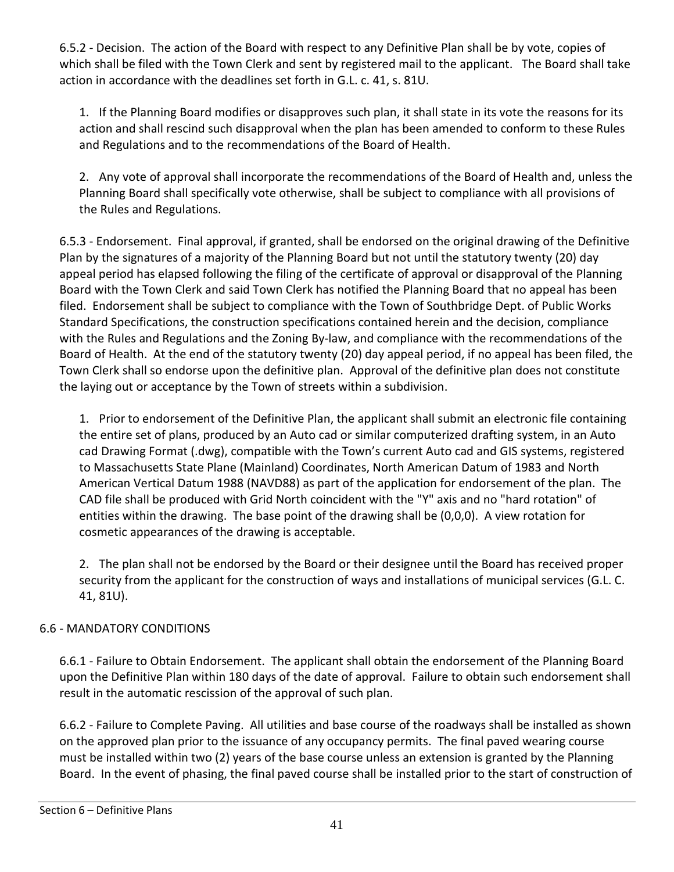6.5.2 - Decision. The action of the Board with respect to any Definitive Plan shall be by vote, copies of which shall be filed with the Town Clerk and sent by registered mail to the applicant. The Board shall take action in accordance with the deadlines set forth in G.L. c. 41, s. 81U.

1. If the Planning Board modifies or disapproves such plan, it shall state in its vote the reasons for its action and shall rescind such disapproval when the plan has been amended to conform to these Rules and Regulations and to the recommendations of the Board of Health.

2. Any vote of approval shall incorporate the recommendations of the Board of Health and, unless the Planning Board shall specifically vote otherwise, shall be subject to compliance with all provisions of the Rules and Regulations.

6.5.3 - Endorsement. Final approval, if granted, shall be endorsed on the original drawing of the Definitive Plan by the signatures of a majority of the Planning Board but not until the statutory twenty (20) day appeal period has elapsed following the filing of the certificate of approval or disapproval of the Planning Board with the Town Clerk and said Town Clerk has notified the Planning Board that no appeal has been filed. Endorsement shall be subject to compliance with the Town of Southbridge Dept. of Public Works Standard Specifications, the construction specifications contained herein and the decision, compliance with the Rules and Regulations and the Zoning By-law, and compliance with the recommendations of the Board of Health. At the end of the statutory twenty (20) day appeal period, if no appeal has been filed, the Town Clerk shall so endorse upon the definitive plan. Approval of the definitive plan does not constitute the laying out or acceptance by the Town of streets within a subdivision.

1. Prior to endorsement of the Definitive Plan, the applicant shall submit an electronic file containing the entire set of plans, produced by an Auto cad or similar computerized drafting system, in an Auto cad Drawing Format (.dwg), compatible with the Town's current Auto cad and GIS systems, registered to Massachusetts State Plane (Mainland) Coordinates, North American Datum of 1983 and North American Vertical Datum 1988 (NAVD88) as part of the application for endorsement of the plan. The CAD file shall be produced with Grid North coincident with the "Y" axis and no "hard rotation" of entities within the drawing. The base point of the drawing shall be (0,0,0). A view rotation for cosmetic appearances of the drawing is acceptable.

2. The plan shall not be endorsed by the Board or their designee until the Board has received proper security from the applicant for the construction of ways and installations of municipal services (G.L. C. 41, 81U).

## 6.6 - MANDATORY CONDITIONS

6.6.1 - Failure to Obtain Endorsement. The applicant shall obtain the endorsement of the Planning Board upon the Definitive Plan within 180 days of the date of approval. Failure to obtain such endorsement shall result in the automatic rescission of the approval of such plan.

6.6.2 - Failure to Complete Paving. All utilities and base course of the roadways shall be installed as shown on the approved plan prior to the issuance of any occupancy permits. The final paved wearing course must be installed within two (2) years of the base course unless an extension is granted by the Planning Board. In the event of phasing, the final paved course shall be installed prior to the start of construction of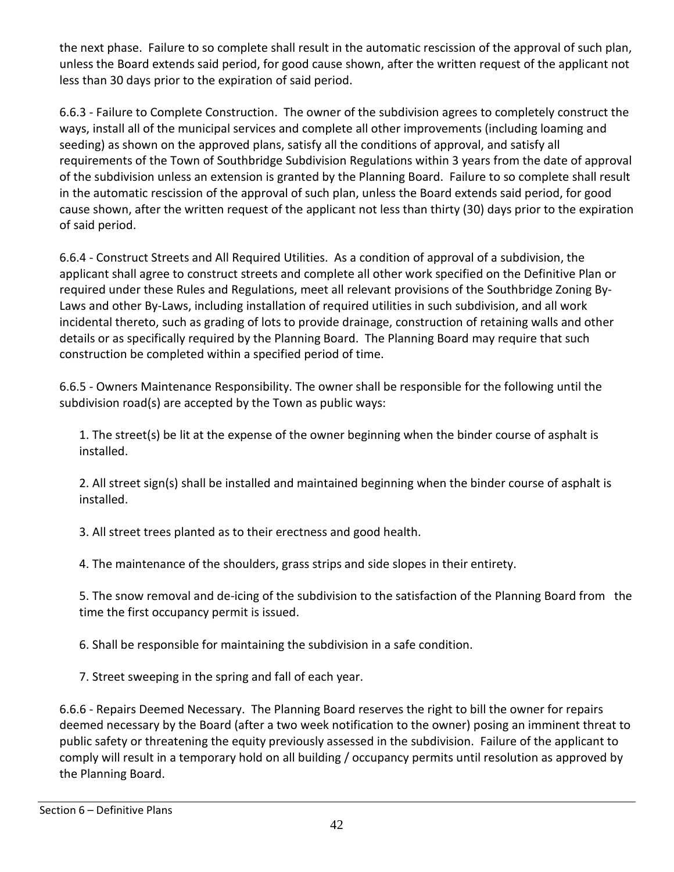the next phase. Failure to so complete shall result in the automatic rescission of the approval of such plan, unless the Board extends said period, for good cause shown, after the written request of the applicant not less than 30 days prior to the expiration of said period.

6.6.3 - Failure to Complete Construction. The owner of the subdivision agrees to completely construct the ways, install all of the municipal services and complete all other improvements (including loaming and seeding) as shown on the approved plans, satisfy all the conditions of approval, and satisfy all requirements of the Town of Southbridge Subdivision Regulations within 3 years from the date of approval of the subdivision unless an extension is granted by the Planning Board. Failure to so complete shall result in the automatic rescission of the approval of such plan, unless the Board extends said period, for good cause shown, after the written request of the applicant not less than thirty (30) days prior to the expiration of said period.

6.6.4 - Construct Streets and All Required Utilities. As a condition of approval of a subdivision, the applicant shall agree to construct streets and complete all other work specified on the Definitive Plan or required under these Rules and Regulations, meet all relevant provisions of the Southbridge Zoning By-Laws and other By-Laws, including installation of required utilities in such subdivision, and all work incidental thereto, such as grading of lots to provide drainage, construction of retaining walls and other details or as specifically required by the Planning Board. The Planning Board may require that such construction be completed within a specified period of time.

6.6.5 - Owners Maintenance Responsibility. The owner shall be responsible for the following until the subdivision road(s) are accepted by the Town as public ways:

1. The street(s) be lit at the expense of the owner beginning when the binder course of asphalt is installed.

2. All street sign(s) shall be installed and maintained beginning when the binder course of asphalt is installed.

3. All street trees planted as to their erectness and good health.

4. The maintenance of the shoulders, grass strips and side slopes in their entirety.

5. The snow removal and de-icing of the subdivision to the satisfaction of the Planning Board from the time the first occupancy permit is issued.

6. Shall be responsible for maintaining the subdivision in a safe condition.

7. Street sweeping in the spring and fall of each year.

6.6.6 - Repairs Deemed Necessary. The Planning Board reserves the right to bill the owner for repairs deemed necessary by the Board (after a two week notification to the owner) posing an imminent threat to public safety or threatening the equity previously assessed in the subdivision. Failure of the applicant to comply will result in a temporary hold on all building / occupancy permits until resolution as approved by the Planning Board.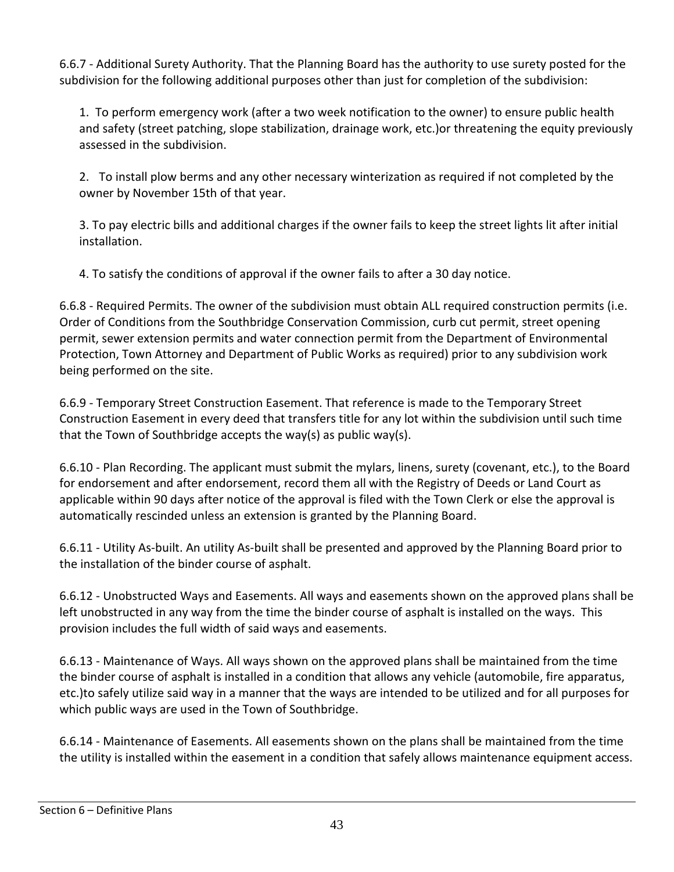6.6.7 - Additional Surety Authority. That the Planning Board has the authority to use surety posted for the subdivision for the following additional purposes other than just for completion of the subdivision:

1. To perform emergency work (after a two week notification to the owner) to ensure public health and safety (street patching, slope stabilization, drainage work, etc.)or threatening the equity previously assessed in the subdivision.

2. To install plow berms and any other necessary winterization as required if not completed by the owner by November 15th of that year.

3. To pay electric bills and additional charges if the owner fails to keep the street lights lit after initial installation.

4. To satisfy the conditions of approval if the owner fails to after a 30 day notice.

6.6.8 - Required Permits. The owner of the subdivision must obtain ALL required construction permits (i.e. Order of Conditions from the Southbridge Conservation Commission, curb cut permit, street opening permit, sewer extension permits and water connection permit from the Department of Environmental Protection, Town Attorney and Department of Public Works as required) prior to any subdivision work being performed on the site.

6.6.9 - Temporary Street Construction Easement. That reference is made to the Temporary Street Construction Easement in every deed that transfers title for any lot within the subdivision until such time that the Town of Southbridge accepts the way(s) as public way(s).

6.6.10 - Plan Recording. The applicant must submit the mylars, linens, surety (covenant, etc.), to the Board for endorsement and after endorsement, record them all with the Registry of Deeds or Land Court as applicable within 90 days after notice of the approval is filed with the Town Clerk or else the approval is automatically rescinded unless an extension is granted by the Planning Board.

6.6.11 - Utility As-built. An utility As-built shall be presented and approved by the Planning Board prior to the installation of the binder course of asphalt.

6.6.12 - Unobstructed Ways and Easements. All ways and easements shown on the approved plans shall be left unobstructed in any way from the time the binder course of asphalt is installed on the ways. This provision includes the full width of said ways and easements.

6.6.13 - Maintenance of Ways. All ways shown on the approved plans shall be maintained from the time the binder course of asphalt is installed in a condition that allows any vehicle (automobile, fire apparatus, etc.)to safely utilize said way in a manner that the ways are intended to be utilized and for all purposes for which public ways are used in the Town of Southbridge.

6.6.14 - Maintenance of Easements. All easements shown on the plans shall be maintained from the time the utility is installed within the easement in a condition that safely allows maintenance equipment access.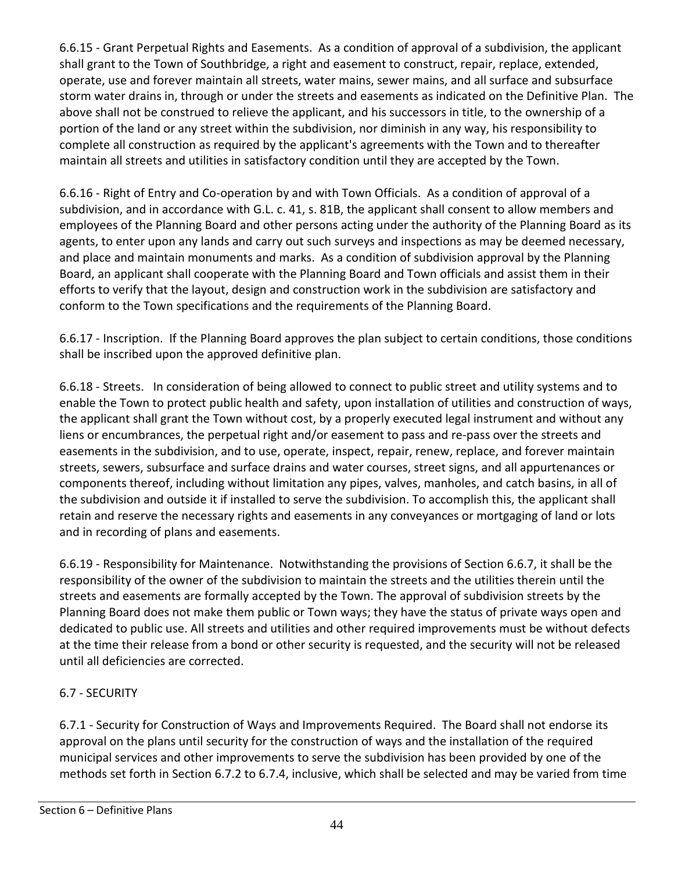6.6.15 - Grant Perpetual Rights and Easements. As a condition of approval of a subdivision, the applicant shall grant to the Town of Southbridge, a right and easement to construct, repair, replace, extended, operate, use and forever maintain all streets, water mains, sewer mains, and all surface and subsurface storm water drains in, through or under the streets and easements as indicated on the Definitive Plan. The above shall not be construed to relieve the applicant, and his successors in title, to the ownership of a portion of the land or any street within the subdivision, nor diminish in any way, his responsibility to complete all construction as required by the applicant's agreements with the Town and to thereafter maintain all streets and utilities in satisfactory condition until they are accepted by the Town.

6.6.16 - Right of Entry and Co-operation by and with Town Officials. As a condition of approval of a subdivision, and in accordance with G.L. c. 41, s. 81B, the applicant shall consent to allow members and employees of the Planning Board and other persons acting under the authority of the Planning Board as its agents, to enter upon any lands and carry out such surveys and inspections as may be deemed necessary, and place and maintain monuments and marks. As a condition of subdivision approval by the Planning Board, an applicant shall cooperate with the Planning Board and Town officials and assist them in their efforts to verify that the layout, design and construction work in the subdivision are satisfactory and conform to the Town specifications and the requirements of the Planning Board.

6.6.17 - Inscription. If the Planning Board approves the plan subject to certain conditions, those conditions shall be inscribed upon the approved definitive plan.

6.6.18 - Streets. In consideration of being allowed to connect to public street and utility systems and to enable the Town to protect public health and safety, upon installation of utilities and construction of ways, the applicant shall grant the Town without cost, by a properly executed legal instrument and without any liens or encumbrances, the perpetual right and/or easement to pass and re-pass over the streets and easements in the subdivision, and to use, operate, inspect, repair, renew, replace, and forever maintain streets, sewers, subsurface and surface drains and water courses, street signs, and all appurtenances or components thereof, including without limitation any pipes, valves, manholes, and catch basins, in all of the subdivision and outside it if installed to serve the subdivision. To accomplish this, the applicant shall retain and reserve the necessary rights and easements in any conveyances or mortgaging of land or lots and in recording of plans and easements.

6.6.19 - Responsibility for Maintenance. Notwithstanding the provisions of Section 6.6.7, it shall be the responsibility of the owner of the subdivision to maintain the streets and the utilities therein until the streets and easements are formally accepted by the Town. The approval of subdivision streets by the Planning Board does not make them public or Town ways; they have the status of private ways open and dedicated to public use. All streets and utilities and other required improvements must be without defects at the time their release from a bond or other security is requested, and the security will not be released until all deficiencies are corrected.

# 6.7 - SECURITY

6.7.1 - Security for Construction of Ways and Improvements Required. The Board shall not endorse its approval on the plans until security for the construction of ways and the installation of the required municipal services and other improvements to serve the subdivision has been provided by one of the methods set forth in Section 6.7.2 to 6.7.4, inclusive, which shall be selected and may be varied from time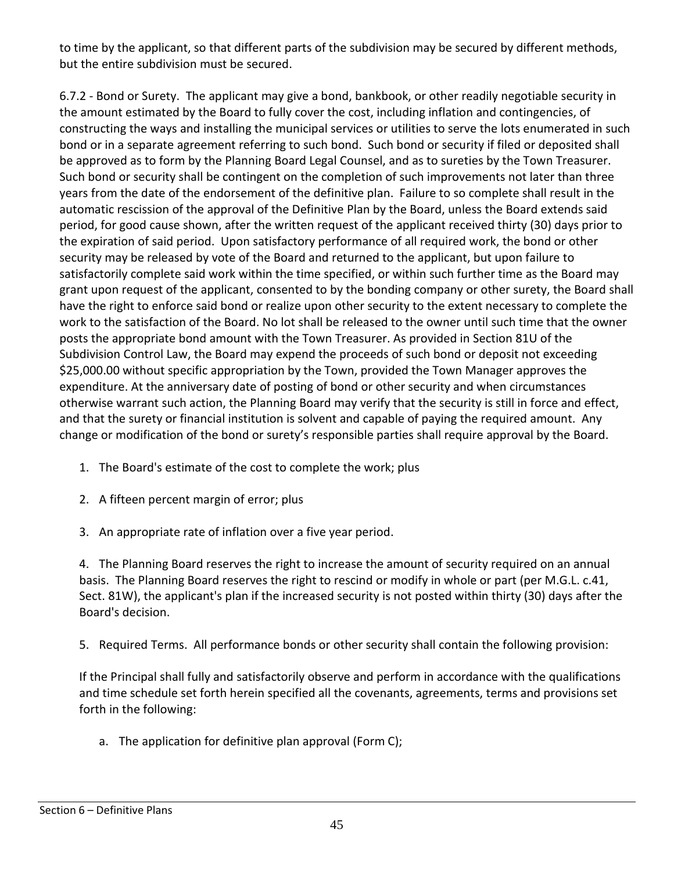to time by the applicant, so that different parts of the subdivision may be secured by different methods, but the entire subdivision must be secured.

6.7.2 - Bond or Surety. The applicant may give a bond, bankbook, or other readily negotiable security in the amount estimated by the Board to fully cover the cost, including inflation and contingencies, of constructing the ways and installing the municipal services or utilities to serve the lots enumerated in such bond or in a separate agreement referring to such bond. Such bond or security if filed or deposited shall be approved as to form by the Planning Board Legal Counsel, and as to sureties by the Town Treasurer. Such bond or security shall be contingent on the completion of such improvements not later than three years from the date of the endorsement of the definitive plan. Failure to so complete shall result in the automatic rescission of the approval of the Definitive Plan by the Board, unless the Board extends said period, for good cause shown, after the written request of the applicant received thirty (30) days prior to the expiration of said period. Upon satisfactory performance of all required work, the bond or other security may be released by vote of the Board and returned to the applicant, but upon failure to satisfactorily complete said work within the time specified, or within such further time as the Board may grant upon request of the applicant, consented to by the bonding company or other surety, the Board shall have the right to enforce said bond or realize upon other security to the extent necessary to complete the work to the satisfaction of the Board. No lot shall be released to the owner until such time that the owner posts the appropriate bond amount with the Town Treasurer. As provided in Section 81U of the Subdivision Control Law, the Board may expend the proceeds of such bond or deposit not exceeding \$25,000.00 without specific appropriation by the Town, provided the Town Manager approves the expenditure. At the anniversary date of posting of bond or other security and when circumstances otherwise warrant such action, the Planning Board may verify that the security is still in force and effect, and that the surety or financial institution is solvent and capable of paying the required amount. Any change or modification of the bond or surety's responsible parties shall require approval by the Board.

- 1. The Board's estimate of the cost to complete the work; plus
- 2. A fifteen percent margin of error; plus
- 3. An appropriate rate of inflation over a five year period.

4. The Planning Board reserves the right to increase the amount of security required on an annual basis. The Planning Board reserves the right to rescind or modify in whole or part (per M.G.L. c.41, Sect. 81W), the applicant's plan if the increased security is not posted within thirty (30) days after the Board's decision.

5. Required Terms. All performance bonds or other security shall contain the following provision:

If the Principal shall fully and satisfactorily observe and perform in accordance with the qualifications and time schedule set forth herein specified all the covenants, agreements, terms and provisions set forth in the following:

a. The application for definitive plan approval (Form C);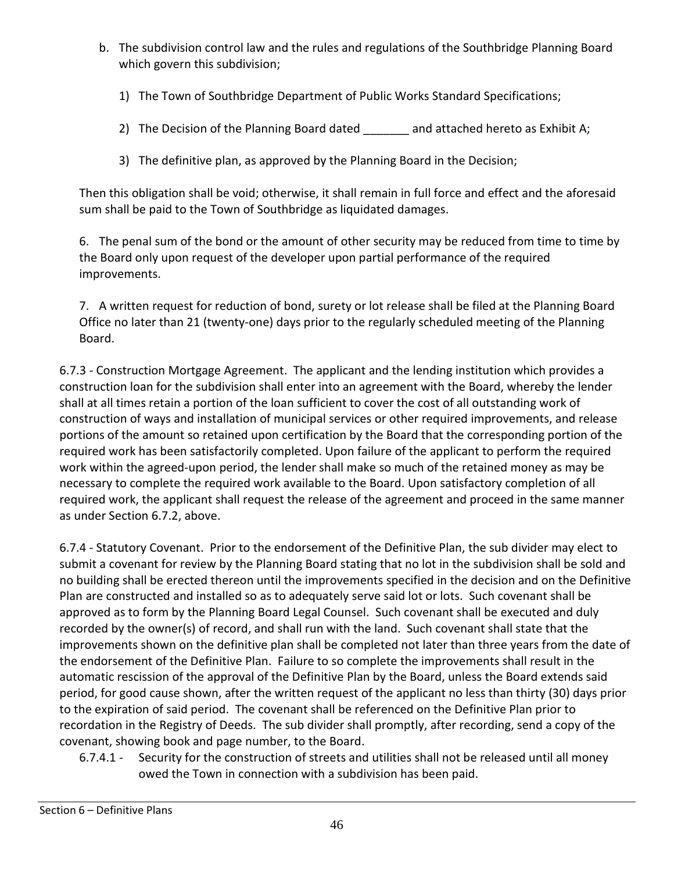- b. The subdivision control law and the rules and regulations of the Southbridge Planning Board which govern this subdivision;
	- 1) The Town of Southbridge Department of Public Works Standard Specifications;
	- 2) The Decision of the Planning Board dated \_\_\_\_\_\_\_ and attached hereto as Exhibit A;
	- 3) The definitive plan, as approved by the Planning Board in the Decision;

Then this obligation shall be void; otherwise, it shall remain in full force and effect and the aforesaid sum shall be paid to the Town of Southbridge as liquidated damages.

6. The penal sum of the bond or the amount of other security may be reduced from time to time by the Board only upon request of the developer upon partial performance of the required improvements.

7. A written request for reduction of bond, surety or lot release shall be filed at the Planning Board Office no later than 21 (twenty-one) days prior to the regularly scheduled meeting of the Planning Board.

6.7.3 - Construction Mortgage Agreement. The applicant and the lending institution which provides a construction loan for the subdivision shall enter into an agreement with the Board, whereby the lender shall at all times retain a portion of the loan sufficient to cover the cost of all outstanding work of construction of ways and installation of municipal services or other required improvements, and release portions of the amount so retained upon certification by the Board that the corresponding portion of the required work has been satisfactorily completed. Upon failure of the applicant to perform the required work within the agreed-upon period, the lender shall make so much of the retained money as may be necessary to complete the required work available to the Board. Upon satisfactory completion of all required work, the applicant shall request the release of the agreement and proceed in the same manner as under Section 6.7.2, above.

6.7.4 - Statutory Covenant. Prior to the endorsement of the Definitive Plan, the sub divider may elect to submit a covenant for review by the Planning Board stating that no lot in the subdivision shall be sold and no building shall be erected thereon until the improvements specified in the decision and on the Definitive Plan are constructed and installed so as to adequately serve said lot or lots. Such covenant shall be approved as to form by the Planning Board Legal Counsel. Such covenant shall be executed and duly recorded by the owner(s) of record, and shall run with the land. Such covenant shall state that the improvements shown on the definitive plan shall be completed not later than three years from the date of the endorsement of the Definitive Plan. Failure to so complete the improvements shall result in the automatic rescission of the approval of the Definitive Plan by the Board, unless the Board extends said period, for good cause shown, after the written request of the applicant no less than thirty (30) days prior to the expiration of said period. The covenant shall be referenced on the Definitive Plan prior to recordation in the Registry of Deeds. The sub divider shall promptly, after recording, send a copy of the covenant, showing book and page number, to the Board.

6.7.4.1 - Security for the construction of streets and utilities shall not be released until all money owed the Town in connection with a subdivision has been paid.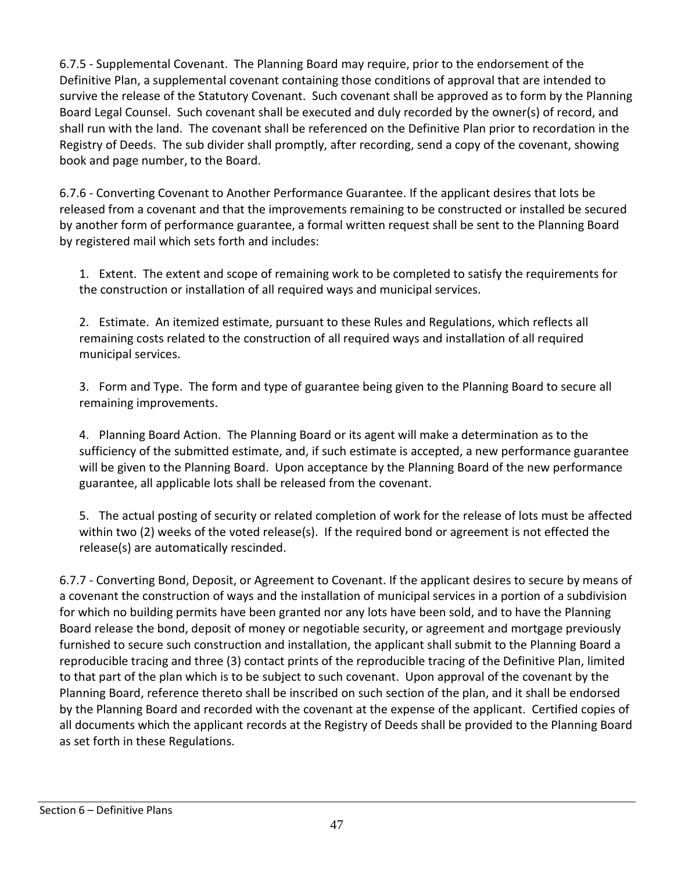6.7.5 - Supplemental Covenant. The Planning Board may require, prior to the endorsement of the Definitive Plan, a supplemental covenant containing those conditions of approval that are intended to survive the release of the Statutory Covenant. Such covenant shall be approved as to form by the Planning Board Legal Counsel. Such covenant shall be executed and duly recorded by the owner(s) of record, and shall run with the land. The covenant shall be referenced on the Definitive Plan prior to recordation in the Registry of Deeds. The sub divider shall promptly, after recording, send a copy of the covenant, showing book and page number, to the Board.

6.7.6 - Converting Covenant to Another Performance Guarantee. If the applicant desires that lots be released from a covenant and that the improvements remaining to be constructed or installed be secured by another form of performance guarantee, a formal written request shall be sent to the Planning Board by registered mail which sets forth and includes:

1. Extent. The extent and scope of remaining work to be completed to satisfy the requirements for the construction or installation of all required ways and municipal services.

2. Estimate. An itemized estimate, pursuant to these Rules and Regulations, which reflects all remaining costs related to the construction of all required ways and installation of all required municipal services.

3. Form and Type. The form and type of guarantee being given to the Planning Board to secure all remaining improvements.

4. Planning Board Action. The Planning Board or its agent will make a determination as to the sufficiency of the submitted estimate, and, if such estimate is accepted, a new performance guarantee will be given to the Planning Board. Upon acceptance by the Planning Board of the new performance guarantee, all applicable lots shall be released from the covenant.

5. The actual posting of security or related completion of work for the release of lots must be affected within two (2) weeks of the voted release(s). If the required bond or agreement is not effected the release(s) are automatically rescinded.

6.7.7 - Converting Bond, Deposit, or Agreement to Covenant. If the applicant desires to secure by means of a covenant the construction of ways and the installation of municipal services in a portion of a subdivision for which no building permits have been granted nor any lots have been sold, and to have the Planning Board release the bond, deposit of money or negotiable security, or agreement and mortgage previously furnished to secure such construction and installation, the applicant shall submit to the Planning Board a reproducible tracing and three (3) contact prints of the reproducible tracing of the Definitive Plan, limited to that part of the plan which is to be subject to such covenant. Upon approval of the covenant by the Planning Board, reference thereto shall be inscribed on such section of the plan, and it shall be endorsed by the Planning Board and recorded with the covenant at the expense of the applicant. Certified copies of all documents which the applicant records at the Registry of Deeds shall be provided to the Planning Board as set forth in these Regulations.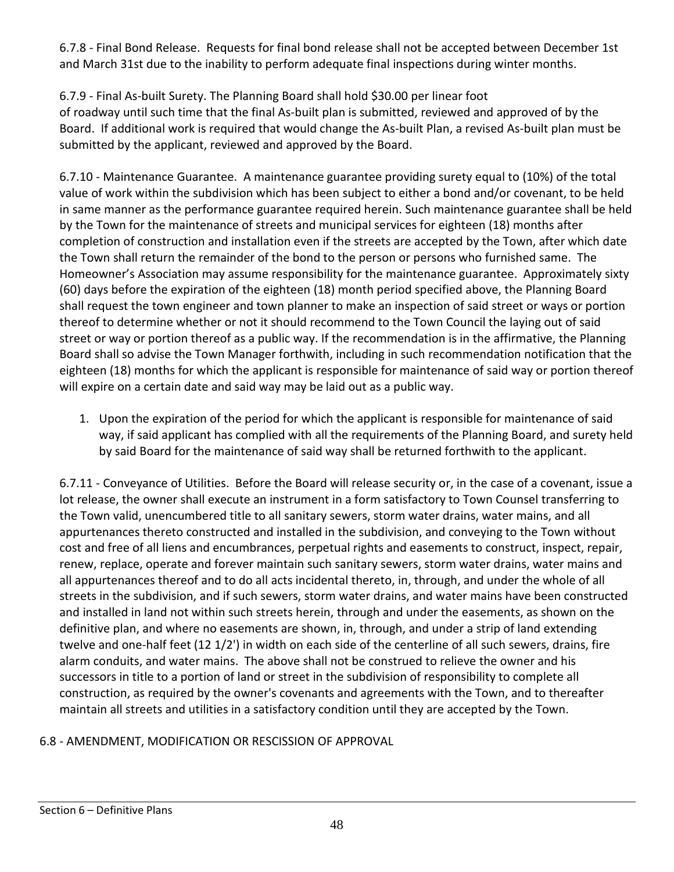6.7.8 - Final Bond Release. Requests for final bond release shall not be accepted between December 1st and March 31st due to the inability to perform adequate final inspections during winter months.

6.7.9 - Final As-built Surety. The Planning Board shall hold \$30.00 per linear foot of roadway until such time that the final As-built plan is submitted, reviewed and approved of by the Board. If additional work is required that would change the As-built Plan, a revised As-built plan must be submitted by the applicant, reviewed and approved by the Board.

6.7.10 - Maintenance Guarantee. A maintenance guarantee providing surety equal to (10%) of the total value of work within the subdivision which has been subject to either a bond and/or covenant, to be held in same manner as the performance guarantee required herein. Such maintenance guarantee shall be held by the Town for the maintenance of streets and municipal services for eighteen (18) months after completion of construction and installation even if the streets are accepted by the Town, after which date the Town shall return the remainder of the bond to the person or persons who furnished same. The Homeowner's Association may assume responsibility for the maintenance guarantee. Approximately sixty (60) days before the expiration of the eighteen (18) month period specified above, the Planning Board shall request the town engineer and town planner to make an inspection of said street or ways or portion thereof to determine whether or not it should recommend to the Town Council the laying out of said street or way or portion thereof as a public way. If the recommendation is in the affirmative, the Planning Board shall so advise the Town Manager forthwith, including in such recommendation notification that the eighteen (18) months for which the applicant is responsible for maintenance of said way or portion thereof will expire on a certain date and said way may be laid out as a public way.

1. Upon the expiration of the period for which the applicant is responsible for maintenance of said way, if said applicant has complied with all the requirements of the Planning Board, and surety held by said Board for the maintenance of said way shall be returned forthwith to the applicant.

6.7.11 - Conveyance of Utilities. Before the Board will release security or, in the case of a covenant, issue a lot release, the owner shall execute an instrument in a form satisfactory to Town Counsel transferring to the Town valid, unencumbered title to all sanitary sewers, storm water drains, water mains, and all appurtenances thereto constructed and installed in the subdivision, and conveying to the Town without cost and free of all liens and encumbrances, perpetual rights and easements to construct, inspect, repair, renew, replace, operate and forever maintain such sanitary sewers, storm water drains, water mains and all appurtenances thereof and to do all acts incidental thereto, in, through, and under the whole of all streets in the subdivision, and if such sewers, storm water drains, and water mains have been constructed and installed in land not within such streets herein, through and under the easements, as shown on the definitive plan, and where no easements are shown, in, through, and under a strip of land extending twelve and one-half feet (12 1/2') in width on each side of the centerline of all such sewers, drains, fire alarm conduits, and water mains. The above shall not be construed to relieve the owner and his successors in title to a portion of land or street in the subdivision of responsibility to complete all construction, as required by the owner's covenants and agreements with the Town, and to thereafter maintain all streets and utilities in a satisfactory condition until they are accepted by the Town.

# 6.8 - AMENDMENT, MODIFICATION OR RESCISSION OF APPROVAL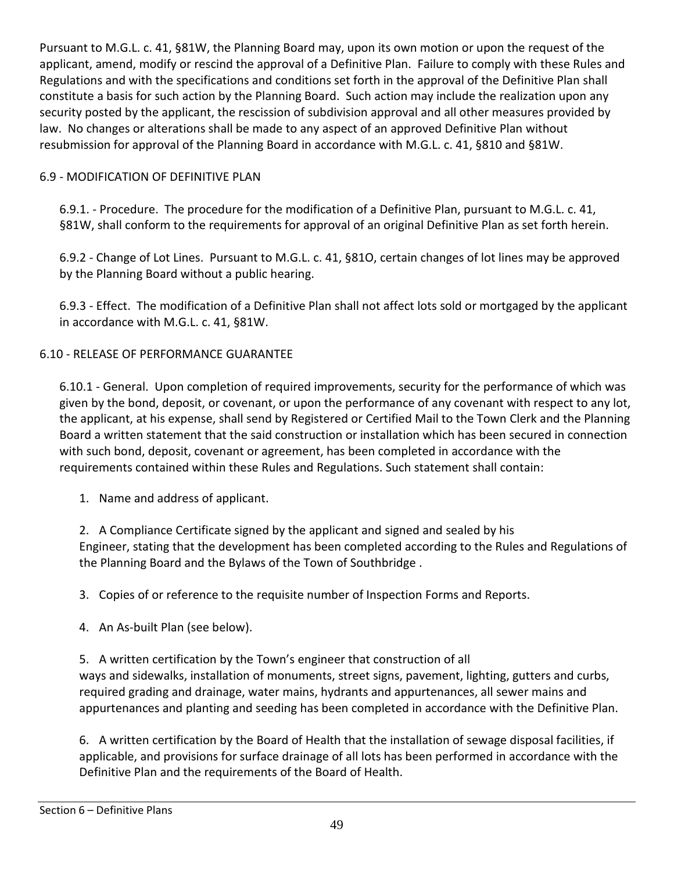Pursuant to M.G.L. c. 41, §81W, the Planning Board may, upon its own motion or upon the request of the applicant, amend, modify or rescind the approval of a Definitive Plan. Failure to comply with these Rules and Regulations and with the specifications and conditions set forth in the approval of the Definitive Plan shall constitute a basis for such action by the Planning Board. Such action may include the realization upon any security posted by the applicant, the rescission of subdivision approval and all other measures provided by law. No changes or alterations shall be made to any aspect of an approved Definitive Plan without resubmission for approval of the Planning Board in accordance with M.G.L. c. 41, §810 and §81W.

## 6.9 - MODIFICATION OF DEFINITIVE PLAN

6.9.1. - Procedure. The procedure for the modification of a Definitive Plan, pursuant to M.G.L. c. 41, §81W, shall conform to the requirements for approval of an original Definitive Plan as set forth herein.

6.9.2 - Change of Lot Lines. Pursuant to M.G.L. c. 41, §81O, certain changes of lot lines may be approved by the Planning Board without a public hearing.

6.9.3 - Effect. The modification of a Definitive Plan shall not affect lots sold or mortgaged by the applicant in accordance with M.G.L. c. 41, §81W.

## 6.10 - RELEASE OF PERFORMANCE GUARANTEE

6.10.1 - General. Upon completion of required improvements, security for the performance of which was given by the bond, deposit, or covenant, or upon the performance of any covenant with respect to any lot, the applicant, at his expense, shall send by Registered or Certified Mail to the Town Clerk and the Planning Board a written statement that the said construction or installation which has been secured in connection with such bond, deposit, covenant or agreement, has been completed in accordance with the requirements contained within these Rules and Regulations. Such statement shall contain:

1. Name and address of applicant.

2. A Compliance Certificate signed by the applicant and signed and sealed by his Engineer, stating that the development has been completed according to the Rules and Regulations of the Planning Board and the Bylaws of the Town of Southbridge .

3. Copies of or reference to the requisite number of Inspection Forms and Reports.

4. An As-built Plan (see below).

5. A written certification by the Town's engineer that construction of all ways and sidewalks, installation of monuments, street signs, pavement, lighting, gutters and curbs, required grading and drainage, water mains, hydrants and appurtenances, all sewer mains and appurtenances and planting and seeding has been completed in accordance with the Definitive Plan.

6. A written certification by the Board of Health that the installation of sewage disposal facilities, if applicable, and provisions for surface drainage of all lots has been performed in accordance with the Definitive Plan and the requirements of the Board of Health.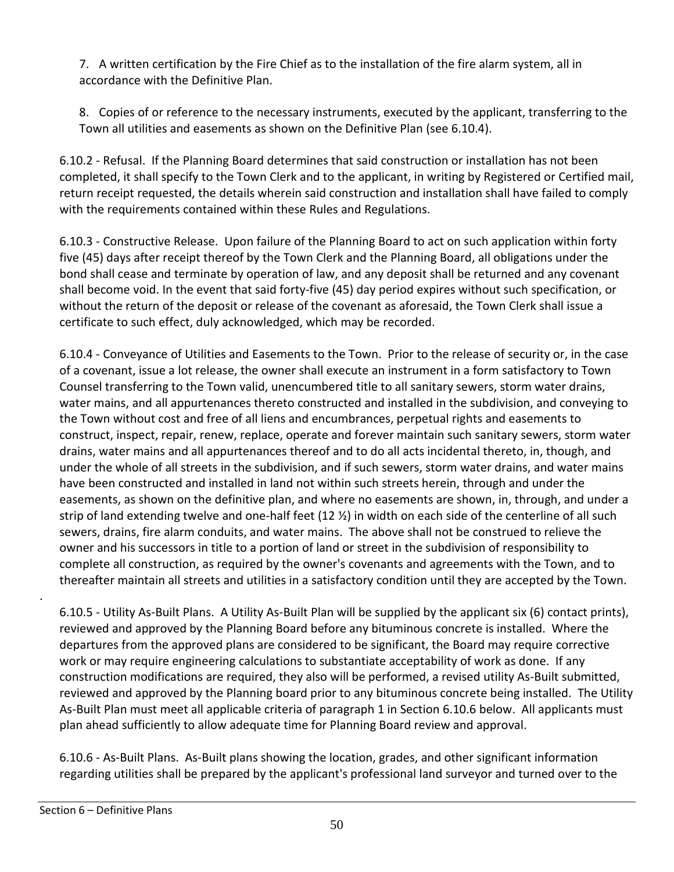7. A written certification by the Fire Chief as to the installation of the fire alarm system, all in accordance with the Definitive Plan.

8. Copies of or reference to the necessary instruments, executed by the applicant, transferring to the Town all utilities and easements as shown on the Definitive Plan (see 6.10.4).

6.10.2 - Refusal. If the Planning Board determines that said construction or installation has not been completed, it shall specify to the Town Clerk and to the applicant, in writing by Registered or Certified mail, return receipt requested, the details wherein said construction and installation shall have failed to comply with the requirements contained within these Rules and Regulations.

6.10.3 - Constructive Release. Upon failure of the Planning Board to act on such application within forty five (45) days after receipt thereof by the Town Clerk and the Planning Board, all obligations under the bond shall cease and terminate by operation of law, and any deposit shall be returned and any covenant shall become void. In the event that said forty-five (45) day period expires without such specification, or without the return of the deposit or release of the covenant as aforesaid, the Town Clerk shall issue a certificate to such effect, duly acknowledged, which may be recorded.

6.10.4 - Conveyance of Utilities and Easements to the Town. Prior to the release of security or, in the case of a covenant, issue a lot release, the owner shall execute an instrument in a form satisfactory to Town Counsel transferring to the Town valid, unencumbered title to all sanitary sewers, storm water drains, water mains, and all appurtenances thereto constructed and installed in the subdivision, and conveying to the Town without cost and free of all liens and encumbrances, perpetual rights and easements to construct, inspect, repair, renew, replace, operate and forever maintain such sanitary sewers, storm water drains, water mains and all appurtenances thereof and to do all acts incidental thereto, in, though, and under the whole of all streets in the subdivision, and if such sewers, storm water drains, and water mains have been constructed and installed in land not within such streets herein, through and under the easements, as shown on the definitive plan, and where no easements are shown, in, through, and under a strip of land extending twelve and one-half feet  $(12 \frac{1}{2})$  in width on each side of the centerline of all such sewers, drains, fire alarm conduits, and water mains. The above shall not be construed to relieve the owner and his successors in title to a portion of land or street in the subdivision of responsibility to complete all construction, as required by the owner's covenants and agreements with the Town, and to thereafter maintain all streets and utilities in a satisfactory condition until they are accepted by the Town.

6.10.5 - Utility As-Built Plans. A Utility As-Built Plan will be supplied by the applicant six (6) contact prints), reviewed and approved by the Planning Board before any bituminous concrete is installed. Where the departures from the approved plans are considered to be significant, the Board may require corrective work or may require engineering calculations to substantiate acceptability of work as done. If any construction modifications are required, they also will be performed, a revised utility As-Built submitted, reviewed and approved by the Planning board prior to any bituminous concrete being installed. The Utility As-Built Plan must meet all applicable criteria of paragraph 1 in Section 6.10.6 below. All applicants must plan ahead sufficiently to allow adequate time for Planning Board review and approval.

6.10.6 - As-Built Plans. As-Built plans showing the location, grades, and other significant information regarding utilities shall be prepared by the applicant's professional land surveyor and turned over to the

.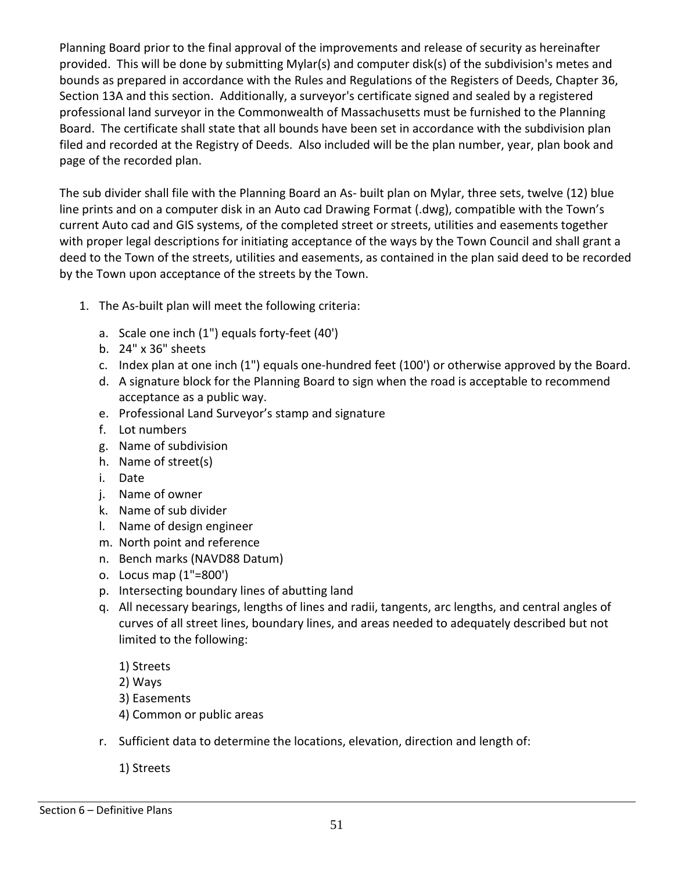Planning Board prior to the final approval of the improvements and release of security as hereinafter provided. This will be done by submitting Mylar(s) and computer disk(s) of the subdivision's metes and bounds as prepared in accordance with the Rules and Regulations of the Registers of Deeds, Chapter 36, Section 13A and this section. Additionally, a surveyor's certificate signed and sealed by a registered professional land surveyor in the Commonwealth of Massachusetts must be furnished to the Planning Board. The certificate shall state that all bounds have been set in accordance with the subdivision plan filed and recorded at the Registry of Deeds. Also included will be the plan number, year, plan book and page of the recorded plan.

The sub divider shall file with the Planning Board an As- built plan on Mylar, three sets, twelve (12) blue line prints and on a computer disk in an Auto cad Drawing Format (.dwg), compatible with the Town's current Auto cad and GIS systems, of the completed street or streets, utilities and easements together with proper legal descriptions for initiating acceptance of the ways by the Town Council and shall grant a deed to the Town of the streets, utilities and easements, as contained in the plan said deed to be recorded by the Town upon acceptance of the streets by the Town.

- 1. The As-built plan will meet the following criteria:
	- a. Scale one inch (1") equals forty-feet (40')
	- b. 24" x 36" sheets
	- c. Index plan at one inch (1") equals one-hundred feet (100') or otherwise approved by the Board.
	- d. A signature block for the Planning Board to sign when the road is acceptable to recommend acceptance as a public way.
	- e. Professional Land Surveyor's stamp and signature
	- f. Lot numbers
	- g. Name of subdivision
	- h. Name of street(s)
	- i. Date
	- j. Name of owner
	- k. Name of sub divider
	- l. Name of design engineer
	- m. North point and reference
	- n. Bench marks (NAVD88 Datum)
	- o. Locus map (1"=800')
	- p. Intersecting boundary lines of abutting land
	- q. All necessary bearings, lengths of lines and radii, tangents, arc lengths, and central angles of curves of all street lines, boundary lines, and areas needed to adequately described but not limited to the following:
		- 1) Streets
		- 2) Ways
		- 3) Easements
		- 4) Common or public areas
	- r. Sufficient data to determine the locations, elevation, direction and length of:

1) Streets

Section 6 – Definitive Plans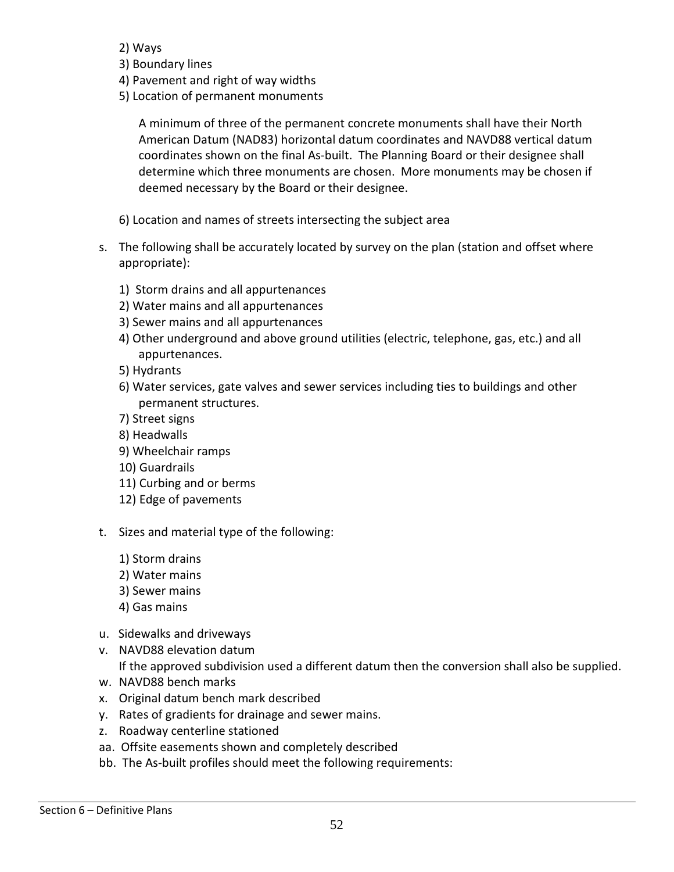- 2) Ways
- 3) Boundary lines
- 4) Pavement and right of way widths
- 5) Location of permanent monuments

A minimum of three of the permanent concrete monuments shall have their North American Datum (NAD83) horizontal datum coordinates and NAVD88 vertical datum coordinates shown on the final As-built. The Planning Board or their designee shall determine which three monuments are chosen. More monuments may be chosen if deemed necessary by the Board or their designee.

- 6) Location and names of streets intersecting the subject area
- s. The following shall be accurately located by survey on the plan (station and offset where appropriate):
	- 1) Storm drains and all appurtenances
	- 2) Water mains and all appurtenances
	- 3) Sewer mains and all appurtenances
	- 4) Other underground and above ground utilities (electric, telephone, gas, etc.) and all appurtenances.
	- 5) Hydrants
	- 6) Water services, gate valves and sewer services including ties to buildings and other permanent structures.
	- 7) Street signs
	- 8) Headwalls
	- 9) Wheelchair ramps
	- 10) Guardrails
	- 11) Curbing and or berms
	- 12) Edge of pavements
- t. Sizes and material type of the following:
	- 1) Storm drains
	- 2) Water mains
	- 3) Sewer mains
	- 4) Gas mains
- u. Sidewalks and driveways
- v. NAVD88 elevation datum If the approved subdivision used a different datum then the conversion shall also be supplied.
- w. NAVD88 bench marks
- x. Original datum bench mark described
- y. Rates of gradients for drainage and sewer mains.
- z. Roadway centerline stationed
- aa. Offsite easements shown and completely described
- bb. The As-built profiles should meet the following requirements: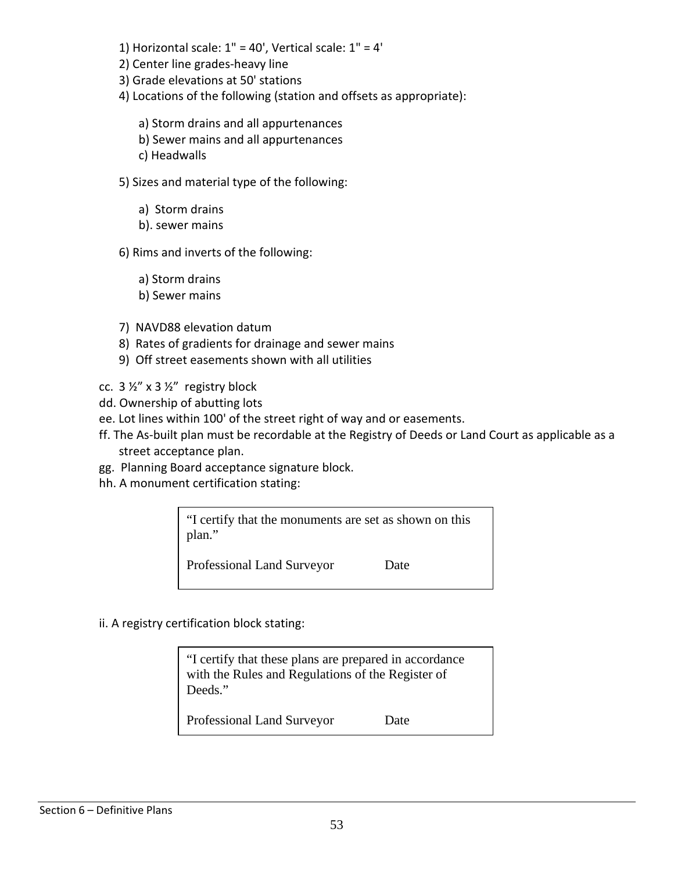- 1) Horizontal scale:  $1" = 40'$ , Vertical scale:  $1" = 4'$
- 2) Center line grades-heavy line
- 3) Grade elevations at 50' stations
- 4) Locations of the following (station and offsets as appropriate):
	- a) Storm drains and all appurtenances
	- b) Sewer mains and all appurtenances
	- c) Headwalls

5) Sizes and material type of the following:

- a) Storm drains
- b). sewer mains
- 6) Rims and inverts of the following:
	- a) Storm drains
	- b) Sewer mains
- 7) NAVD88 elevation datum
- 8) Rates of gradients for drainage and sewer mains
- 9) Off street easements shown with all utilities
- cc.  $3 \frac{1}{2}$ " x  $3 \frac{1}{2}$ " registry block
- dd. Ownership of abutting lots
- ee. Lot lines within 100' of the street right of way and or easements.
- ff. The As-built plan must be recordable at the Registry of Deeds or Land Court as applicable as a street acceptance plan.
- gg. Planning Board acceptance signature block.
- hh. A monument certification stating:



ii. A registry certification block stating:

"I certify that these plans are prepared in accordance with the Rules and Regulations of the Register of Deeds."

Professional Land Surveyor Date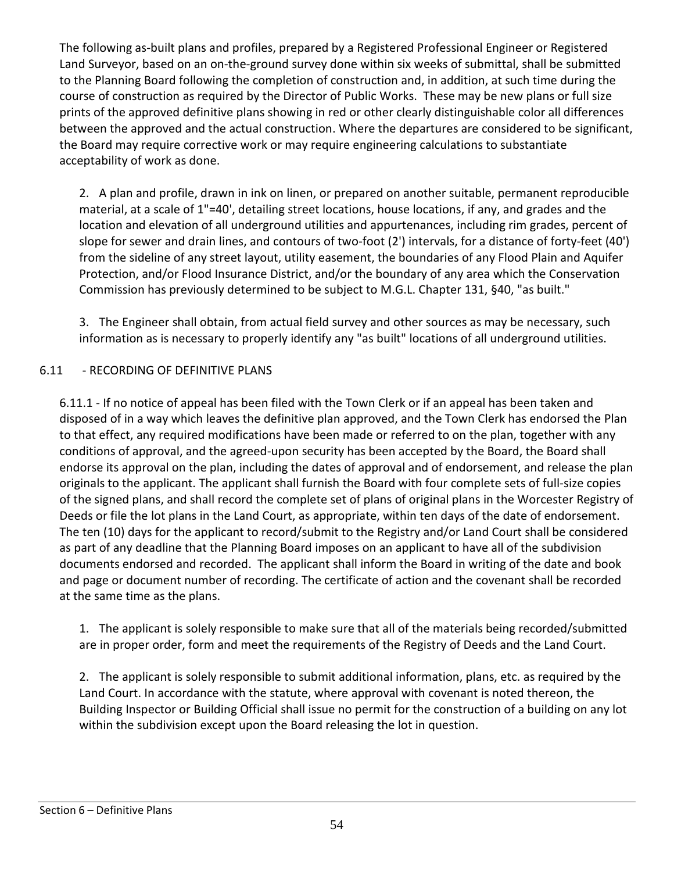The following as-built plans and profiles, prepared by a Registered Professional Engineer or Registered Land Surveyor, based on an on-the-ground survey done within six weeks of submittal, shall be submitted to the Planning Board following the completion of construction and, in addition, at such time during the course of construction as required by the Director of Public Works. These may be new plans or full size prints of the approved definitive plans showing in red or other clearly distinguishable color all differences between the approved and the actual construction. Where the departures are considered to be significant, the Board may require corrective work or may require engineering calculations to substantiate acceptability of work as done.

2. A plan and profile, drawn in ink on linen, or prepared on another suitable, permanent reproducible material, at a scale of 1"=40', detailing street locations, house locations, if any, and grades and the location and elevation of all underground utilities and appurtenances, including rim grades, percent of slope for sewer and drain lines, and contours of two-foot (2') intervals, for a distance of forty-feet (40') from the sideline of any street layout, utility easement, the boundaries of any Flood Plain and Aquifer Protection, and/or Flood Insurance District, and/or the boundary of any area which the Conservation Commission has previously determined to be subject to M.G.L. Chapter 131, §40, "as built."

3. The Engineer shall obtain, from actual field survey and other sources as may be necessary, such information as is necessary to properly identify any "as built" locations of all underground utilities.

## 6.11 - RECORDING OF DEFINITIVE PLANS

6.11.1 - If no notice of appeal has been filed with the Town Clerk or if an appeal has been taken and disposed of in a way which leaves the definitive plan approved, and the Town Clerk has endorsed the Plan to that effect, any required modifications have been made or referred to on the plan, together with any conditions of approval, and the agreed-upon security has been accepted by the Board, the Board shall endorse its approval on the plan, including the dates of approval and of endorsement, and release the plan originals to the applicant. The applicant shall furnish the Board with four complete sets of full-size copies of the signed plans, and shall record the complete set of plans of original plans in the Worcester Registry of Deeds or file the lot plans in the Land Court, as appropriate, within ten days of the date of endorsement. The ten (10) days for the applicant to record/submit to the Registry and/or Land Court shall be considered as part of any deadline that the Planning Board imposes on an applicant to have all of the subdivision documents endorsed and recorded. The applicant shall inform the Board in writing of the date and book and page or document number of recording. The certificate of action and the covenant shall be recorded at the same time as the plans.

1. The applicant is solely responsible to make sure that all of the materials being recorded/submitted are in proper order, form and meet the requirements of the Registry of Deeds and the Land Court.

2. The applicant is solely responsible to submit additional information, plans, etc. as required by the Land Court. In accordance with the statute, where approval with covenant is noted thereon, the Building Inspector or Building Official shall issue no permit for the construction of a building on any lot within the subdivision except upon the Board releasing the lot in question.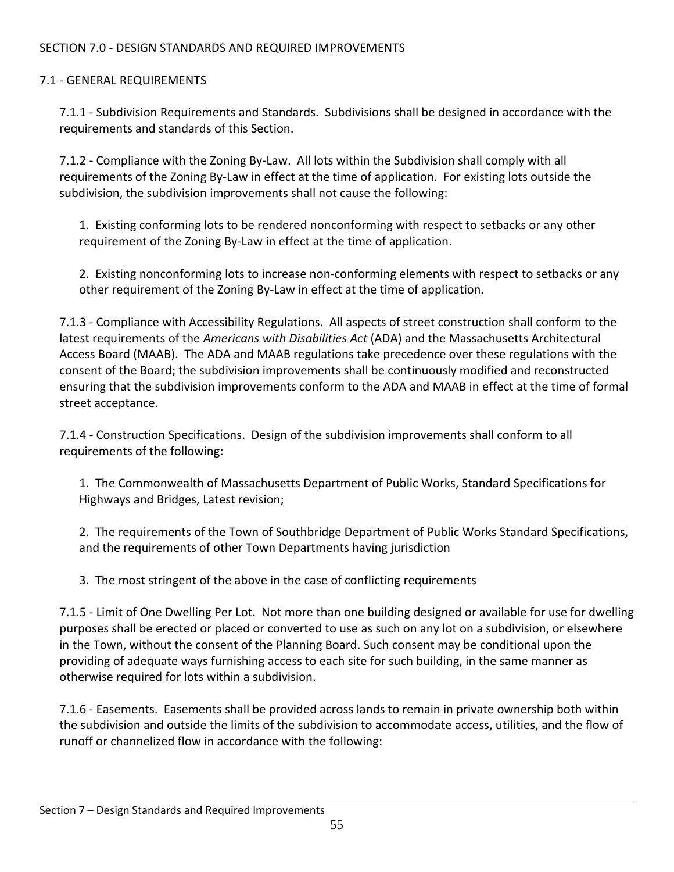#### SECTION 7.0 - DESIGN STANDARDS AND REQUIRED IMPROVEMENTS

#### 7.1 - GENERAL REQUIREMENTS

7.1.1 - Subdivision Requirements and Standards. Subdivisions shall be designed in accordance with the requirements and standards of this Section.

7.1.2 - Compliance with the Zoning By-Law. All lots within the Subdivision shall comply with all requirements of the Zoning By-Law in effect at the time of application. For existing lots outside the subdivision, the subdivision improvements shall not cause the following:

1. Existing conforming lots to be rendered nonconforming with respect to setbacks or any other requirement of the Zoning By-Law in effect at the time of application.

2. Existing nonconforming lots to increase non-conforming elements with respect to setbacks or any other requirement of the Zoning By-Law in effect at the time of application.

7.1.3 - Compliance with Accessibility Regulations. All aspects of street construction shall conform to the latest requirements of the *Americans with Disabilities Act* (ADA) and the Massachusetts Architectural Access Board (MAAB). The ADA and MAAB regulations take precedence over these regulations with the consent of the Board; the subdivision improvements shall be continuously modified and reconstructed ensuring that the subdivision improvements conform to the ADA and MAAB in effect at the time of formal street acceptance.

7.1.4 - Construction Specifications. Design of the subdivision improvements shall conform to all requirements of the following:

1. The Commonwealth of Massachusetts Department of Public Works, Standard Specifications for Highways and Bridges, Latest revision;

2. The requirements of the Town of Southbridge Department of Public Works Standard Specifications, and the requirements of other Town Departments having jurisdiction

3. The most stringent of the above in the case of conflicting requirements

7.1.5 - Limit of One Dwelling Per Lot. Not more than one building designed or available for use for dwelling purposes shall be erected or placed or converted to use as such on any lot on a subdivision, or elsewhere in the Town, without the consent of the Planning Board. Such consent may be conditional upon the providing of adequate ways furnishing access to each site for such building, in the same manner as otherwise required for lots within a subdivision.

7.1.6 - Easements. Easements shall be provided across lands to remain in private ownership both within the subdivision and outside the limits of the subdivision to accommodate access, utilities, and the flow of runoff or channelized flow in accordance with the following: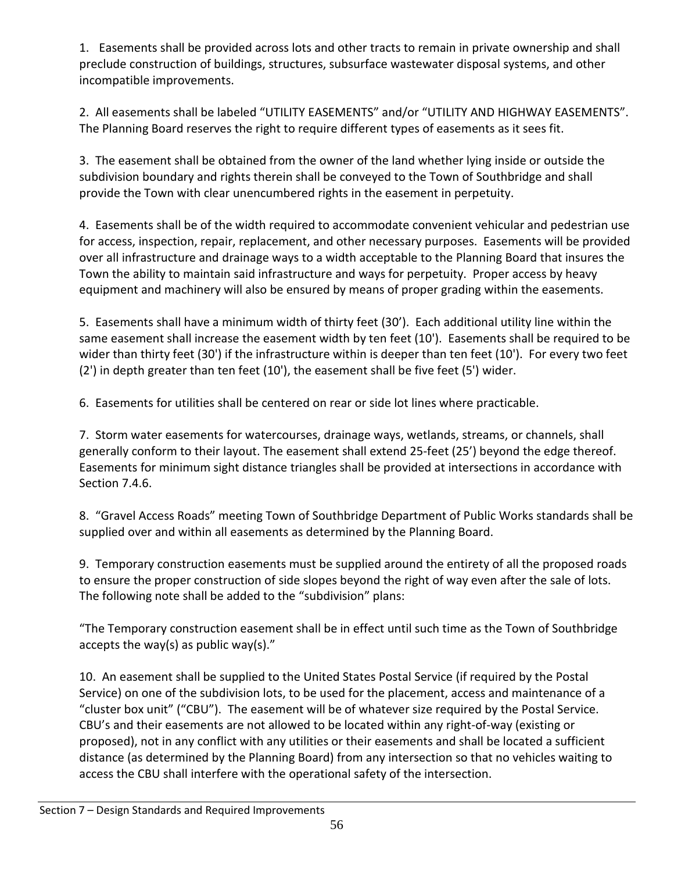1. Easements shall be provided across lots and other tracts to remain in private ownership and shall preclude construction of buildings, structures, subsurface wastewater disposal systems, and other incompatible improvements.

2. All easements shall be labeled "UTILITY EASEMENTS" and/or "UTILITY AND HIGHWAY EASEMENTS". The Planning Board reserves the right to require different types of easements as it sees fit.

3. The easement shall be obtained from the owner of the land whether lying inside or outside the subdivision boundary and rights therein shall be conveyed to the Town of Southbridge and shall provide the Town with clear unencumbered rights in the easement in perpetuity.

4. Easements shall be of the width required to accommodate convenient vehicular and pedestrian use for access, inspection, repair, replacement, and other necessary purposes. Easements will be provided over all infrastructure and drainage ways to a width acceptable to the Planning Board that insures the Town the ability to maintain said infrastructure and ways for perpetuity. Proper access by heavy equipment and machinery will also be ensured by means of proper grading within the easements.

5. Easements shall have a minimum width of thirty feet (30'). Each additional utility line within the same easement shall increase the easement width by ten feet (10'). Easements shall be required to be wider than thirty feet (30') if the infrastructure within is deeper than ten feet (10'). For every two feet (2') in depth greater than ten feet (10'), the easement shall be five feet (5') wider.

6. Easements for utilities shall be centered on rear or side lot lines where practicable.

7. Storm water easements for watercourses, drainage ways, wetlands, streams, or channels, shall generally conform to their layout. The easement shall extend 25-feet (25') beyond the edge thereof. Easements for minimum sight distance triangles shall be provided at intersections in accordance with Section 7.4.6.

8. "Gravel Access Roads" meeting Town of Southbridge Department of Public Works standards shall be supplied over and within all easements as determined by the Planning Board.

9. Temporary construction easements must be supplied around the entirety of all the proposed roads to ensure the proper construction of side slopes beyond the right of way even after the sale of lots. The following note shall be added to the "subdivision" plans:

"The Temporary construction easement shall be in effect until such time as the Town of Southbridge accepts the way(s) as public way(s)."

10. An easement shall be supplied to the United States Postal Service (if required by the Postal Service) on one of the subdivision lots, to be used for the placement, access and maintenance of a "cluster box unit" ("CBU"). The easement will be of whatever size required by the Postal Service. CBU's and their easements are not allowed to be located within any right-of-way (existing or proposed), not in any conflict with any utilities or their easements and shall be located a sufficient distance (as determined by the Planning Board) from any intersection so that no vehicles waiting to access the CBU shall interfere with the operational safety of the intersection.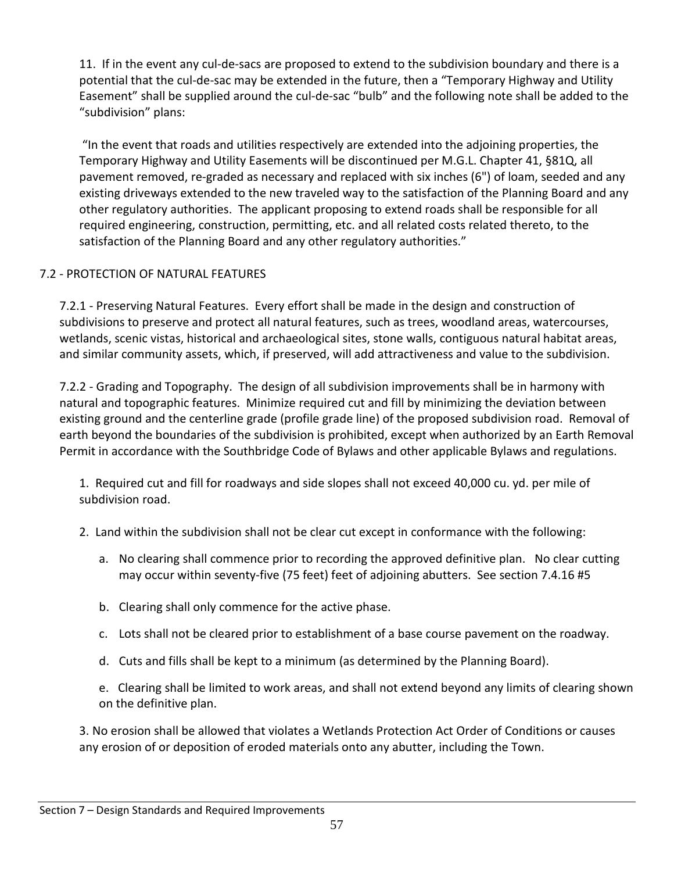11. If in the event any cul-de-sacs are proposed to extend to the subdivision boundary and there is a potential that the cul-de-sac may be extended in the future, then a "Temporary Highway and Utility Easement" shall be supplied around the cul-de-sac "bulb" and the following note shall be added to the "subdivision" plans:

"In the event that roads and utilities respectively are extended into the adjoining properties, the Temporary Highway and Utility Easements will be discontinued per M.G.L. Chapter 41, §81Q, all pavement removed, re-graded as necessary and replaced with six inches (6") of loam, seeded and any existing driveways extended to the new traveled way to the satisfaction of the Planning Board and any other regulatory authorities. The applicant proposing to extend roads shall be responsible for all required engineering, construction, permitting, etc. and all related costs related thereto, to the satisfaction of the Planning Board and any other regulatory authorities."

## 7.2 - PROTECTION OF NATURAL FEATURES

7.2.1 - Preserving Natural Features. Every effort shall be made in the design and construction of subdivisions to preserve and protect all natural features, such as trees, woodland areas, watercourses, wetlands, scenic vistas, historical and archaeological sites, stone walls, contiguous natural habitat areas, and similar community assets, which, if preserved, will add attractiveness and value to the subdivision.

7.2.2 - Grading and Topography. The design of all subdivision improvements shall be in harmony with natural and topographic features. Minimize required cut and fill by minimizing the deviation between existing ground and the centerline grade (profile grade line) of the proposed subdivision road. Removal of earth beyond the boundaries of the subdivision is prohibited, except when authorized by an Earth Removal Permit in accordance with the Southbridge Code of Bylaws and other applicable Bylaws and regulations.

1. Required cut and fill for roadways and side slopes shall not exceed 40,000 cu. yd. per mile of subdivision road.

- 2. Land within the subdivision shall not be clear cut except in conformance with the following:
	- a. No clearing shall commence prior to recording the approved definitive plan. No clear cutting may occur within seventy-five (75 feet) feet of adjoining abutters. See section 7.4.16 #5
	- b. Clearing shall only commence for the active phase.
	- c. Lots shall not be cleared prior to establishment of a base course pavement on the roadway.
	- d. Cuts and fills shall be kept to a minimum (as determined by the Planning Board).

e. Clearing shall be limited to work areas, and shall not extend beyond any limits of clearing shown on the definitive plan.

3. No erosion shall be allowed that violates a Wetlands Protection Act Order of Conditions or causes any erosion of or deposition of eroded materials onto any abutter, including the Town.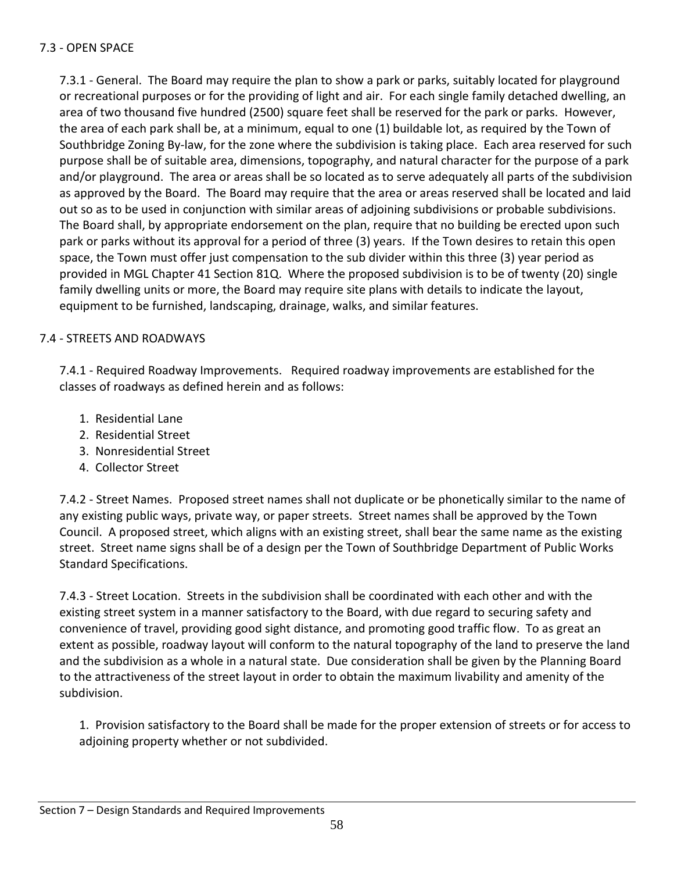7.3.1 - General. The Board may require the plan to show a park or parks, suitably located for playground or recreational purposes or for the providing of light and air. For each single family detached dwelling, an area of two thousand five hundred (2500) square feet shall be reserved for the park or parks. However, the area of each park shall be, at a minimum, equal to one (1) buildable lot, as required by the Town of Southbridge Zoning By-law, for the zone where the subdivision is taking place. Each area reserved for such purpose shall be of suitable area, dimensions, topography, and natural character for the purpose of a park and/or playground. The area or areas shall be so located as to serve adequately all parts of the subdivision as approved by the Board. The Board may require that the area or areas reserved shall be located and laid out so as to be used in conjunction with similar areas of adjoining subdivisions or probable subdivisions. The Board shall, by appropriate endorsement on the plan, require that no building be erected upon such park or parks without its approval for a period of three (3) years. If the Town desires to retain this open space, the Town must offer just compensation to the sub divider within this three (3) year period as provided in MGL Chapter 41 Section 81Q. Where the proposed subdivision is to be of twenty (20) single family dwelling units or more, the Board may require site plans with details to indicate the layout, equipment to be furnished, landscaping, drainage, walks, and similar features.

#### 7.4 - STREETS AND ROADWAYS

7.4.1 - Required Roadway Improvements. Required roadway improvements are established for the classes of roadways as defined herein and as follows:

- 1. Residential Lane
- 2. Residential Street
- 3. Nonresidential Street
- 4. Collector Street

7.4.2 - Street Names. Proposed street names shall not duplicate or be phonetically similar to the name of any existing public ways, private way, or paper streets. Street names shall be approved by the Town Council. A proposed street, which aligns with an existing street, shall bear the same name as the existing street. Street name signs shall be of a design per the Town of Southbridge Department of Public Works Standard Specifications.

7.4.3 - Street Location. Streets in the subdivision shall be coordinated with each other and with the existing street system in a manner satisfactory to the Board, with due regard to securing safety and convenience of travel, providing good sight distance, and promoting good traffic flow. To as great an extent as possible, roadway layout will conform to the natural topography of the land to preserve the land and the subdivision as a whole in a natural state. Due consideration shall be given by the Planning Board to the attractiveness of the street layout in order to obtain the maximum livability and amenity of the subdivision.

1. Provision satisfactory to the Board shall be made for the proper extension of streets or for access to adjoining property whether or not subdivided.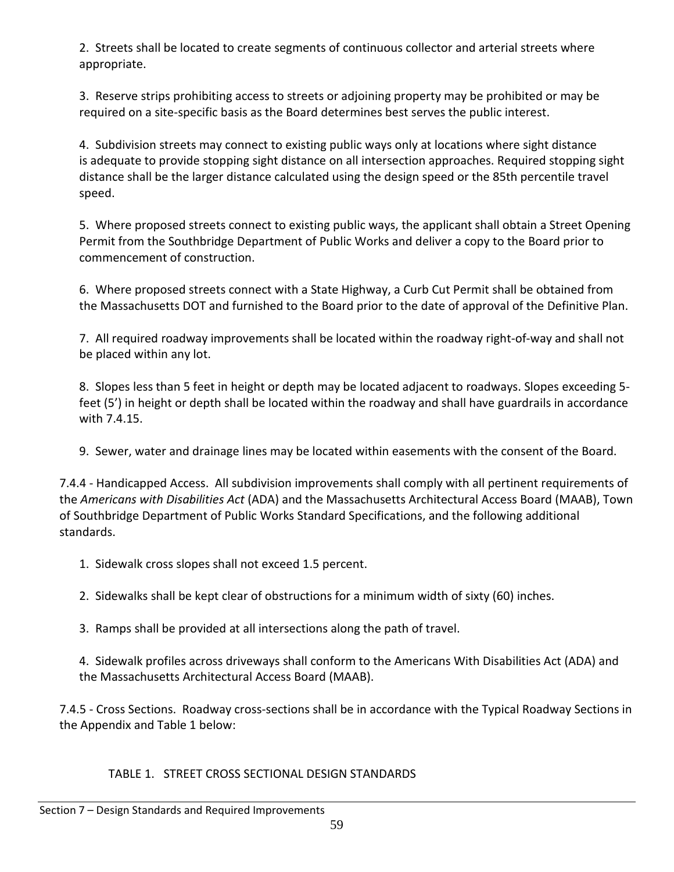2. Streets shall be located to create segments of continuous collector and arterial streets where appropriate.

3. Reserve strips prohibiting access to streets or adjoining property may be prohibited or may be required on a site-specific basis as the Board determines best serves the public interest.

4. Subdivision streets may connect to existing public ways only at locations where sight distance is adequate to provide stopping sight distance on all intersection approaches. Required stopping sight distance shall be the larger distance calculated using the design speed or the 85th percentile travel speed.

5. Where proposed streets connect to existing public ways, the applicant shall obtain a Street Opening Permit from the Southbridge Department of Public Works and deliver a copy to the Board prior to commencement of construction.

6. Where proposed streets connect with a State Highway, a Curb Cut Permit shall be obtained from the Massachusetts DOT and furnished to the Board prior to the date of approval of the Definitive Plan.

7. All required roadway improvements shall be located within the roadway right-of-way and shall not be placed within any lot.

8. Slopes less than 5 feet in height or depth may be located adjacent to roadways. Slopes exceeding 5 feet (5') in height or depth shall be located within the roadway and shall have guardrails in accordance with 7.4.15.

9. Sewer, water and drainage lines may be located within easements with the consent of the Board.

7.4.4 - Handicapped Access. All subdivision improvements shall comply with all pertinent requirements of the *Americans with Disabilities Act* (ADA) and the Massachusetts Architectural Access Board (MAAB), Town of Southbridge Department of Public Works Standard Specifications, and the following additional standards.

1. Sidewalk cross slopes shall not exceed 1.5 percent.

2. Sidewalks shall be kept clear of obstructions for a minimum width of sixty (60) inches.

3. Ramps shall be provided at all intersections along the path of travel.

4. Sidewalk profiles across driveways shall conform to the Americans With Disabilities Act (ADA) and the Massachusetts Architectural Access Board (MAAB).

7.4.5 - Cross Sections. Roadway cross-sections shall be in accordance with the Typical Roadway Sections in the Appendix and Table 1 below:

## TABLE 1. STREET CROSS SECTIONAL DESIGN STANDARDS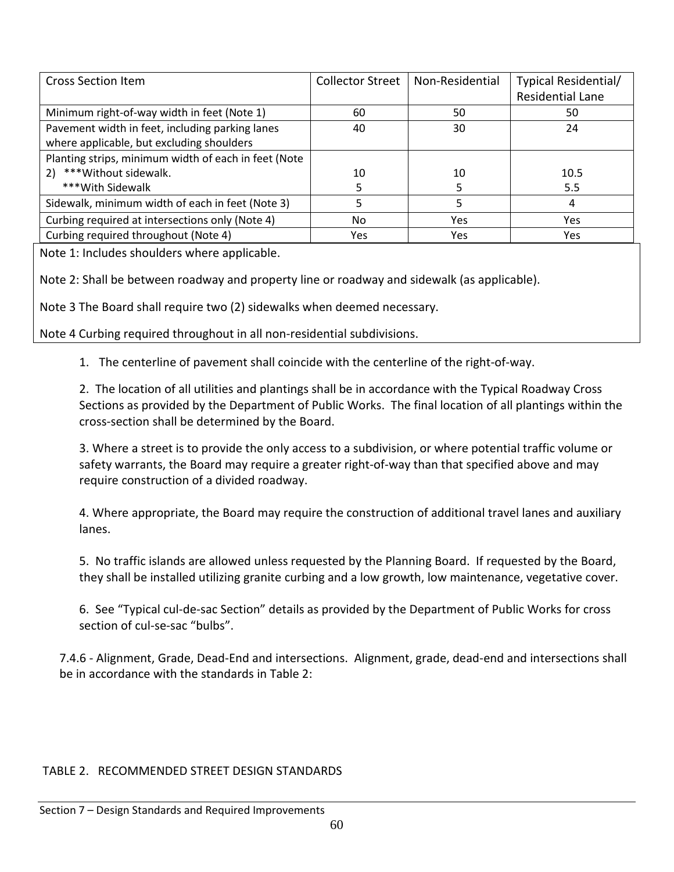| <b>Cross Section Item</b>                            | <b>Collector Street</b> | Non-Residential | Typical Residential/<br>Residential Lane |
|------------------------------------------------------|-------------------------|-----------------|------------------------------------------|
| Minimum right-of-way width in feet (Note 1)          | 60                      | 50              | 50                                       |
| Pavement width in feet, including parking lanes      | 40                      | 30              | 24                                       |
| where applicable, but excluding shoulders            |                         |                 |                                          |
| Planting strips, minimum width of each in feet (Note |                         |                 |                                          |
| *** Without sidewalk.                                | 10                      | 10              | 10.5                                     |
| ***With Sidewalk                                     |                         |                 | 5.5                                      |
| Sidewalk, minimum width of each in feet (Note 3)     |                         | 5               | 4                                        |
| Curbing required at intersections only (Note 4)      | No.                     | Yes             | Yes                                      |
| Curbing required throughout (Note 4)                 | Yes                     | Yes             | Yes                                      |

Note 1: Includes shoulders where applicable.

Note 2: Shall be between roadway and property line or roadway and sidewalk (as applicable).

Note 3 The Board shall require two (2) sidewalks when deemed necessary.

Note 4 Curbing required throughout in all non-residential subdivisions.

1. The centerline of pavement shall coincide with the centerline of the right-of-way.

2. The location of all utilities and plantings shall be in accordance with the Typical Roadway Cross Sections as provided by the Department of Public Works. The final location of all plantings within the cross-section shall be determined by the Board.

3. Where a street is to provide the only access to a subdivision, or where potential traffic volume or safety warrants, the Board may require a greater right-of-way than that specified above and may require construction of a divided roadway.

4. Where appropriate, the Board may require the construction of additional travel lanes and auxiliary lanes.

5. No traffic islands are allowed unless requested by the Planning Board. If requested by the Board, they shall be installed utilizing granite curbing and a low growth, low maintenance, vegetative cover.

6. See "Typical cul-de-sac Section" details as provided by the Department of Public Works for cross section of cul-se-sac "bulbs".

7.4.6 - Alignment, Grade, Dead-End and intersections. Alignment, grade, dead-end and intersections shall be in accordance with the standards in Table 2:

## TABLE 2. RECOMMENDED STREET DESIGN STANDARDS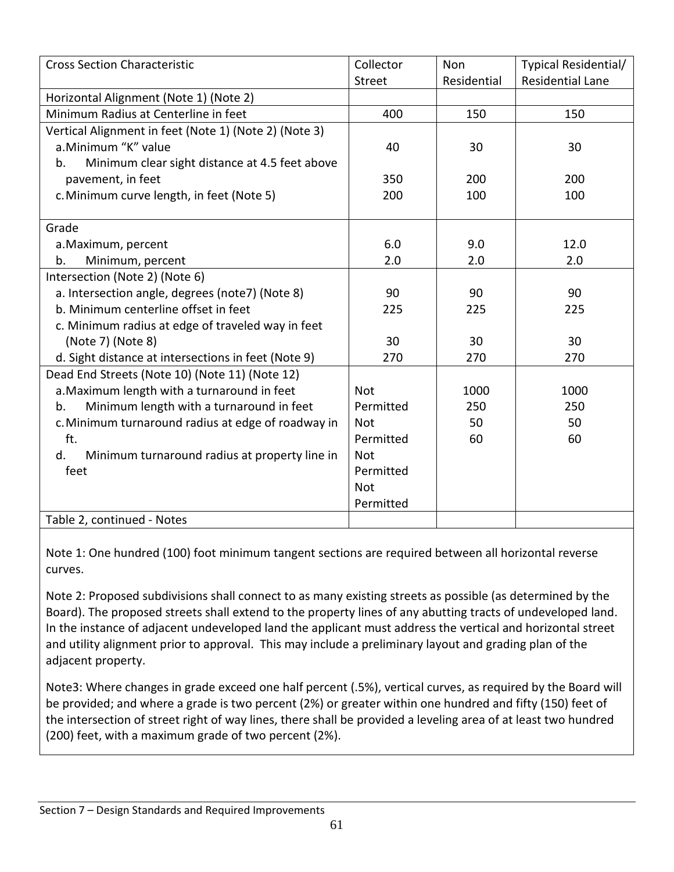| <b>Cross Section Characteristic</b>                   | Collector     | Non         | Typical Residential/    |
|-------------------------------------------------------|---------------|-------------|-------------------------|
|                                                       | <b>Street</b> | Residential | <b>Residential Lane</b> |
| Horizontal Alignment (Note 1) (Note 2)                |               |             |                         |
| Minimum Radius at Centerline in feet                  | 400           | 150         | 150                     |
| Vertical Alignment in feet (Note 1) (Note 2) (Note 3) |               |             |                         |
| a.Minimum "K" value                                   | 40            | 30          | 30                      |
| Minimum clear sight distance at 4.5 feet above<br>b.  |               |             |                         |
| pavement, in feet                                     | 350           | 200         | 200                     |
| c. Minimum curve length, in feet (Note 5)             | 200           | 100         | 100                     |
|                                                       |               |             |                         |
| Grade                                                 |               |             |                         |
| a. Maximum, percent                                   | 6.0           | 9.0         | 12.0                    |
| b.<br>Minimum, percent                                | 2.0           | 2.0         | 2.0                     |
| Intersection (Note 2) (Note 6)                        |               |             |                         |
| a. Intersection angle, degrees (note7) (Note 8)       | 90            | 90          | 90                      |
| b. Minimum centerline offset in feet                  | 225           | 225         | 225                     |
| c. Minimum radius at edge of traveled way in feet     |               |             |                         |
| (Note 7) (Note 8)                                     | 30            | 30          | 30                      |
| d. Sight distance at intersections in feet (Note 9)   | 270           | 270         | 270                     |
| Dead End Streets (Note 10) (Note 11) (Note 12)        |               |             |                         |
| a. Maximum length with a turnaround in feet           | <b>Not</b>    | 1000        | 1000                    |
| Minimum length with a turnaround in feet<br>b.        | Permitted     | 250         | 250                     |
| c. Minimum turnaround radius at edge of roadway in    | <b>Not</b>    | 50          | 50                      |
| ft.                                                   | Permitted     | 60          | 60                      |
| Minimum turnaround radius at property line in<br>d.   | Not           |             |                         |
| feet                                                  | Permitted     |             |                         |
|                                                       | <b>Not</b>    |             |                         |
|                                                       | Permitted     |             |                         |
| Table 2, continued - Notes                            |               |             |                         |

Note 1: One hundred (100) foot minimum tangent sections are required between all horizontal reverse curves.

Note 2: Proposed subdivisions shall connect to as many existing streets as possible (as determined by the Board). The proposed streets shall extend to the property lines of any abutting tracts of undeveloped land. In the instance of adjacent undeveloped land the applicant must address the vertical and horizontal street and utility alignment prior to approval. This may include a preliminary layout and grading plan of the adjacent property.

Note3: Where changes in grade exceed one half percent (.5%), vertical curves, as required by the Board will be provided; and where a grade is two percent (2%) or greater within one hundred and fifty (150) feet of the intersection of street right of way lines, there shall be provided a leveling area of at least two hundred (200) feet, with a maximum grade of two percent (2%).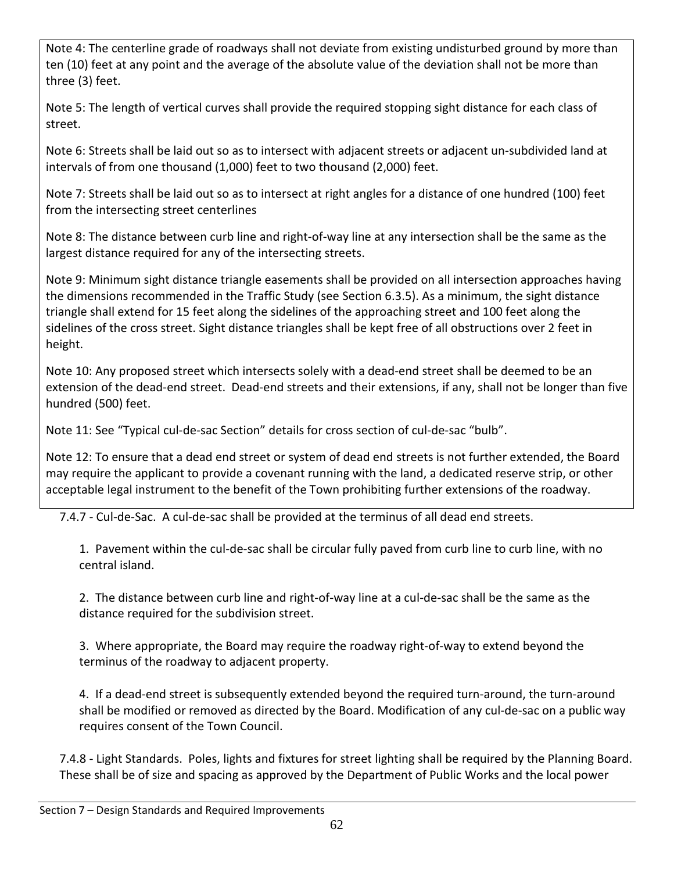Note 4: The centerline grade of roadways shall not deviate from existing undisturbed ground by more than ten (10) feet at any point and the average of the absolute value of the deviation shall not be more than three (3) feet.

Note 5: The length of vertical curves shall provide the required stopping sight distance for each class of street.

Note 6: Streets shall be laid out so as to intersect with adjacent streets or adjacent un-subdivided land at intervals of from one thousand (1,000) feet to two thousand (2,000) feet.

Note 7: Streets shall be laid out so as to intersect at right angles for a distance of one hundred (100) feet from the intersecting street centerlines

Note 8: The distance between curb line and right-of-way line at any intersection shall be the same as the largest distance required for any of the intersecting streets.

Note 9: Minimum sight distance triangle easements shall be provided on all intersection approaches having the dimensions recommended in the Traffic Study (see Section 6.3.5). As a minimum, the sight distance triangle shall extend for 15 feet along the sidelines of the approaching street and 100 feet along the sidelines of the cross street. Sight distance triangles shall be kept free of all obstructions over 2 feet in height.

Note 10: Any proposed street which intersects solely with a dead-end street shall be deemed to be an extension of the dead-end street. Dead-end streets and their extensions, if any, shall not be longer than five hundred (500) feet.

Note 11: See "Typical cul-de-sac Section" details for cross section of cul-de-sac "bulb".

Note 12: To ensure that a dead end street or system of dead end streets is not further extended, the Board may require the applicant to provide a covenant running with the land, a dedicated reserve strip, or other acceptable legal instrument to the benefit of the Town prohibiting further extensions of the roadway.

7.4.7 - Cul-de-Sac. A cul-de-sac shall be provided at the terminus of all dead end streets.

1. Pavement within the cul-de-sac shall be circular fully paved from curb line to curb line, with no central island.

2. The distance between curb line and right-of-way line at a cul-de-sac shall be the same as the distance required for the subdivision street.

3. Where appropriate, the Board may require the roadway right-of-way to extend beyond the terminus of the roadway to adjacent property.

4. If a dead-end street is subsequently extended beyond the required turn-around, the turn-around shall be modified or removed as directed by the Board. Modification of any cul-de-sac on a public way requires consent of the Town Council.

7.4.8 - Light Standards. Poles, lights and fixtures for street lighting shall be required by the Planning Board. These shall be of size and spacing as approved by the Department of Public Works and the local power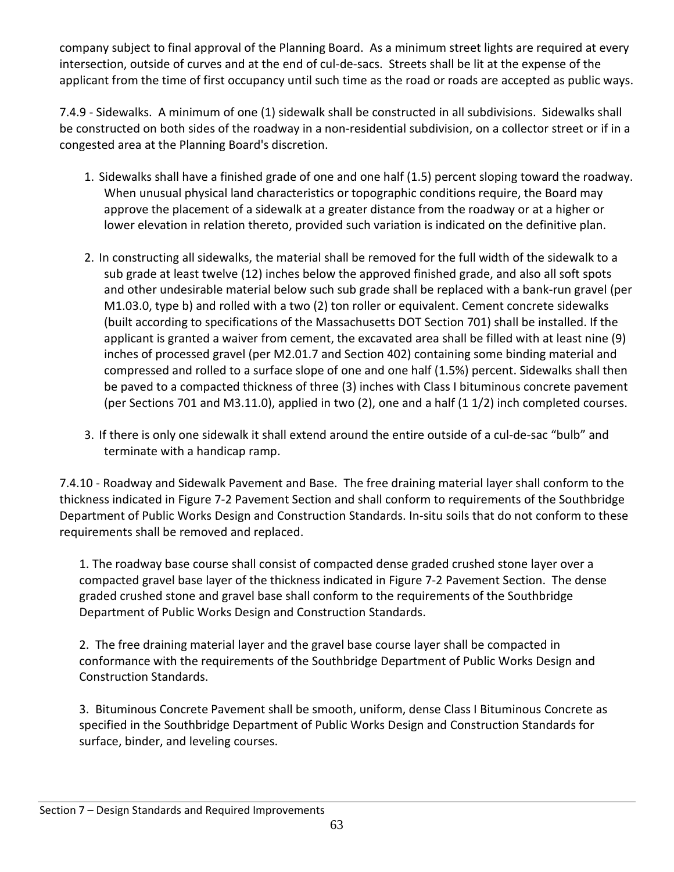company subject to final approval of the Planning Board. As a minimum street lights are required at every intersection, outside of curves and at the end of cul-de-sacs. Streets shall be lit at the expense of the applicant from the time of first occupancy until such time as the road or roads are accepted as public ways.

7.4.9 - Sidewalks. A minimum of one (1) sidewalk shall be constructed in all subdivisions. Sidewalks shall be constructed on both sides of the roadway in a non-residential subdivision, on a collector street or if in a congested area at the Planning Board's discretion.

- 1. Sidewalks shall have a finished grade of one and one half (1.5) percent sloping toward the roadway. When unusual physical land characteristics or topographic conditions require, the Board may approve the placement of a sidewalk at a greater distance from the roadway or at a higher or lower elevation in relation thereto, provided such variation is indicated on the definitive plan.
- 2. In constructing all sidewalks, the material shall be removed for the full width of the sidewalk to a sub grade at least twelve (12) inches below the approved finished grade, and also all soft spots and other undesirable material below such sub grade shall be replaced with a bank-run gravel (per M1.03.0, type b) and rolled with a two (2) ton roller or equivalent. Cement concrete sidewalks (built according to specifications of the Massachusetts DOT Section 701) shall be installed. If the applicant is granted a waiver from cement, the excavated area shall be filled with at least nine (9) inches of processed gravel (per M2.01.7 and Section 402) containing some binding material and compressed and rolled to a surface slope of one and one half (1.5%) percent. Sidewalks shall then be paved to a compacted thickness of three (3) inches with Class I bituminous concrete pavement (per Sections 701 and M3.11.0), applied in two (2), one and a half (1 1/2) inch completed courses.
- 3. If there is only one sidewalk it shall extend around the entire outside of a cul-de-sac "bulb" and terminate with a handicap ramp.

7.4.10 - Roadway and Sidewalk Pavement and Base. The free draining material layer shall conform to the thickness indicated in Figure 7-2 Pavement Section and shall conform to requirements of the Southbridge Department of Public Works Design and Construction Standards. In-situ soils that do not conform to these requirements shall be removed and replaced.

1. The roadway base course shall consist of compacted dense graded crushed stone layer over a compacted gravel base layer of the thickness indicated in Figure 7-2 Pavement Section. The dense graded crushed stone and gravel base shall conform to the requirements of the Southbridge Department of Public Works Design and Construction Standards.

2. The free draining material layer and the gravel base course layer shall be compacted in conformance with the requirements of the Southbridge Department of Public Works Design and Construction Standards.

3. Bituminous Concrete Pavement shall be smooth, uniform, dense Class I Bituminous Concrete as specified in the Southbridge Department of Public Works Design and Construction Standards for surface, binder, and leveling courses.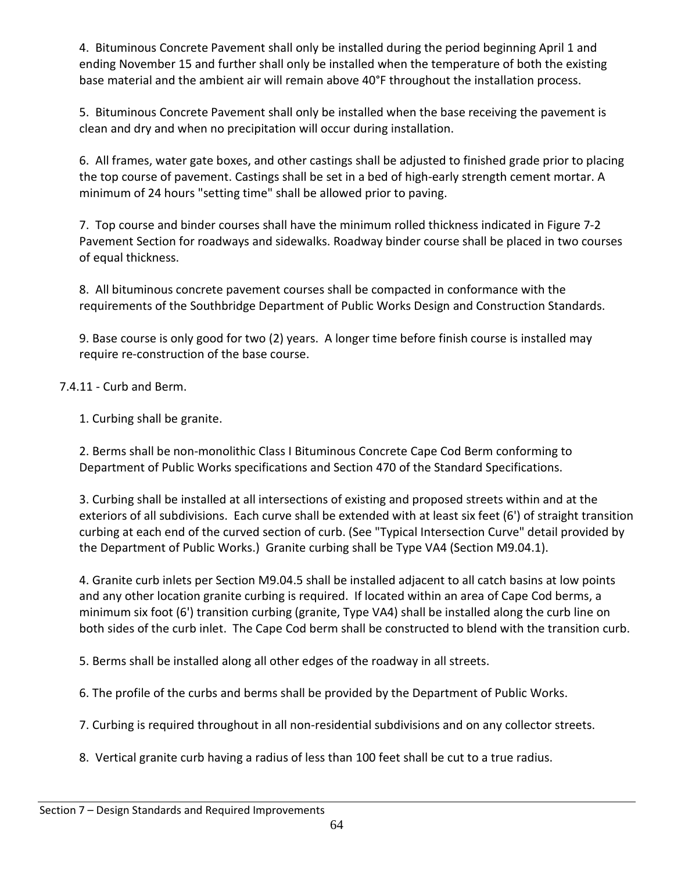4. Bituminous Concrete Pavement shall only be installed during the period beginning April 1 and ending November 15 and further shall only be installed when the temperature of both the existing base material and the ambient air will remain above 40°F throughout the installation process.

5. Bituminous Concrete Pavement shall only be installed when the base receiving the pavement is clean and dry and when no precipitation will occur during installation.

6. All frames, water gate boxes, and other castings shall be adjusted to finished grade prior to placing the top course of pavement. Castings shall be set in a bed of high-early strength cement mortar. A minimum of 24 hours "setting time" shall be allowed prior to paving.

7. Top course and binder courses shall have the minimum rolled thickness indicated in Figure 7-2 Pavement Section for roadways and sidewalks. Roadway binder course shall be placed in two courses of equal thickness.

8. All bituminous concrete pavement courses shall be compacted in conformance with the requirements of the Southbridge Department of Public Works Design and Construction Standards.

9. Base course is only good for two (2) years. A longer time before finish course is installed may require re-construction of the base course.

## 7.4.11 - Curb and Berm.

1. Curbing shall be granite.

2. Berms shall be non-monolithic Class I Bituminous Concrete Cape Cod Berm conforming to Department of Public Works specifications and Section 470 of the Standard Specifications.

3. Curbing shall be installed at all intersections of existing and proposed streets within and at the exteriors of all subdivisions. Each curve shall be extended with at least six feet (6') of straight transition curbing at each end of the curved section of curb. (See "Typical Intersection Curve" detail provided by the Department of Public Works.) Granite curbing shall be Type VA4 (Section M9.04.1).

4. Granite curb inlets per Section M9.04.5 shall be installed adjacent to all catch basins at low points and any other location granite curbing is required. If located within an area of Cape Cod berms, a minimum six foot (6') transition curbing (granite, Type VA4) shall be installed along the curb line on both sides of the curb inlet. The Cape Cod berm shall be constructed to blend with the transition curb.

5. Berms shall be installed along all other edges of the roadway in all streets.

6. The profile of the curbs and berms shall be provided by the Department of Public Works.

7. Curbing is required throughout in all non-residential subdivisions and on any collector streets.

8. Vertical granite curb having a radius of less than 100 feet shall be cut to a true radius.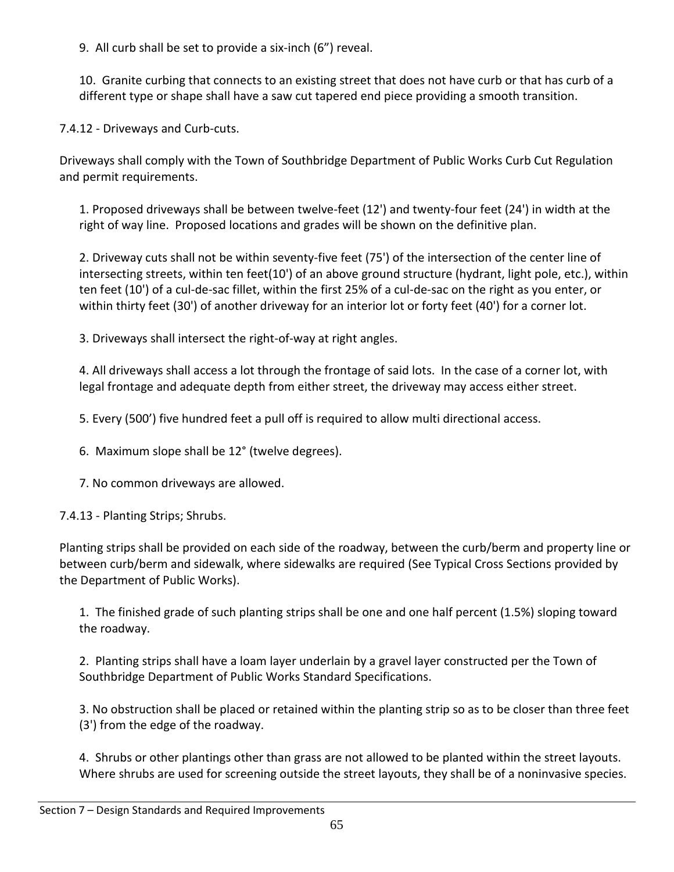9. All curb shall be set to provide a six-inch (6") reveal.

10. Granite curbing that connects to an existing street that does not have curb or that has curb of a different type or shape shall have a saw cut tapered end piece providing a smooth transition.

7.4.12 - Driveways and Curb-cuts.

Driveways shall comply with the Town of Southbridge Department of Public Works Curb Cut Regulation and permit requirements.

1. Proposed driveways shall be between twelve-feet (12') and twenty-four feet (24') in width at the right of way line. Proposed locations and grades will be shown on the definitive plan.

2. Driveway cuts shall not be within seventy-five feet (75') of the intersection of the center line of intersecting streets, within ten feet(10') of an above ground structure (hydrant, light pole, etc.), within ten feet (10') of a cul-de-sac fillet, within the first 25% of a cul-de-sac on the right as you enter, or within thirty feet (30') of another driveway for an interior lot or forty feet (40') for a corner lot.

3. Driveways shall intersect the right-of-way at right angles.

4. All driveways shall access a lot through the frontage of said lots. In the case of a corner lot, with legal frontage and adequate depth from either street, the driveway may access either street.

5. Every (500') five hundred feet a pull off is required to allow multi directional access.

6. Maximum slope shall be 12° (twelve degrees).

7. No common driveways are allowed.

7.4.13 - Planting Strips; Shrubs.

Planting strips shall be provided on each side of the roadway, between the curb/berm and property line or between curb/berm and sidewalk, where sidewalks are required (See Typical Cross Sections provided by the Department of Public Works).

1. The finished grade of such planting strips shall be one and one half percent (1.5%) sloping toward the roadway.

2. Planting strips shall have a loam layer underlain by a gravel layer constructed per the Town of Southbridge Department of Public Works Standard Specifications.

3. No obstruction shall be placed or retained within the planting strip so as to be closer than three feet (3') from the edge of the roadway.

4. Shrubs or other plantings other than grass are not allowed to be planted within the street layouts. Where shrubs are used for screening outside the street layouts, they shall be of a noninvasive species.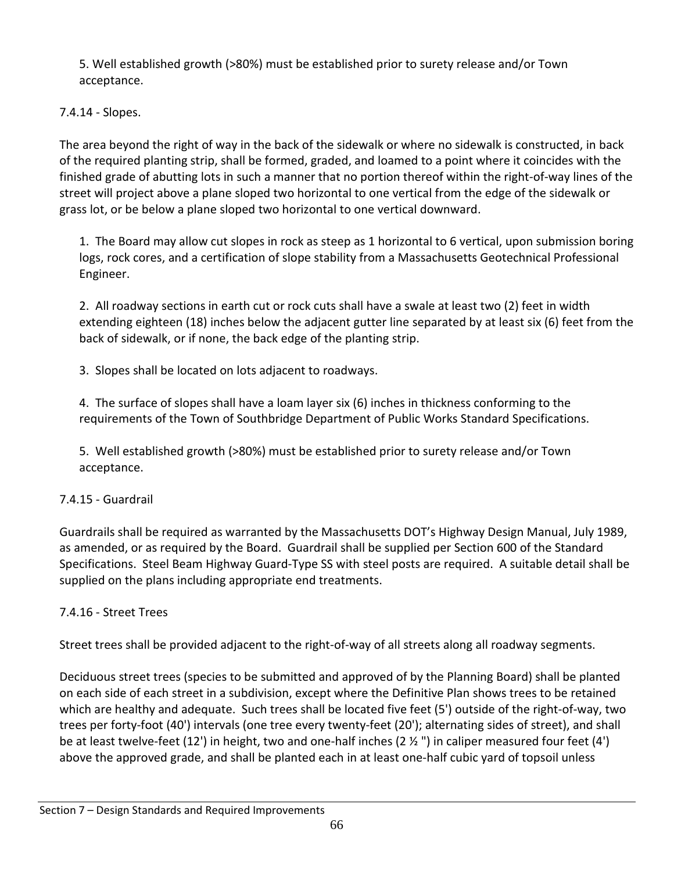5. Well established growth (>80%) must be established prior to surety release and/or Town acceptance.

7.4.14 - Slopes.

The area beyond the right of way in the back of the sidewalk or where no sidewalk is constructed, in back of the required planting strip, shall be formed, graded, and loamed to a point where it coincides with the finished grade of abutting lots in such a manner that no portion thereof within the right-of-way lines of the street will project above a plane sloped two horizontal to one vertical from the edge of the sidewalk or grass lot, or be below a plane sloped two horizontal to one vertical downward.

1. The Board may allow cut slopes in rock as steep as 1 horizontal to 6 vertical, upon submission boring logs, rock cores, and a certification of slope stability from a Massachusetts Geotechnical Professional Engineer.

2. All roadway sections in earth cut or rock cuts shall have a swale at least two (2) feet in width extending eighteen (18) inches below the adjacent gutter line separated by at least six (6) feet from the back of sidewalk, or if none, the back edge of the planting strip.

3. Slopes shall be located on lots adjacent to roadways.

4. The surface of slopes shall have a loam layer six (6) inches in thickness conforming to the requirements of the Town of Southbridge Department of Public Works Standard Specifications.

5. Well established growth (>80%) must be established prior to surety release and/or Town acceptance.

# 7.4.15 - Guardrail

Guardrails shall be required as warranted by the Massachusetts DOT's Highway Design Manual, July 1989, as amended, or as required by the Board. Guardrail shall be supplied per Section 600 of the Standard Specifications. Steel Beam Highway Guard-Type SS with steel posts are required. A suitable detail shall be supplied on the plans including appropriate end treatments.

# 7.4.16 - Street Trees

Street trees shall be provided adjacent to the right-of-way of all streets along all roadway segments.

Deciduous street trees (species to be submitted and approved of by the Planning Board) shall be planted on each side of each street in a subdivision, except where the Definitive Plan shows trees to be retained which are healthy and adequate. Such trees shall be located five feet (5') outside of the right-of-way, two trees per forty-foot (40') intervals (one tree every twenty-feet (20'); alternating sides of street), and shall be at least twelve-feet (12') in height, two and one-half inches (2 ½ ") in caliper measured four feet (4') above the approved grade, and shall be planted each in at least one-half cubic yard of topsoil unless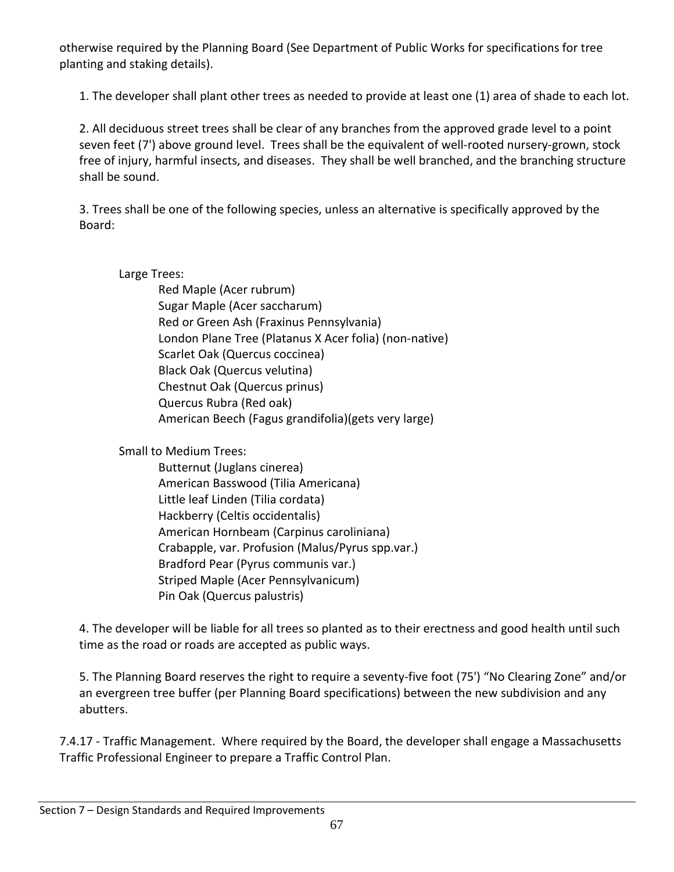otherwise required by the Planning Board (See Department of Public Works for specifications for tree planting and staking details).

1. The developer shall plant other trees as needed to provide at least one (1) area of shade to each lot.

2. All deciduous street trees shall be clear of any branches from the approved grade level to a point seven feet (7') above ground level. Trees shall be the equivalent of well-rooted nursery-grown, stock free of injury, harmful insects, and diseases. They shall be well branched, and the branching structure shall be sound.

3. Trees shall be one of the following species, unless an alternative is specifically approved by the Board:

Large Trees:

Red Maple (Acer rubrum) Sugar Maple (Acer saccharum) Red or Green Ash (Fraxinus Pennsylvania) London Plane Tree (Platanus X Acer folia) (non-native) Scarlet Oak (Quercus coccinea) Black Oak (Quercus velutina) Chestnut Oak (Quercus prinus) Quercus Rubra (Red oak) American Beech (Fagus grandifolia)(gets very large)

Small to Medium Trees:

Butternut (Juglans cinerea) American Basswood (Tilia Americana) Little leaf Linden (Tilia cordata) Hackberry (Celtis occidentalis) American Hornbeam (Carpinus caroliniana) Crabapple, var. Profusion (Malus/Pyrus spp.var.) Bradford Pear (Pyrus communis var.) Striped Maple (Acer Pennsylvanicum) Pin Oak (Quercus palustris)

4. The developer will be liable for all trees so planted as to their erectness and good health until such time as the road or roads are accepted as public ways.

5. The Planning Board reserves the right to require a seventy-five foot (75') "No Clearing Zone" and/or an evergreen tree buffer (per Planning Board specifications) between the new subdivision and any abutters.

7.4.17 - Traffic Management. Where required by the Board, the developer shall engage a Massachusetts Traffic Professional Engineer to prepare a Traffic Control Plan.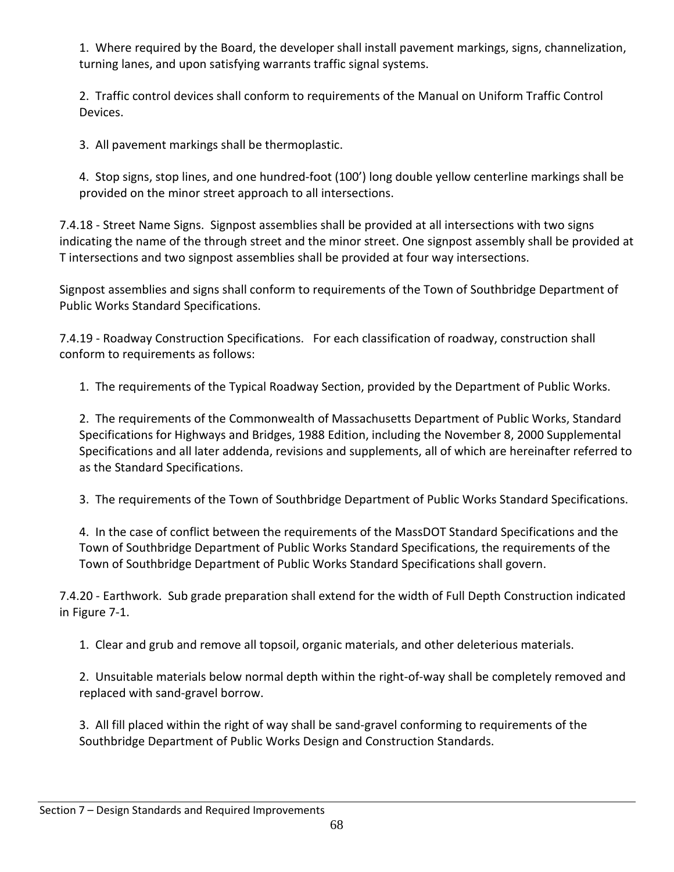1. Where required by the Board, the developer shall install pavement markings, signs, channelization, turning lanes, and upon satisfying warrants traffic signal systems.

2. Traffic control devices shall conform to requirements of the Manual on Uniform Traffic Control Devices.

3. All pavement markings shall be thermoplastic.

4. Stop signs, stop lines, and one hundred-foot (100') long double yellow centerline markings shall be provided on the minor street approach to all intersections.

7.4.18 - Street Name Signs. Signpost assemblies shall be provided at all intersections with two signs indicating the name of the through street and the minor street. One signpost assembly shall be provided at T intersections and two signpost assemblies shall be provided at four way intersections.

Signpost assemblies and signs shall conform to requirements of the Town of Southbridge Department of Public Works Standard Specifications.

7.4.19 - Roadway Construction Specifications. For each classification of roadway, construction shall conform to requirements as follows:

1. The requirements of the Typical Roadway Section, provided by the Department of Public Works.

2. The requirements of the Commonwealth of Massachusetts Department of Public Works, Standard Specifications for Highways and Bridges, 1988 Edition, including the November 8, 2000 Supplemental Specifications and all later addenda, revisions and supplements, all of which are hereinafter referred to as the Standard Specifications.

3. The requirements of the Town of Southbridge Department of Public Works Standard Specifications.

4. In the case of conflict between the requirements of the MassDOT Standard Specifications and the Town of Southbridge Department of Public Works Standard Specifications, the requirements of the Town of Southbridge Department of Public Works Standard Specifications shall govern.

7.4.20 - Earthwork. Sub grade preparation shall extend for the width of Full Depth Construction indicated in Figure 7-1.

1. Clear and grub and remove all topsoil, organic materials, and other deleterious materials.

2. Unsuitable materials below normal depth within the right-of-way shall be completely removed and replaced with sand-gravel borrow.

3. All fill placed within the right of way shall be sand-gravel conforming to requirements of the Southbridge Department of Public Works Design and Construction Standards.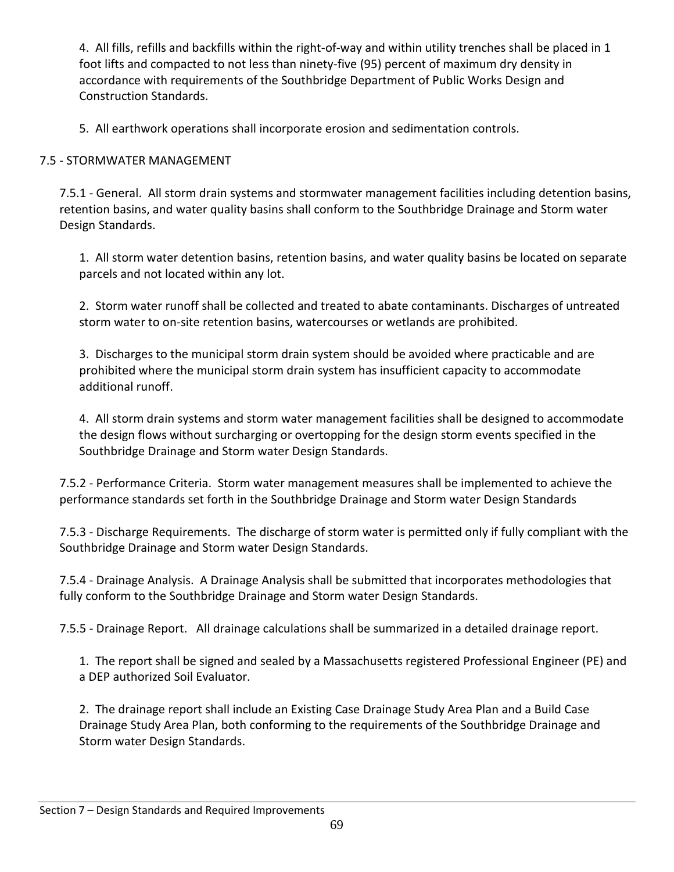4. All fills, refills and backfills within the right-of-way and within utility trenches shall be placed in 1 foot lifts and compacted to not less than ninety-five (95) percent of maximum dry density in accordance with requirements of the Southbridge Department of Public Works Design and Construction Standards.

5. All earthwork operations shall incorporate erosion and sedimentation controls.

# 7.5 - STORMWATER MANAGEMENT

7.5.1 - General. All storm drain systems and stormwater management facilities including detention basins, retention basins, and water quality basins shall conform to the Southbridge Drainage and Storm water Design Standards.

1. All storm water detention basins, retention basins, and water quality basins be located on separate parcels and not located within any lot.

2. Storm water runoff shall be collected and treated to abate contaminants. Discharges of untreated storm water to on-site retention basins, watercourses or wetlands are prohibited.

3. Discharges to the municipal storm drain system should be avoided where practicable and are prohibited where the municipal storm drain system has insufficient capacity to accommodate additional runoff.

4. All storm drain systems and storm water management facilities shall be designed to accommodate the design flows without surcharging or overtopping for the design storm events specified in the Southbridge Drainage and Storm water Design Standards.

7.5.2 - Performance Criteria. Storm water management measures shall be implemented to achieve the performance standards set forth in the Southbridge Drainage and Storm water Design Standards

7.5.3 - Discharge Requirements. The discharge of storm water is permitted only if fully compliant with the Southbridge Drainage and Storm water Design Standards.

7.5.4 - Drainage Analysis. A Drainage Analysis shall be submitted that incorporates methodologies that fully conform to the Southbridge Drainage and Storm water Design Standards.

7.5.5 - Drainage Report. All drainage calculations shall be summarized in a detailed drainage report.

1. The report shall be signed and sealed by a Massachusetts registered Professional Engineer (PE) and a DEP authorized Soil Evaluator.

2. The drainage report shall include an Existing Case Drainage Study Area Plan and a Build Case Drainage Study Area Plan, both conforming to the requirements of the Southbridge Drainage and Storm water Design Standards.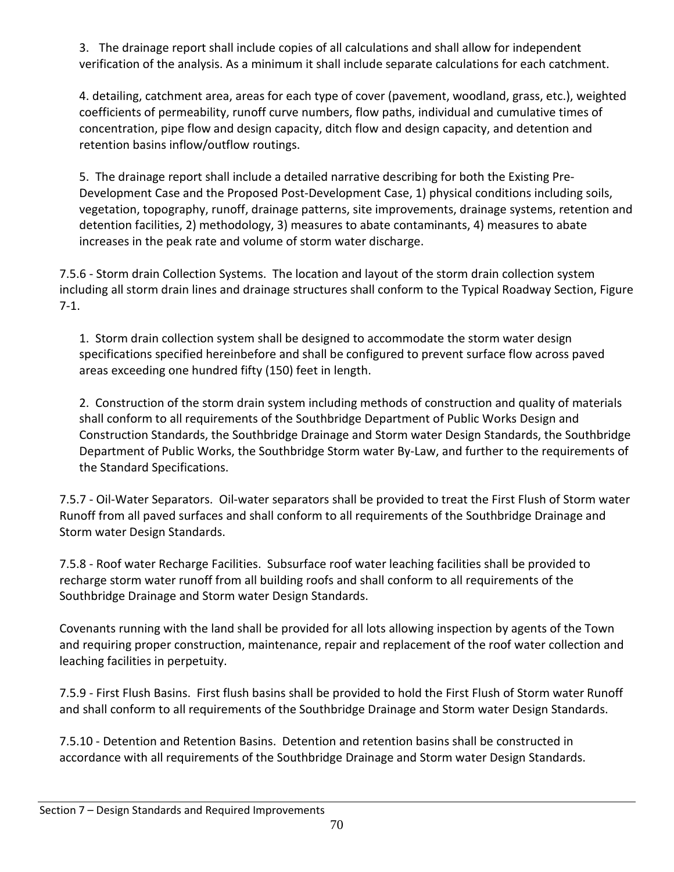3. The drainage report shall include copies of all calculations and shall allow for independent verification of the analysis. As a minimum it shall include separate calculations for each catchment.

4. detailing, catchment area, areas for each type of cover (pavement, woodland, grass, etc.), weighted coefficients of permeability, runoff curve numbers, flow paths, individual and cumulative times of concentration, pipe flow and design capacity, ditch flow and design capacity, and detention and retention basins inflow/outflow routings.

5. The drainage report shall include a detailed narrative describing for both the Existing Pre-Development Case and the Proposed Post-Development Case, 1) physical conditions including soils, vegetation, topography, runoff, drainage patterns, site improvements, drainage systems, retention and detention facilities, 2) methodology, 3) measures to abate contaminants, 4) measures to abate increases in the peak rate and volume of storm water discharge.

7.5.6 - Storm drain Collection Systems. The location and layout of the storm drain collection system including all storm drain lines and drainage structures shall conform to the Typical Roadway Section, Figure 7-1.

1. Storm drain collection system shall be designed to accommodate the storm water design specifications specified hereinbefore and shall be configured to prevent surface flow across paved areas exceeding one hundred fifty (150) feet in length.

2. Construction of the storm drain system including methods of construction and quality of materials shall conform to all requirements of the Southbridge Department of Public Works Design and Construction Standards, the Southbridge Drainage and Storm water Design Standards, the Southbridge Department of Public Works, the Southbridge Storm water By-Law, and further to the requirements of the Standard Specifications.

7.5.7 - Oil-Water Separators. Oil-water separators shall be provided to treat the First Flush of Storm water Runoff from all paved surfaces and shall conform to all requirements of the Southbridge Drainage and Storm water Design Standards.

7.5.8 - Roof water Recharge Facilities. Subsurface roof water leaching facilities shall be provided to recharge storm water runoff from all building roofs and shall conform to all requirements of the Southbridge Drainage and Storm water Design Standards.

Covenants running with the land shall be provided for all lots allowing inspection by agents of the Town and requiring proper construction, maintenance, repair and replacement of the roof water collection and leaching facilities in perpetuity.

7.5.9 - First Flush Basins. First flush basins shall be provided to hold the First Flush of Storm water Runoff and shall conform to all requirements of the Southbridge Drainage and Storm water Design Standards.

7.5.10 - Detention and Retention Basins. Detention and retention basins shall be constructed in accordance with all requirements of the Southbridge Drainage and Storm water Design Standards.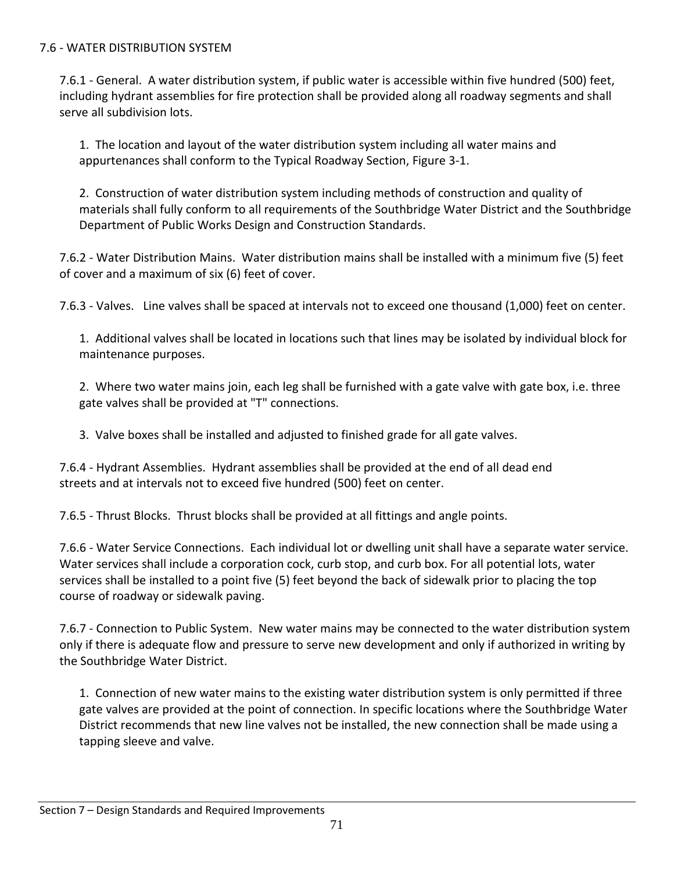#### 7.6 - WATER DISTRIBUTION SYSTEM

7.6.1 - General. A water distribution system, if public water is accessible within five hundred (500) feet, including hydrant assemblies for fire protection shall be provided along all roadway segments and shall serve all subdivision lots.

1. The location and layout of the water distribution system including all water mains and appurtenances shall conform to the Typical Roadway Section, Figure 3-1.

2. Construction of water distribution system including methods of construction and quality of materials shall fully conform to all requirements of the Southbridge Water District and the Southbridge Department of Public Works Design and Construction Standards.

7.6.2 - Water Distribution Mains. Water distribution mains shall be installed with a minimum five (5) feet of cover and a maximum of six (6) feet of cover.

7.6.3 - Valves. Line valves shall be spaced at intervals not to exceed one thousand (1,000) feet on center.

1. Additional valves shall be located in locations such that lines may be isolated by individual block for maintenance purposes.

2. Where two water mains join, each leg shall be furnished with a gate valve with gate box, i.e. three gate valves shall be provided at "T" connections.

3. Valve boxes shall be installed and adjusted to finished grade for all gate valves.

7.6.4 - Hydrant Assemblies. Hydrant assemblies shall be provided at the end of all dead end streets and at intervals not to exceed five hundred (500) feet on center.

7.6.5 - Thrust Blocks. Thrust blocks shall be provided at all fittings and angle points.

7.6.6 - Water Service Connections. Each individual lot or dwelling unit shall have a separate water service. Water services shall include a corporation cock, curb stop, and curb box. For all potential lots, water services shall be installed to a point five (5) feet beyond the back of sidewalk prior to placing the top course of roadway or sidewalk paving.

7.6.7 - Connection to Public System. New water mains may be connected to the water distribution system only if there is adequate flow and pressure to serve new development and only if authorized in writing by the Southbridge Water District.

1. Connection of new water mains to the existing water distribution system is only permitted if three gate valves are provided at the point of connection. In specific locations where the Southbridge Water District recommends that new line valves not be installed, the new connection shall be made using a tapping sleeve and valve.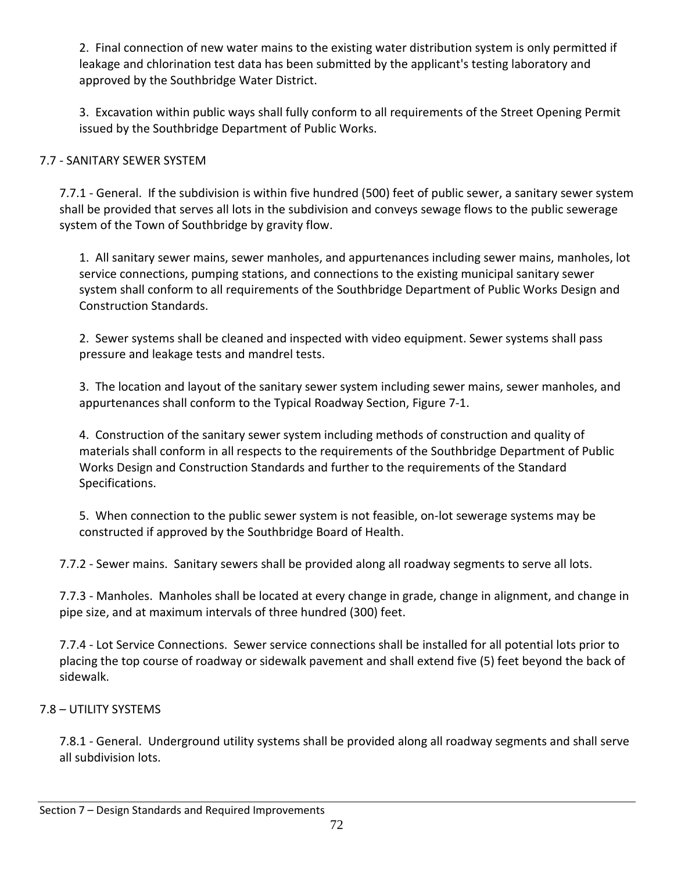2. Final connection of new water mains to the existing water distribution system is only permitted if leakage and chlorination test data has been submitted by the applicant's testing laboratory and approved by the Southbridge Water District.

3. Excavation within public ways shall fully conform to all requirements of the Street Opening Permit issued by the Southbridge Department of Public Works.

## 7.7 - SANITARY SEWER SYSTEM

7.7.1 - General. If the subdivision is within five hundred (500) feet of public sewer, a sanitary sewer system shall be provided that serves all lots in the subdivision and conveys sewage flows to the public sewerage system of the Town of Southbridge by gravity flow.

1. All sanitary sewer mains, sewer manholes, and appurtenances including sewer mains, manholes, lot service connections, pumping stations, and connections to the existing municipal sanitary sewer system shall conform to all requirements of the Southbridge Department of Public Works Design and Construction Standards.

2. Sewer systems shall be cleaned and inspected with video equipment. Sewer systems shall pass pressure and leakage tests and mandrel tests.

3. The location and layout of the sanitary sewer system including sewer mains, sewer manholes, and appurtenances shall conform to the Typical Roadway Section, Figure 7-1.

4. Construction of the sanitary sewer system including methods of construction and quality of materials shall conform in all respects to the requirements of the Southbridge Department of Public Works Design and Construction Standards and further to the requirements of the Standard Specifications.

5. When connection to the public sewer system is not feasible, on-lot sewerage systems may be constructed if approved by the Southbridge Board of Health.

7.7.2 - Sewer mains. Sanitary sewers shall be provided along all roadway segments to serve all lots.

7.7.3 - Manholes. Manholes shall be located at every change in grade, change in alignment, and change in pipe size, and at maximum intervals of three hundred (300) feet.

7.7.4 - Lot Service Connections. Sewer service connections shall be installed for all potential lots prior to placing the top course of roadway or sidewalk pavement and shall extend five (5) feet beyond the back of sidewalk.

## 7.8 – UTILITY SYSTEMS

7.8.1 - General. Underground utility systems shall be provided along all roadway segments and shall serve all subdivision lots.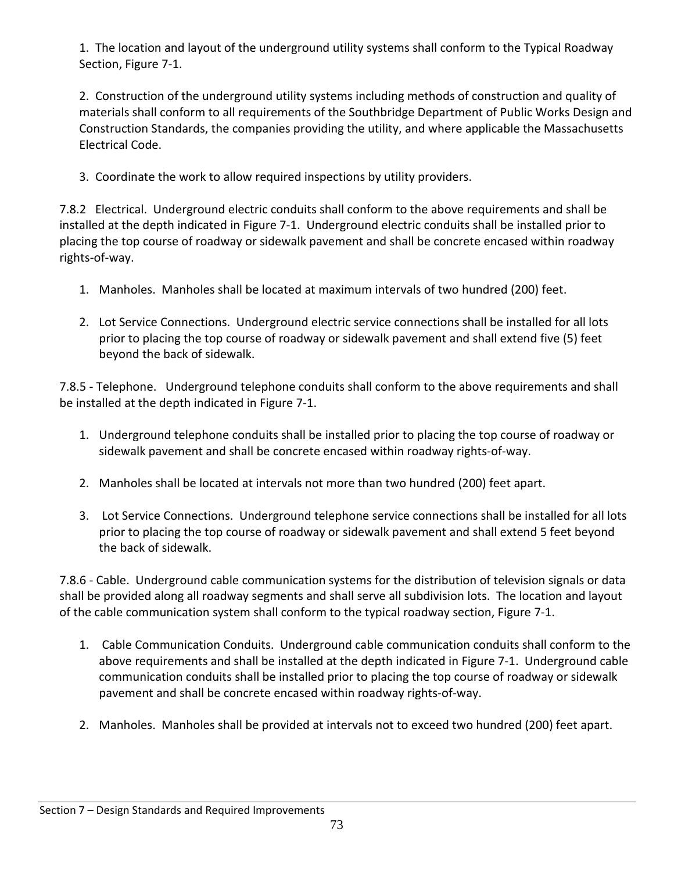1. The location and layout of the underground utility systems shall conform to the Typical Roadway Section, Figure 7-1.

2. Construction of the underground utility systems including methods of construction and quality of materials shall conform to all requirements of the Southbridge Department of Public Works Design and Construction Standards, the companies providing the utility, and where applicable the Massachusetts Electrical Code.

3. Coordinate the work to allow required inspections by utility providers.

7.8.2 Electrical. Underground electric conduits shall conform to the above requirements and shall be installed at the depth indicated in Figure 7-1. Underground electric conduits shall be installed prior to placing the top course of roadway or sidewalk pavement and shall be concrete encased within roadway rights-of-way.

- 1. Manholes. Manholes shall be located at maximum intervals of two hundred (200) feet.
- 2. Lot Service Connections. Underground electric service connections shall be installed for all lots prior to placing the top course of roadway or sidewalk pavement and shall extend five (5) feet beyond the back of sidewalk.

7.8.5 - Telephone. Underground telephone conduits shall conform to the above requirements and shall be installed at the depth indicated in Figure 7-1.

- 1. Underground telephone conduits shall be installed prior to placing the top course of roadway or sidewalk pavement and shall be concrete encased within roadway rights-of-way.
- 2. Manholes shall be located at intervals not more than two hundred (200) feet apart.
- 3. Lot Service Connections. Underground telephone service connections shall be installed for all lots prior to placing the top course of roadway or sidewalk pavement and shall extend 5 feet beyond the back of sidewalk.

7.8.6 - Cable. Underground cable communication systems for the distribution of television signals or data shall be provided along all roadway segments and shall serve all subdivision lots. The location and layout of the cable communication system shall conform to the typical roadway section, Figure 7-1.

- 1. Cable Communication Conduits. Underground cable communication conduits shall conform to the above requirements and shall be installed at the depth indicated in Figure 7-1. Underground cable communication conduits shall be installed prior to placing the top course of roadway or sidewalk pavement and shall be concrete encased within roadway rights-of-way.
- 2. Manholes. Manholes shall be provided at intervals not to exceed two hundred (200) feet apart.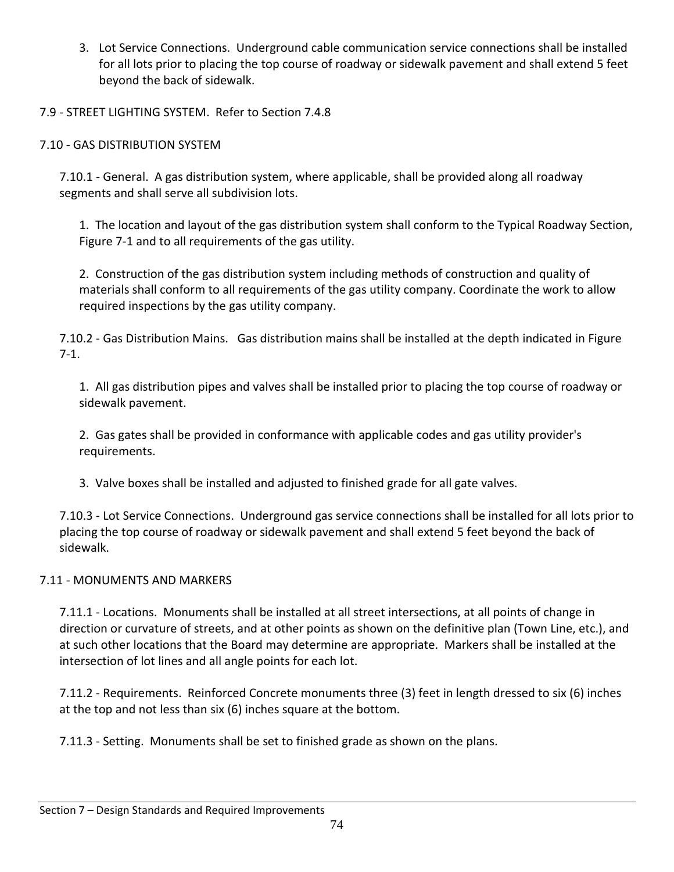3. Lot Service Connections. Underground cable communication service connections shall be installed for all lots prior to placing the top course of roadway or sidewalk pavement and shall extend 5 feet beyond the back of sidewalk.

#### 7.9 - STREET LIGHTING SYSTEM. Refer to Section 7.4.8

#### 7.10 - GAS DISTRIBUTION SYSTEM

7.10.1 - General. A gas distribution system, where applicable, shall be provided along all roadway segments and shall serve all subdivision lots.

1. The location and layout of the gas distribution system shall conform to the Typical Roadway Section, Figure 7-1 and to all requirements of the gas utility.

2. Construction of the gas distribution system including methods of construction and quality of materials shall conform to all requirements of the gas utility company. Coordinate the work to allow required inspections by the gas utility company.

7.10.2 - Gas Distribution Mains. Gas distribution mains shall be installed at the depth indicated in Figure 7-1.

1. All gas distribution pipes and valves shall be installed prior to placing the top course of roadway or sidewalk pavement.

2. Gas gates shall be provided in conformance with applicable codes and gas utility provider's requirements.

3. Valve boxes shall be installed and adjusted to finished grade for all gate valves.

7.10.3 - Lot Service Connections. Underground gas service connections shall be installed for all lots prior to placing the top course of roadway or sidewalk pavement and shall extend 5 feet beyond the back of sidewalk.

#### 7.11 - MONUMENTS AND MARKERS

7.11.1 - Locations. Monuments shall be installed at all street intersections, at all points of change in direction or curvature of streets, and at other points as shown on the definitive plan (Town Line, etc.), and at such other locations that the Board may determine are appropriate. Markers shall be installed at the intersection of lot lines and all angle points for each lot.

7.11.2 - Requirements. Reinforced Concrete monuments three (3) feet in length dressed to six (6) inches at the top and not less than six (6) inches square at the bottom.

7.11.3 - Setting. Monuments shall be set to finished grade as shown on the plans.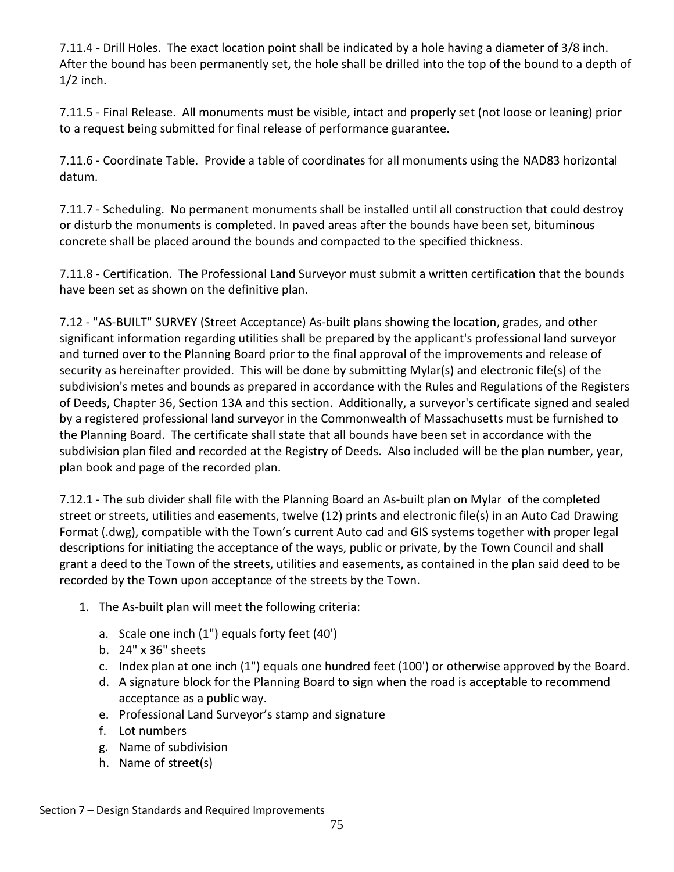7.11.4 - Drill Holes. The exact location point shall be indicated by a hole having a diameter of 3/8 inch. After the bound has been permanently set, the hole shall be drilled into the top of the bound to a depth of 1/2 inch.

7.11.5 - Final Release. All monuments must be visible, intact and properly set (not loose or leaning) prior to a request being submitted for final release of performance guarantee.

7.11.6 - Coordinate Table. Provide a table of coordinates for all monuments using the NAD83 horizontal datum.

7.11.7 - Scheduling. No permanent monuments shall be installed until all construction that could destroy or disturb the monuments is completed. In paved areas after the bounds have been set, bituminous concrete shall be placed around the bounds and compacted to the specified thickness.

7.11.8 - Certification. The Professional Land Surveyor must submit a written certification that the bounds have been set as shown on the definitive plan.

7.12 - "AS-BUILT" SURVEY (Street Acceptance) As-built plans showing the location, grades, and other significant information regarding utilities shall be prepared by the applicant's professional land surveyor and turned over to the Planning Board prior to the final approval of the improvements and release of security as hereinafter provided. This will be done by submitting Mylar(s) and electronic file(s) of the subdivision's metes and bounds as prepared in accordance with the Rules and Regulations of the Registers of Deeds, Chapter 36, Section 13A and this section. Additionally, a surveyor's certificate signed and sealed by a registered professional land surveyor in the Commonwealth of Massachusetts must be furnished to the Planning Board. The certificate shall state that all bounds have been set in accordance with the subdivision plan filed and recorded at the Registry of Deeds. Also included will be the plan number, year, plan book and page of the recorded plan.

7.12.1 - The sub divider shall file with the Planning Board an As-built plan on Mylar of the completed street or streets, utilities and easements, twelve (12) prints and electronic file(s) in an Auto Cad Drawing Format (.dwg), compatible with the Town's current Auto cad and GIS systems together with proper legal descriptions for initiating the acceptance of the ways, public or private, by the Town Council and shall grant a deed to the Town of the streets, utilities and easements, as contained in the plan said deed to be recorded by the Town upon acceptance of the streets by the Town.

- 1. The As-built plan will meet the following criteria:
	- a. Scale one inch (1") equals forty feet (40')
	- b. 24" x 36" sheets
	- c. Index plan at one inch (1") equals one hundred feet (100') or otherwise approved by the Board.
	- d. A signature block for the Planning Board to sign when the road is acceptable to recommend acceptance as a public way.
	- e. Professional Land Surveyor's stamp and signature
	- f. Lot numbers
	- g. Name of subdivision
	- h. Name of street(s)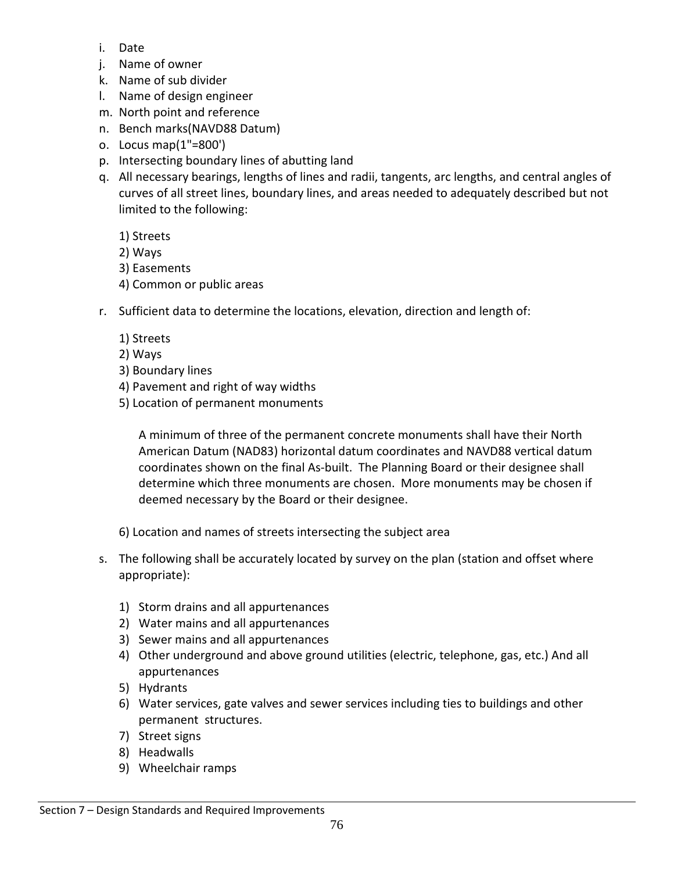- i. Date
- j. Name of owner
- k. Name of sub divider
- l. Name of design engineer
- m. North point and reference
- n. Bench marks(NAVD88 Datum)
- o. Locus map(1"=800')
- p. Intersecting boundary lines of abutting land
- q. All necessary bearings, lengths of lines and radii, tangents, arc lengths, and central angles of curves of all street lines, boundary lines, and areas needed to adequately described but not limited to the following:

1) Streets

- 2) Ways
- 3) Easements
- 4) Common or public areas
- r. Sufficient data to determine the locations, elevation, direction and length of:
	- 1) Streets
	- 2) Ways
	- 3) Boundary lines
	- 4) Pavement and right of way widths
	- 5) Location of permanent monuments

A minimum of three of the permanent concrete monuments shall have their North American Datum (NAD83) horizontal datum coordinates and NAVD88 vertical datum coordinates shown on the final As-built. The Planning Board or their designee shall determine which three monuments are chosen. More monuments may be chosen if deemed necessary by the Board or their designee.

- 6) Location and names of streets intersecting the subject area
- s. The following shall be accurately located by survey on the plan (station and offset where appropriate):
	- 1) Storm drains and all appurtenances
	- 2) Water mains and all appurtenances
	- 3) Sewer mains and all appurtenances
	- 4) Other underground and above ground utilities (electric, telephone, gas, etc.) And all appurtenances
	- 5) Hydrants
	- 6) Water services, gate valves and sewer services including ties to buildings and other permanent structures.
	- 7) Street signs
	- 8) Headwalls
	- 9) Wheelchair ramps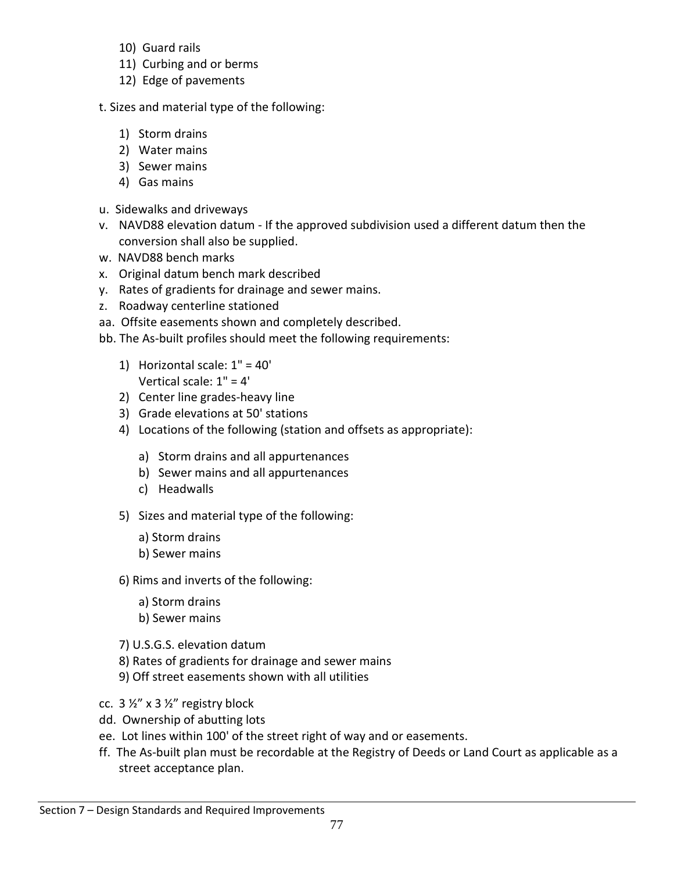- 10) Guard rails
- 11) Curbing and or berms
- 12) Edge of pavements

t. Sizes and material type of the following:

- 1) Storm drains
- 2) Water mains
- 3) Sewer mains
- 4) Gas mains
- u. Sidewalks and driveways
- v. NAVD88 elevation datum If the approved subdivision used a different datum then the conversion shall also be supplied.
- w. NAVD88 bench marks
- x. Original datum bench mark described
- y. Rates of gradients for drainage and sewer mains.
- z. Roadway centerline stationed
- aa. Offsite easements shown and completely described.
- bb. The As-built profiles should meet the following requirements:
	- 1) Horizontal scale: 1" = 40' Vertical scale: 1" = 4'
	- 2) Center line grades-heavy line
	- 3) Grade elevations at 50' stations
	- 4) Locations of the following (station and offsets as appropriate):
		- a) Storm drains and all appurtenances
		- b) Sewer mains and all appurtenances
		- c) Headwalls
	- 5) Sizes and material type of the following:
		- a) Storm drains
		- b) Sewer mains
	- 6) Rims and inverts of the following:
		- a) Storm drains
		- b) Sewer mains
	- 7) U.S.G.S. elevation datum
	- 8) Rates of gradients for drainage and sewer mains
	- 9) Off street easements shown with all utilities
- cc.  $3 \frac{1}{2}$ " x  $3 \frac{1}{2}$ " registry block
- dd. Ownership of abutting lots
- ee. Lot lines within 100' of the street right of way and or easements.
- ff. The As-built plan must be recordable at the Registry of Deeds or Land Court as applicable as a street acceptance plan.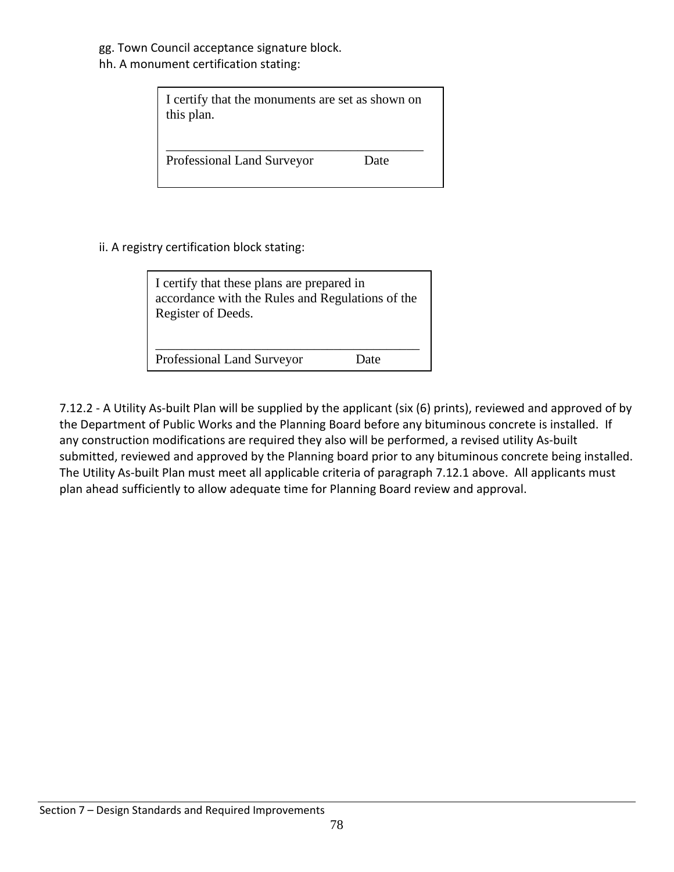gg. Town Council acceptance signature block.

hh. A monument certification stating:

| I certify that the monuments are set as shown on<br>this plan. |      |
|----------------------------------------------------------------|------|
| Professional Land Surveyor                                     | Date |

ii. A registry certification block stating:

| I certify that these plans are prepared in<br>accordance with the Rules and Regulations of the<br>Register of Deeds. |      |
|----------------------------------------------------------------------------------------------------------------------|------|
| Professional Land Surveyor                                                                                           | Date |

7.12.2 - A Utility As-built Plan will be supplied by the applicant (six (6) prints), reviewed and approved of by the Department of Public Works and the Planning Board before any bituminous concrete is installed. If any construction modifications are required they also will be performed, a revised utility As-built submitted, reviewed and approved by the Planning board prior to any bituminous concrete being installed. The Utility As-built Plan must meet all applicable criteria of paragraph 7.12.1 above. All applicants must plan ahead sufficiently to allow adequate time for Planning Board review and approval.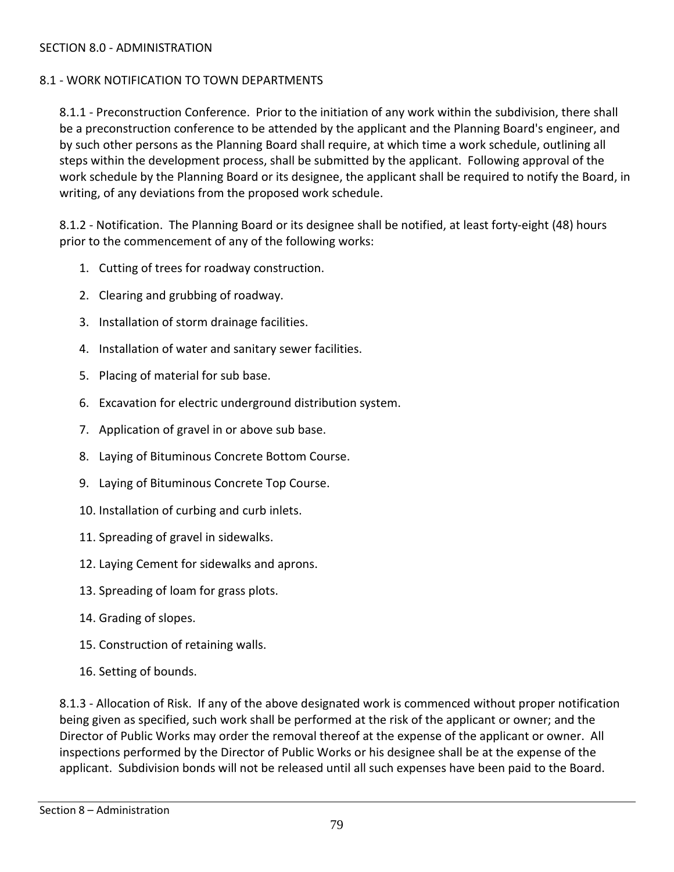#### SECTION 8.0 - ADMINISTRATION

#### 8.1 - WORK NOTIFICATION TO TOWN DEPARTMENTS

8.1.1 - Preconstruction Conference. Prior to the initiation of any work within the subdivision, there shall be a preconstruction conference to be attended by the applicant and the Planning Board's engineer, and by such other persons as the Planning Board shall require, at which time a work schedule, outlining all steps within the development process, shall be submitted by the applicant. Following approval of the work schedule by the Planning Board or its designee, the applicant shall be required to notify the Board, in writing, of any deviations from the proposed work schedule.

8.1.2 - Notification. The Planning Board or its designee shall be notified, at least forty-eight (48) hours prior to the commencement of any of the following works:

- 1. Cutting of trees for roadway construction.
- 2. Clearing and grubbing of roadway.
- 3. Installation of storm drainage facilities.
- 4. Installation of water and sanitary sewer facilities.
- 5. Placing of material for sub base.
- 6. Excavation for electric underground distribution system.
- 7. Application of gravel in or above sub base.
- 8. Laying of Bituminous Concrete Bottom Course.
- 9. Laying of Bituminous Concrete Top Course.
- 10. Installation of curbing and curb inlets.
- 11. Spreading of gravel in sidewalks.
- 12. Laying Cement for sidewalks and aprons.
- 13. Spreading of loam for grass plots.
- 14. Grading of slopes.
- 15. Construction of retaining walls.
- 16. Setting of bounds.

8.1.3 - Allocation of Risk. If any of the above designated work is commenced without proper notification being given as specified, such work shall be performed at the risk of the applicant or owner; and the Director of Public Works may order the removal thereof at the expense of the applicant or owner. All inspections performed by the Director of Public Works or his designee shall be at the expense of the applicant. Subdivision bonds will not be released until all such expenses have been paid to the Board.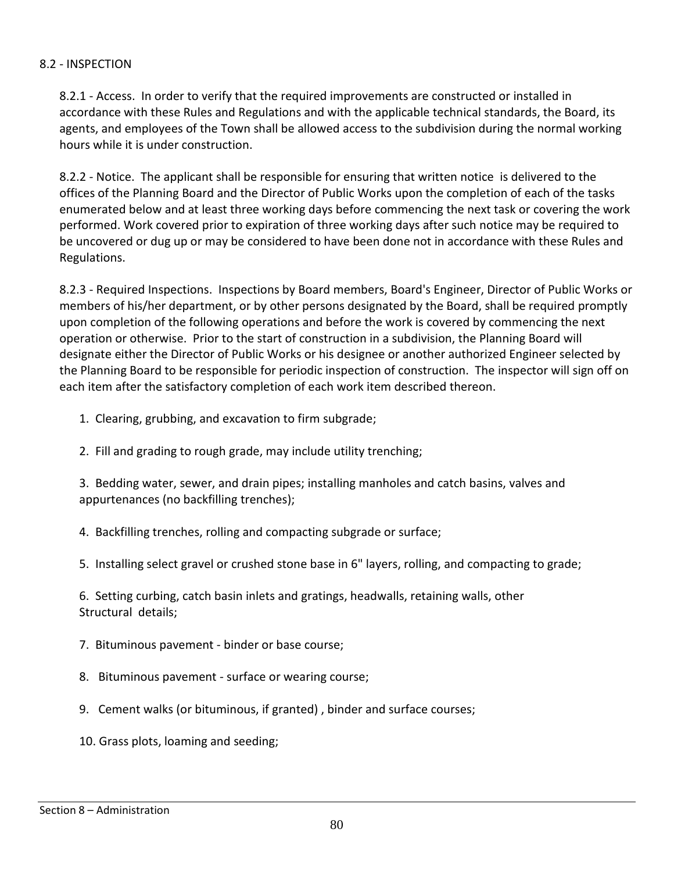#### 8.2 - INSPECTION

8.2.1 - Access. In order to verify that the required improvements are constructed or installed in accordance with these Rules and Regulations and with the applicable technical standards, the Board, its agents, and employees of the Town shall be allowed access to the subdivision during the normal working hours while it is under construction.

8.2.2 - Notice. The applicant shall be responsible for ensuring that written notice is delivered to the offices of the Planning Board and the Director of Public Works upon the completion of each of the tasks enumerated below and at least three working days before commencing the next task or covering the work performed. Work covered prior to expiration of three working days after such notice may be required to be uncovered or dug up or may be considered to have been done not in accordance with these Rules and Regulations.

8.2.3 - Required Inspections. Inspections by Board members, Board's Engineer, Director of Public Works or members of his/her department, or by other persons designated by the Board, shall be required promptly upon completion of the following operations and before the work is covered by commencing the next operation or otherwise. Prior to the start of construction in a subdivision, the Planning Board will designate either the Director of Public Works or his designee or another authorized Engineer selected by the Planning Board to be responsible for periodic inspection of construction. The inspector will sign off on each item after the satisfactory completion of each work item described thereon.

- 1. Clearing, grubbing, and excavation to firm subgrade;
- 2. Fill and grading to rough grade, may include utility trenching;

3. Bedding water, sewer, and drain pipes; installing manholes and catch basins, valves and appurtenances (no backfilling trenches);

4. Backfilling trenches, rolling and compacting subgrade or surface;

5. Installing select gravel or crushed stone base in 6" layers, rolling, and compacting to grade;

6. Setting curbing, catch basin inlets and gratings, headwalls, retaining walls, other Structural details;

- 7. Bituminous pavement binder or base course;
- 8. Bituminous pavement surface or wearing course;
- 9. Cement walks (or bituminous, if granted) , binder and surface courses;
- 10. Grass plots, loaming and seeding;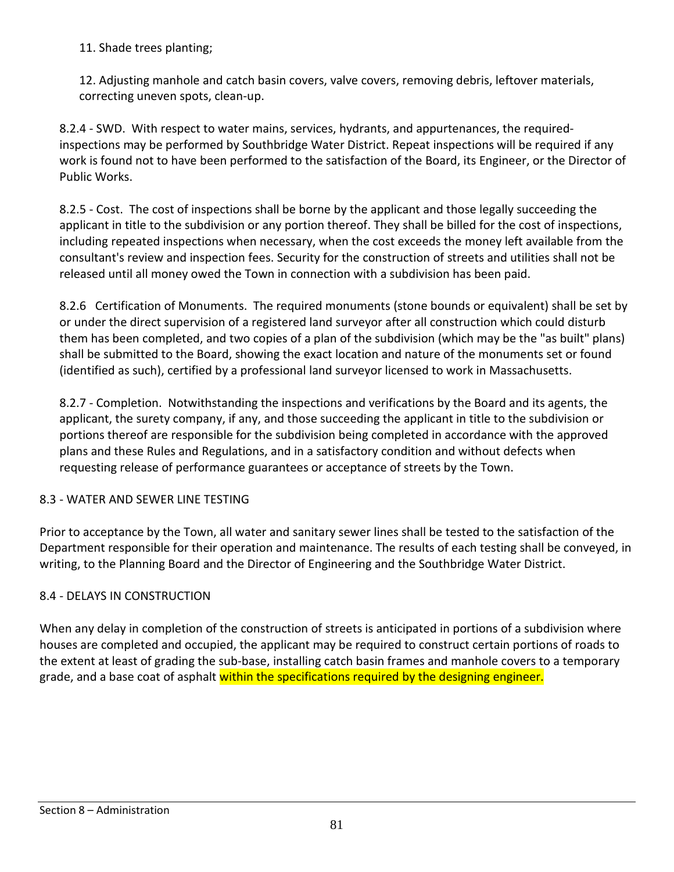11. Shade trees planting;

12. Adjusting manhole and catch basin covers, valve covers, removing debris, leftover materials, correcting uneven spots, clean-up.

8.2.4 - SWD. With respect to water mains, services, hydrants, and appurtenances, the requiredinspections may be performed by Southbridge Water District. Repeat inspections will be required if any work is found not to have been performed to the satisfaction of the Board, its Engineer, or the Director of Public Works.

8.2.5 - Cost. The cost of inspections shall be borne by the applicant and those legally succeeding the applicant in title to the subdivision or any portion thereof. They shall be billed for the cost of inspections, including repeated inspections when necessary, when the cost exceeds the money left available from the consultant's review and inspection fees. Security for the construction of streets and utilities shall not be released until all money owed the Town in connection with a subdivision has been paid.

8.2.6 Certification of Monuments. The required monuments (stone bounds or equivalent) shall be set by or under the direct supervision of a registered land surveyor after all construction which could disturb them has been completed, and two copies of a plan of the subdivision (which may be the "as built" plans) shall be submitted to the Board, showing the exact location and nature of the monuments set or found (identified as such), certified by a professional land surveyor licensed to work in Massachusetts.

8.2.7 - Completion. Notwithstanding the inspections and verifications by the Board and its agents, the applicant, the surety company, if any, and those succeeding the applicant in title to the subdivision or portions thereof are responsible for the subdivision being completed in accordance with the approved plans and these Rules and Regulations, and in a satisfactory condition and without defects when requesting release of performance guarantees or acceptance of streets by the Town.

#### 8.3 - WATER AND SEWER LINE TESTING

Prior to acceptance by the Town, all water and sanitary sewer lines shall be tested to the satisfaction of the Department responsible for their operation and maintenance. The results of each testing shall be conveyed, in writing, to the Planning Board and the Director of Engineering and the Southbridge Water District.

## 8.4 - DELAYS IN CONSTRUCTION

When any delay in completion of the construction of streets is anticipated in portions of a subdivision where houses are completed and occupied, the applicant may be required to construct certain portions of roads to the extent at least of grading the sub-base, installing catch basin frames and manhole covers to a temporary grade, and a base coat of asphalt within the specifications required by the designing engineer.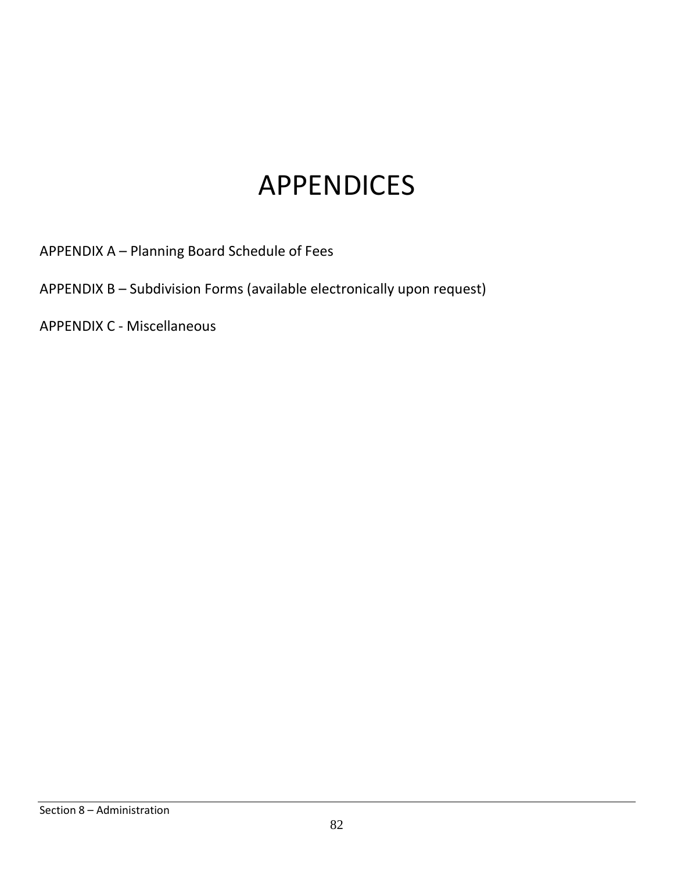# APPENDICES

APPENDIX A – Planning Board Schedule of Fees

APPENDIX B – Subdivision Forms (available electronically upon request)

APPENDIX C - Miscellaneous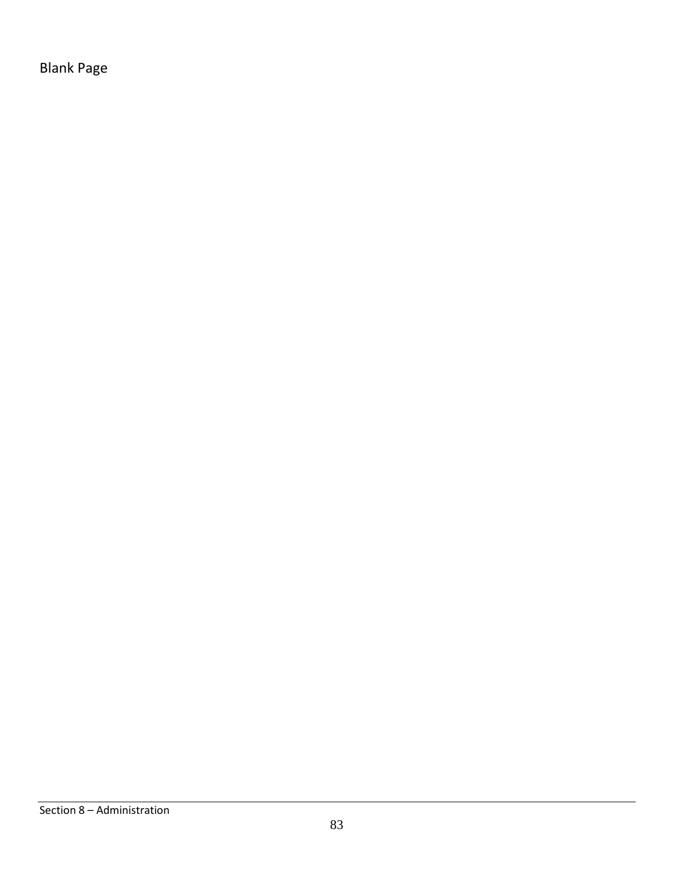Blank Page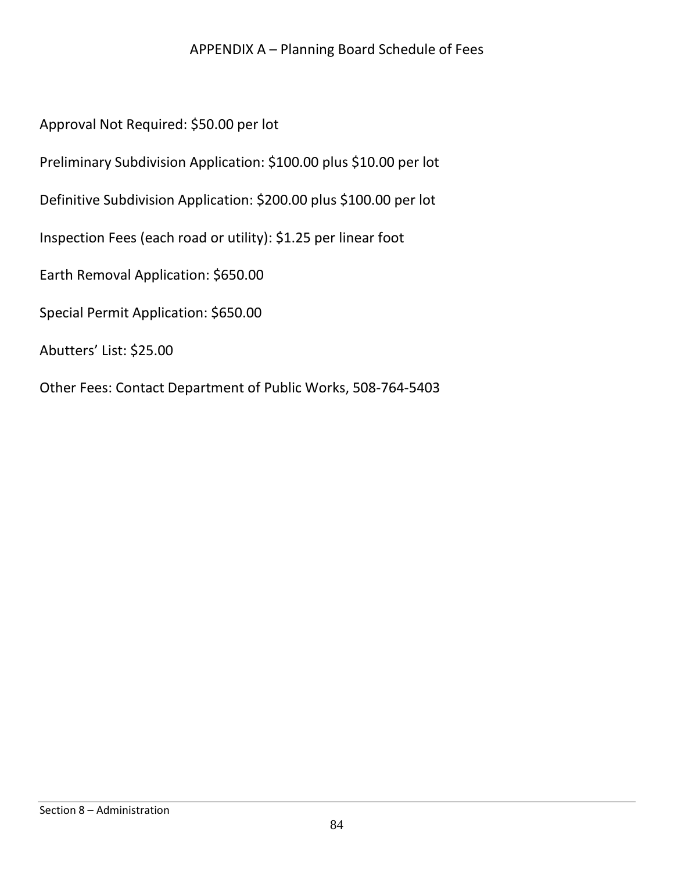Approval Not Required: \$50.00 per lot

Preliminary Subdivision Application: \$100.00 plus \$10.00 per lot

Definitive Subdivision Application: \$200.00 plus \$100.00 per lot

Inspection Fees (each road or utility): \$1.25 per linear foot

Earth Removal Application: \$650.00

Special Permit Application: \$650.00

Abutters' List: \$25.00

Other Fees: Contact Department of Public Works, 508-764-5403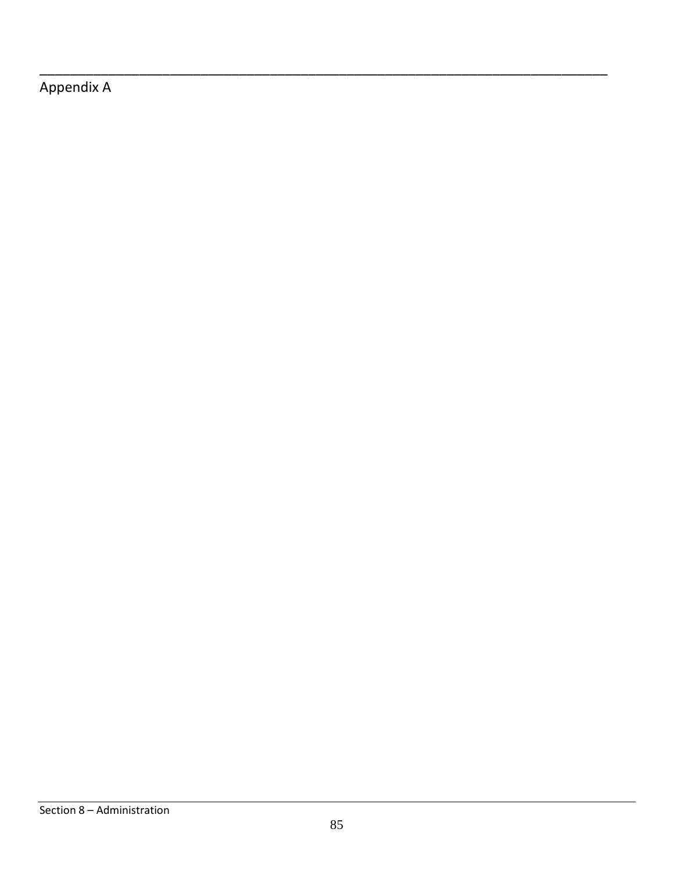Appendix A

\_\_\_\_\_\_\_\_\_\_\_\_\_\_\_\_\_\_\_\_\_\_\_\_\_\_\_\_\_\_\_\_\_\_\_\_\_\_\_\_\_\_\_\_\_\_\_\_\_\_\_\_\_\_\_\_\_\_\_\_\_\_\_\_\_\_\_\_\_\_\_\_\_\_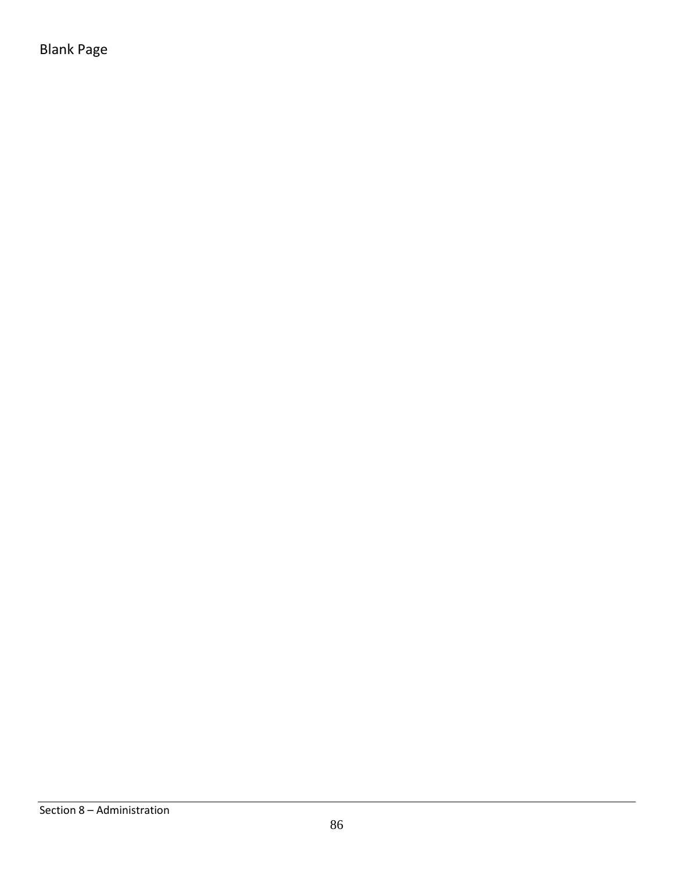Blank Page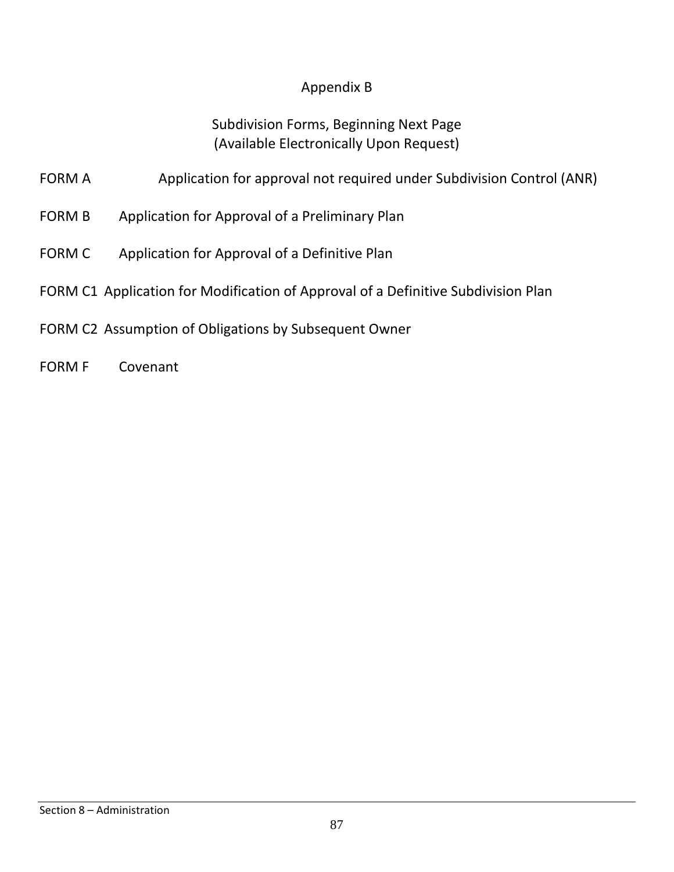## Appendix B

# Subdivision Forms, Beginning Next Page (Available Electronically Upon Request)

- FORM A Application for approval not required under Subdivision Control (ANR)
- FORM B Application for Approval of a Preliminary Plan
- FORM C Application for Approval of a Definitive Plan
- FORM C1 Application for Modification of Approval of a Definitive Subdivision Plan
- FORM C2 Assumption of Obligations by Subsequent Owner
- FORM F Covenant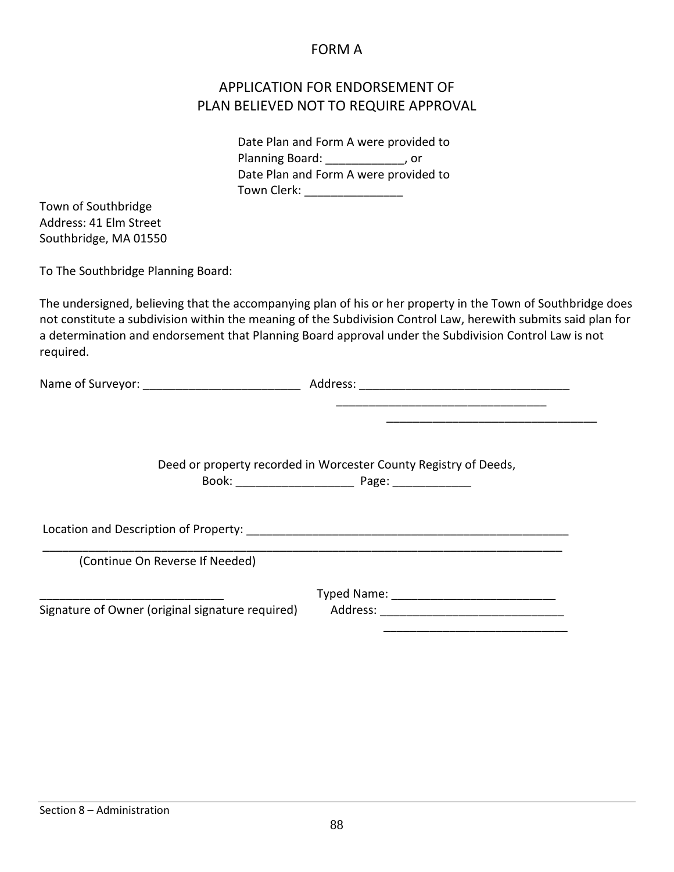#### FORM A

## APPLICATION FOR ENDORSEMENT OF PLAN BELIEVED NOT TO REQUIRE APPROVAL

| Date Plan and Form A were provided to |
|---------------------------------------|
|                                       |
| Date Plan and Form A were provided to |
|                                       |
|                                       |

Town of Southbridge Address: 41 Elm Street Southbridge, MA 01550

To The Southbridge Planning Board:

The undersigned, believing that the accompanying plan of his or her property in the Town of Southbridge does not constitute a subdivision within the meaning of the Subdivision Control Law, herewith submits said plan for a determination and endorsement that Planning Board approval under the Subdivision Control Law is not required.

|                                                  | Deed or property recorded in Worcester County Registry of Deeds, |
|--------------------------------------------------|------------------------------------------------------------------|
|                                                  |                                                                  |
|                                                  |                                                                  |
| (Continue On Reverse If Needed)                  |                                                                  |
|                                                  |                                                                  |
| Signature of Owner (original signature required) |                                                                  |
|                                                  |                                                                  |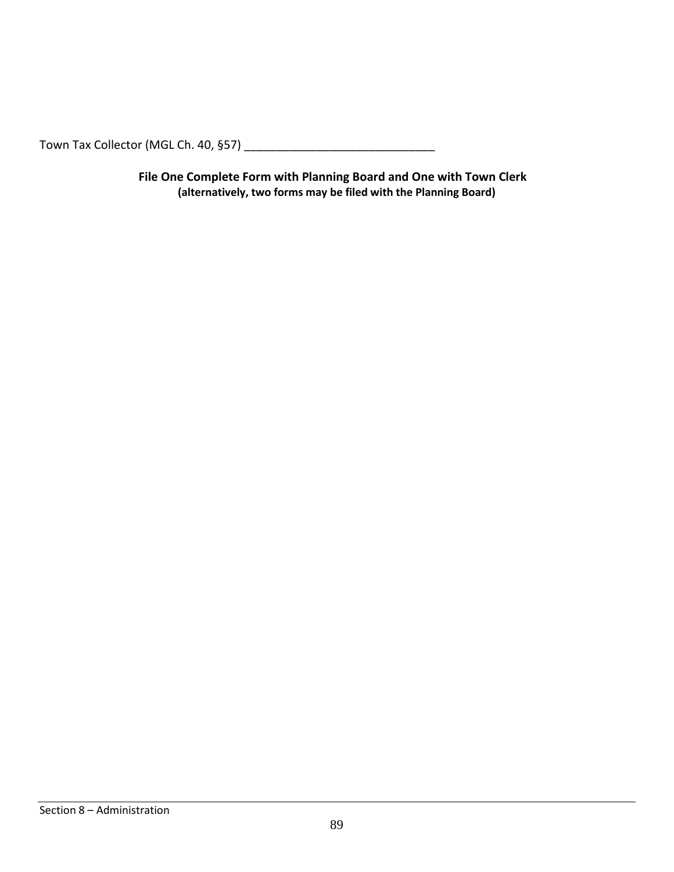Town Tax Collector (MGL Ch. 40, §57) \_\_\_\_\_\_\_\_\_\_\_\_\_\_\_\_\_\_\_\_\_\_\_\_\_\_\_\_\_

**File One Complete Form with Planning Board and One with Town Clerk (alternatively, two forms may be filed with the Planning Board)**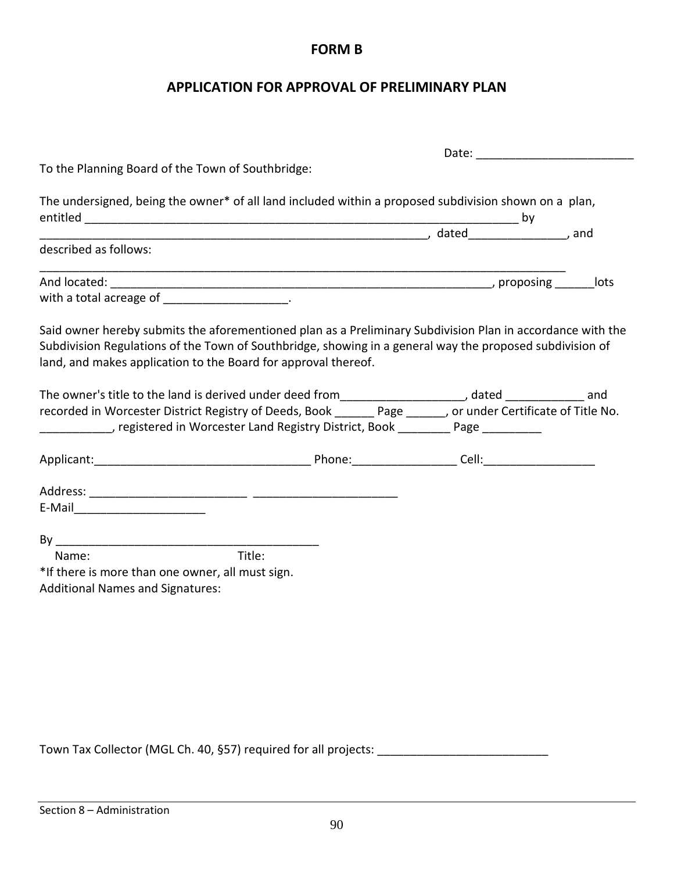#### **FORM B**

## **APPLICATION FOR APPROVAL OF PRELIMINARY PLAN**

| To the Planning Board of the Town of Southbridge:                                                                                                                                                                                                                                        |    |  |
|------------------------------------------------------------------------------------------------------------------------------------------------------------------------------------------------------------------------------------------------------------------------------------------|----|--|
| The undersigned, being the owner* of all land included within a proposed subdivision shown on a plan,                                                                                                                                                                                    | by |  |
|                                                                                                                                                                                                                                                                                          |    |  |
| described as follows:                                                                                                                                                                                                                                                                    |    |  |
|                                                                                                                                                                                                                                                                                          |    |  |
| with a total acreage of __________________.                                                                                                                                                                                                                                              |    |  |
| Said owner hereby submits the aforementioned plan as a Preliminary Subdivision Plan in accordance with the<br>Subdivision Regulations of the Town of Southbridge, showing in a general way the proposed subdivision of<br>land, and makes application to the Board for approval thereof. |    |  |
| The owner's title to the land is derived under deed from_______________________, dated ______________ and                                                                                                                                                                                |    |  |
| recorded in Worcester District Registry of Deeds, Book _______ Page ______, or under Certificate of Title No.                                                                                                                                                                            |    |  |
|                                                                                                                                                                                                                                                                                          |    |  |
|                                                                                                                                                                                                                                                                                          |    |  |
|                                                                                                                                                                                                                                                                                          |    |  |
| E-Mail ________________________                                                                                                                                                                                                                                                          |    |  |
|                                                                                                                                                                                                                                                                                          |    |  |
| Title:<br>Name:                                                                                                                                                                                                                                                                          |    |  |
| *If there is more than one owner, all must sign.                                                                                                                                                                                                                                         |    |  |
| <b>Additional Names and Signatures:</b>                                                                                                                                                                                                                                                  |    |  |
|                                                                                                                                                                                                                                                                                          |    |  |
|                                                                                                                                                                                                                                                                                          |    |  |
|                                                                                                                                                                                                                                                                                          |    |  |
|                                                                                                                                                                                                                                                                                          |    |  |
|                                                                                                                                                                                                                                                                                          |    |  |
|                                                                                                                                                                                                                                                                                          |    |  |

Town Tax Collector (MGL Ch. 40, §57) required for all projects: \_\_\_\_\_\_\_\_\_\_\_\_\_\_\_\_\_\_\_\_\_\_\_\_\_\_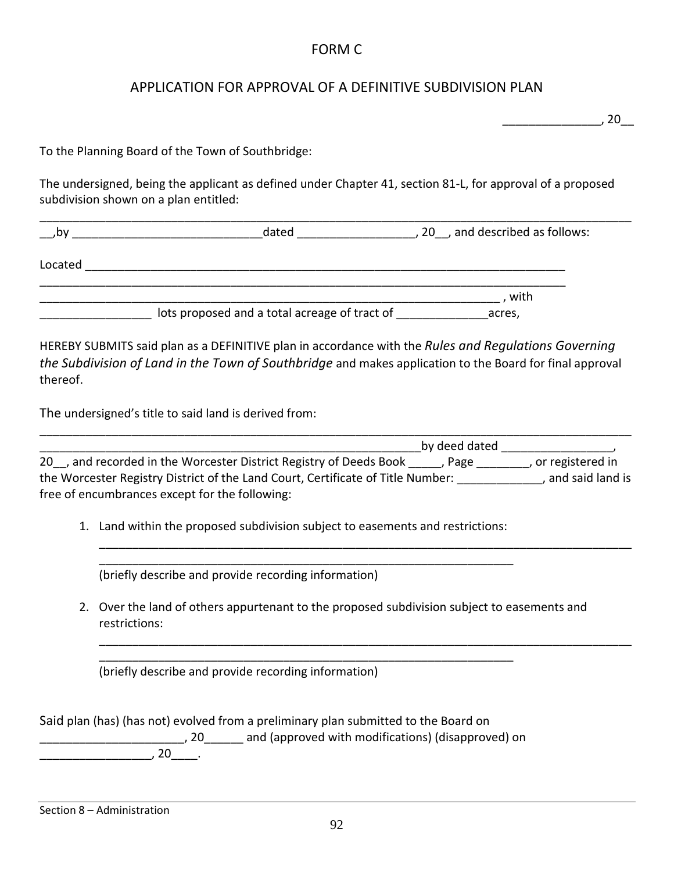#### FORM C

#### APPLICATION FOR APPROVAL OF A DEFINITIVE SUBDIVISION PLAN

\_\_\_\_\_\_\_\_\_\_\_\_\_\_\_, 20\_\_

To the Planning Board of the Town of Southbridge:

The undersigned, being the applicant as defined under Chapter 41, section 81-L, for approval of a proposed subdivision shown on a plan entitled:

| , bv    | dated                                         | 20, and described as follows: |
|---------|-----------------------------------------------|-------------------------------|
| Located |                                               |                               |
|         |                                               | with                          |
|         | lots proposed and a total acreage of tract of | acres,                        |

HEREBY SUBMITS said plan as a DEFINITIVE plan in accordance with the *Rules and Regulations Governing the Subdivision of Land in the Town of Southbridge* and makes application to the Board for final approval thereof.

The undersigned's title to said land is derived from:

|                                                                                 | by deed dated |                    |
|---------------------------------------------------------------------------------|---------------|--------------------|
| 20, and recorded in the Worcester District Registry of Deeds Book               | , Page        | , or registered in |
| the Worcester Registry District of the Land Court, Certificate of Title Number: |               | , and said land is |
| free of encumbrances except for the following:                                  |               |                    |

\_\_\_\_\_\_\_\_\_\_\_\_\_\_\_\_\_\_\_\_\_\_\_\_\_\_\_\_\_\_\_\_\_\_\_\_\_\_\_\_\_\_\_\_\_\_\_\_\_\_\_\_\_\_\_\_\_\_\_\_\_\_\_\_\_\_\_\_\_\_\_\_\_\_\_\_\_\_\_\_\_\_\_\_\_\_\_\_\_\_

1. Land within the proposed subdivision subject to easements and restrictions:

\_\_\_\_\_\_\_\_\_\_\_\_\_\_\_\_\_\_\_\_\_\_\_\_\_\_\_\_\_\_\_\_\_\_\_\_\_\_\_\_\_\_\_\_\_\_\_\_\_\_\_\_\_\_\_\_\_\_\_\_\_\_\_

\_\_\_\_\_\_\_\_\_\_\_\_\_\_\_\_\_\_\_\_\_\_\_\_\_\_\_\_\_\_\_\_\_\_\_\_\_\_\_\_\_\_\_\_\_\_\_\_\_\_\_\_\_\_\_\_\_\_\_\_\_\_\_

|  |  | (briefly describe and provide recording information) |  |
|--|--|------------------------------------------------------|--|
|  |  |                                                      |  |

2. Over the land of others appurtenant to the proposed subdivision subject to easements and restrictions:

\_\_\_\_\_\_\_\_\_\_\_\_\_\_\_\_\_\_\_\_\_\_\_\_\_\_\_\_\_\_\_\_\_\_\_\_\_\_\_\_\_\_\_\_\_\_\_\_\_\_\_\_\_\_\_\_\_\_\_\_\_\_\_\_\_\_\_\_\_\_\_\_\_\_\_\_\_\_\_\_\_

\_\_\_\_\_\_\_\_\_\_\_\_\_\_\_\_\_\_\_\_\_\_\_\_\_\_\_\_\_\_\_\_\_\_\_\_\_\_\_\_\_\_\_\_\_\_\_\_\_\_\_\_\_\_\_\_\_\_\_\_\_\_\_\_\_\_\_\_\_\_\_\_\_\_\_\_\_\_\_\_\_

(briefly describe and provide recording information)

|      | Said plan (has) (has not) evolved from a preliminary plan submitted to the Board on |
|------|-------------------------------------------------------------------------------------|
| , 20 | and (approved with modifications) (disapproved) on                                  |
| -20  |                                                                                     |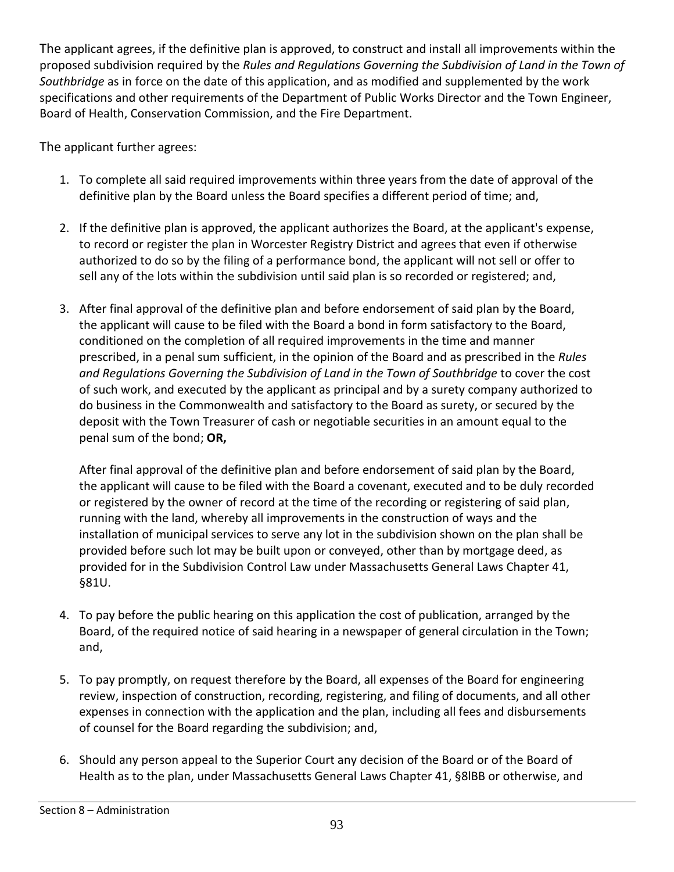The applicant agrees, if the definitive plan is approved, to construct and install all improvements within the proposed subdivision required by the *Rules and Regulations Governing the Subdivision of Land in the Town of Southbridge* as in force on the date of this application, and as modified and supplemented by the work specifications and other requirements of the Department of Public Works Director and the Town Engineer, Board of Health, Conservation Commission, and the Fire Department.

The applicant further agrees:

- 1. To complete all said required improvements within three years from the date of approval of the definitive plan by the Board unless the Board specifies a different period of time; and,
- 2. If the definitive plan is approved, the applicant authorizes the Board, at the applicant's expense, to record or register the plan in Worcester Registry District and agrees that even if otherwise authorized to do so by the filing of a performance bond, the applicant will not sell or offer to sell any of the lots within the subdivision until said plan is so recorded or registered; and,
- 3. After final approval of the definitive plan and before endorsement of said plan by the Board, the applicant will cause to be filed with the Board a bond in form satisfactory to the Board, conditioned on the completion of all required improvements in the time and manner prescribed, in a penal sum sufficient, in the opinion of the Board and as prescribed in the *Rules and Regulations Governing the Subdivision of Land in the Town of Southbridge* to cover the cost of such work, and executed by the applicant as principal and by a surety company authorized to do business in the Commonwealth and satisfactory to the Board as surety, or secured by the deposit with the Town Treasurer of cash or negotiable securities in an amount equal to the penal sum of the bond; **OR,**

After final approval of the definitive plan and before endorsement of said plan by the Board, the applicant will cause to be filed with the Board a covenant, executed and to be duly recorded or registered by the owner of record at the time of the recording or registering of said plan, running with the land, whereby all improvements in the construction of ways and the installation of municipal services to serve any lot in the subdivision shown on the plan shall be provided before such lot may be built upon or conveyed, other than by mortgage deed, as provided for in the Subdivision Control Law under Massachusetts General Laws Chapter 41, §81U.

- 4. To pay before the public hearing on this application the cost of publication, arranged by the Board, of the required notice of said hearing in a newspaper of general circulation in the Town; and,
- 5. To pay promptly, on request therefore by the Board, all expenses of the Board for engineering review, inspection of construction, recording, registering, and filing of documents, and all other expenses in connection with the application and the plan, including all fees and disbursements of counsel for the Board regarding the subdivision; and,
- 6. Should any person appeal to the Superior Court any decision of the Board or of the Board of Health as to the plan, under Massachusetts General Laws Chapter 41, §8lBB or otherwise, and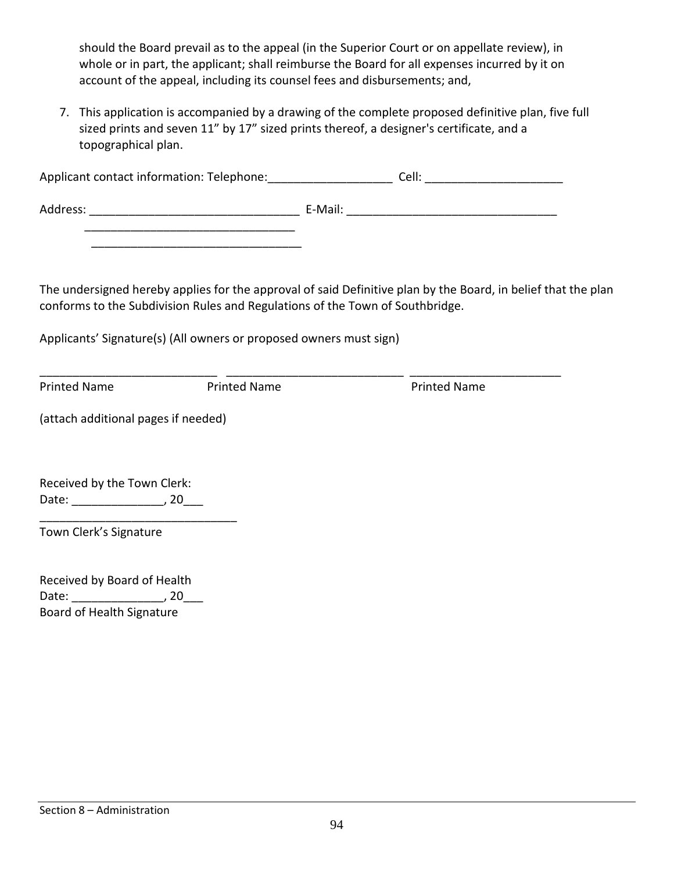should the Board prevail as to the appeal (in the Superior Court or on appellate review), in whole or in part, the applicant; shall reimburse the Board for all expenses incurred by it on account of the appeal, including its counsel fees and disbursements; and,

7. This application is accompanied by a drawing of the complete proposed definitive plan, five full sized prints and seven 11" by 17" sized prints thereof, a designer's certificate, and a topographical plan.

Applicant contact information: Telephone:\_\_\_\_\_\_\_\_\_\_\_\_\_\_\_\_\_\_\_ Cell: \_\_\_\_\_\_\_\_\_\_\_\_\_\_\_\_\_\_\_\_\_

Address: \_\_\_\_\_\_\_\_\_\_\_\_\_\_\_\_\_\_\_\_\_\_\_\_\_\_\_\_\_\_\_\_ E-Mail: \_\_\_\_\_\_\_\_\_\_\_\_\_\_\_\_\_\_\_\_\_\_\_\_\_\_\_\_\_\_\_\_

The undersigned hereby applies for the approval of said Definitive plan by the Board, in belief that the plan conforms to the Subdivision Rules and Regulations of the Town of Southbridge.

Applicants' Signature(s) (All owners or proposed owners must sign)

 \_\_\_\_\_\_\_\_\_\_\_\_\_\_\_\_\_\_\_\_\_\_\_\_\_\_\_\_\_\_\_\_ \_\_\_\_\_\_\_\_\_\_\_\_\_\_\_\_\_\_\_\_\_\_\_\_\_\_\_\_\_\_\_\_

| <b>Printed Name</b>                                      | <b>Printed Name</b> | <b>Printed Name</b> |
|----------------------------------------------------------|---------------------|---------------------|
| (attach additional pages if needed)                      |                     |                     |
| Received by the Town Clerk:<br>Date: 20                  |                     |                     |
| Town Clerk's Signature                                   |                     |                     |
| Received by Board of Health<br>Board of Health Signature |                     |                     |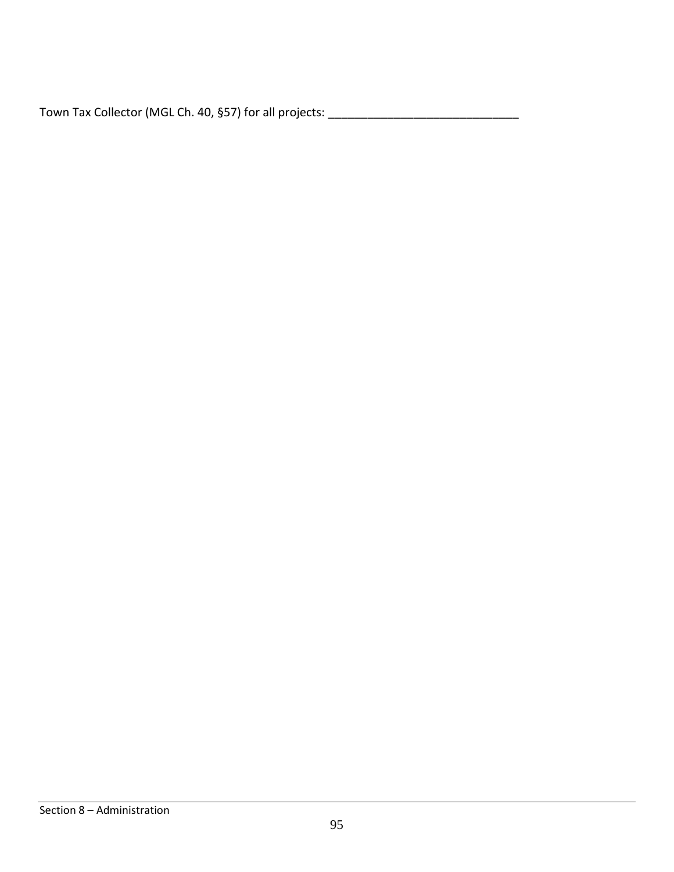Town Tax Collector (MGL Ch. 40, §57) for all projects: \_\_\_\_\_\_\_\_\_\_\_\_\_\_\_\_\_\_\_\_\_\_\_\_\_\_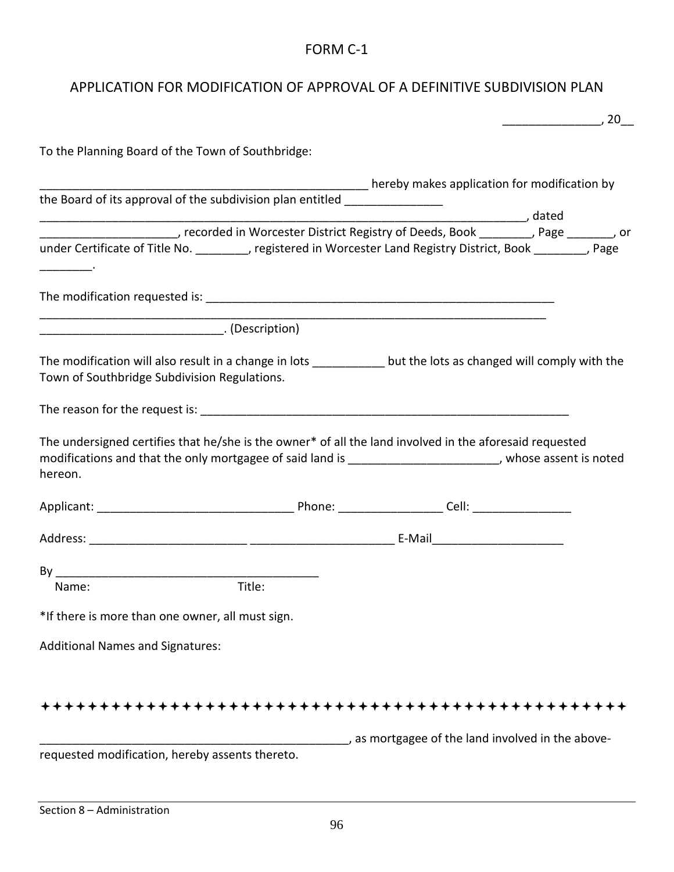#### FORM C-1

# APPLICATION FOR MODIFICATION OF APPROVAL OF A DEFINITIVE SUBDIVISION PLAN

| To the Planning Board of the Town of Southbridge: |                                                                                  |                                                                                                                                                                                                                      |  |
|---------------------------------------------------|----------------------------------------------------------------------------------|----------------------------------------------------------------------------------------------------------------------------------------------------------------------------------------------------------------------|--|
|                                                   |                                                                                  | <b>The Contract Control of the Contract Control Control Control Control Control Control Control Control Control C</b>                                                                                                |  |
|                                                   | the Board of its approval of the subdivision plan entitled _____________________ |                                                                                                                                                                                                                      |  |
|                                                   |                                                                                  |                                                                                                                                                                                                                      |  |
|                                                   |                                                                                  | ___________________________, recorded in Worcester District Registry of Deeds, Book _________, Page _________, or                                                                                                    |  |
|                                                   |                                                                                  | under Certificate of Title No. ________, registered in Worcester Land Registry District, Book ______, Page                                                                                                           |  |
|                                                   |                                                                                  |                                                                                                                                                                                                                      |  |
|                                                   |                                                                                  |                                                                                                                                                                                                                      |  |
| Town of Southbridge Subdivision Regulations.      |                                                                                  | The modification will also result in a change in lots __________ but the lots as changed will comply with the                                                                                                        |  |
|                                                   |                                                                                  |                                                                                                                                                                                                                      |  |
| hereon.                                           |                                                                                  | The undersigned certifies that he/she is the owner* of all the land involved in the aforesaid requested<br>modifications and that the only mortgagee of said land is ________________________, whose assent is noted |  |
|                                                   |                                                                                  |                                                                                                                                                                                                                      |  |
|                                                   |                                                                                  |                                                                                                                                                                                                                      |  |
|                                                   |                                                                                  |                                                                                                                                                                                                                      |  |
| Name:                                             | Title:                                                                           |                                                                                                                                                                                                                      |  |
| *If there is more than one owner, all must sign.  |                                                                                  |                                                                                                                                                                                                                      |  |
| <b>Additional Names and Signatures:</b>           |                                                                                  |                                                                                                                                                                                                                      |  |
|                                                   |                                                                                  |                                                                                                                                                                                                                      |  |
|                                                   |                                                                                  | , as mortgagee of the land involved in the above-                                                                                                                                                                    |  |
| requested modification, hereby assents thereto.   |                                                                                  |                                                                                                                                                                                                                      |  |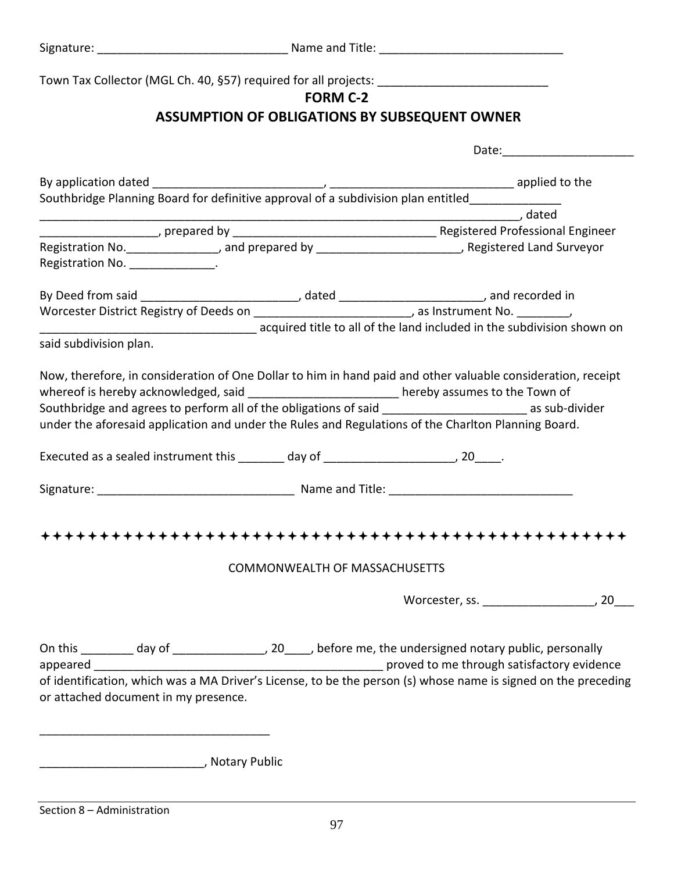|  | Signature: |  |  |  |
|--|------------|--|--|--|
|  |            |  |  |  |
|  |            |  |  |  |

Town Tax Collector (MGL Ch. 40, §57) required for all projects: \_\_\_\_\_\_\_\_\_\_\_\_\_\_\_\_\_\_\_\_\_\_\_\_\_\_

#### **FORM C-2**

## **ASSUMPTION OF OBLIGATIONS BY SUBSEQUENT OWNER**

|                                      |                                                                                                                                                                                                       | Date: the contract of the contract of the contract of the contract of the contract of the contract of the contract of the contract of the contract of the contract of the contract of the contract of the contract of the cont |  |  |
|--------------------------------------|-------------------------------------------------------------------------------------------------------------------------------------------------------------------------------------------------------|--------------------------------------------------------------------------------------------------------------------------------------------------------------------------------------------------------------------------------|--|--|
|                                      |                                                                                                                                                                                                       |                                                                                                                                                                                                                                |  |  |
|                                      |                                                                                                                                                                                                       |                                                                                                                                                                                                                                |  |  |
|                                      |                                                                                                                                                                                                       |                                                                                                                                                                                                                                |  |  |
|                                      |                                                                                                                                                                                                       | Later and Registered Professional Engineer (1996) and Dividing Later and Dividing Later and Dividing Professional Engineer                                                                                                     |  |  |
|                                      |                                                                                                                                                                                                       | Registration No._________________, and prepared by __________________________, Registered Land Surveyor                                                                                                                        |  |  |
| Registration No. 1999.               |                                                                                                                                                                                                       |                                                                                                                                                                                                                                |  |  |
|                                      |                                                                                                                                                                                                       |                                                                                                                                                                                                                                |  |  |
|                                      |                                                                                                                                                                                                       |                                                                                                                                                                                                                                |  |  |
|                                      |                                                                                                                                                                                                       | acquired title to all of the land included in the subdivision shown on an acquired title to all of the land included in the subdivision shown on                                                                               |  |  |
| said subdivision plan.               |                                                                                                                                                                                                       |                                                                                                                                                                                                                                |  |  |
|                                      | whereof is hereby acknowledged, said ___________________________ hereby assumes to the Town of<br>under the aforesaid application and under the Rules and Regulations of the Charlton Planning Board. | Now, therefore, in consideration of One Dollar to him in hand paid and other valuable consideration, receipt<br>Southbridge and agrees to perform all of the obligations of said __________________________ as sub-divider     |  |  |
|                                      | Executed as a sealed instrument this _______ day of __________________________, 20_____.                                                                                                              |                                                                                                                                                                                                                                |  |  |
|                                      |                                                                                                                                                                                                       |                                                                                                                                                                                                                                |  |  |
|                                      |                                                                                                                                                                                                       |                                                                                                                                                                                                                                |  |  |
|                                      | <b>COMMONWEALTH OF MASSACHUSETTS</b>                                                                                                                                                                  |                                                                                                                                                                                                                                |  |  |
|                                      |                                                                                                                                                                                                       |                                                                                                                                                                                                                                |  |  |
| or attached document in my presence. |                                                                                                                                                                                                       | of identification, which was a MA Driver's License, to be the person (s) whose name is signed on the preceding                                                                                                                 |  |  |
|                                      | , Notary Public                                                                                                                                                                                       |                                                                                                                                                                                                                                |  |  |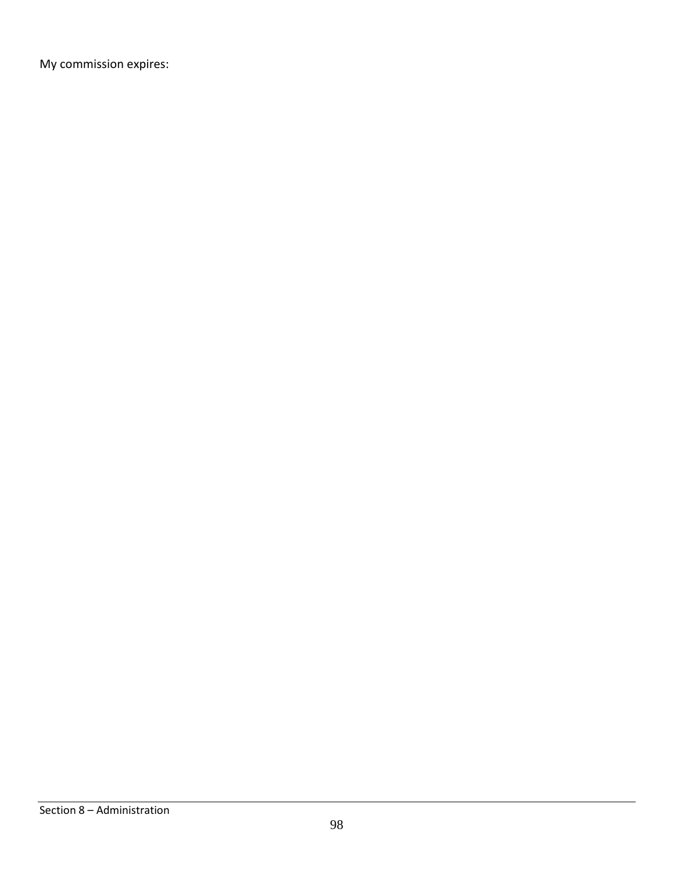My commission expires: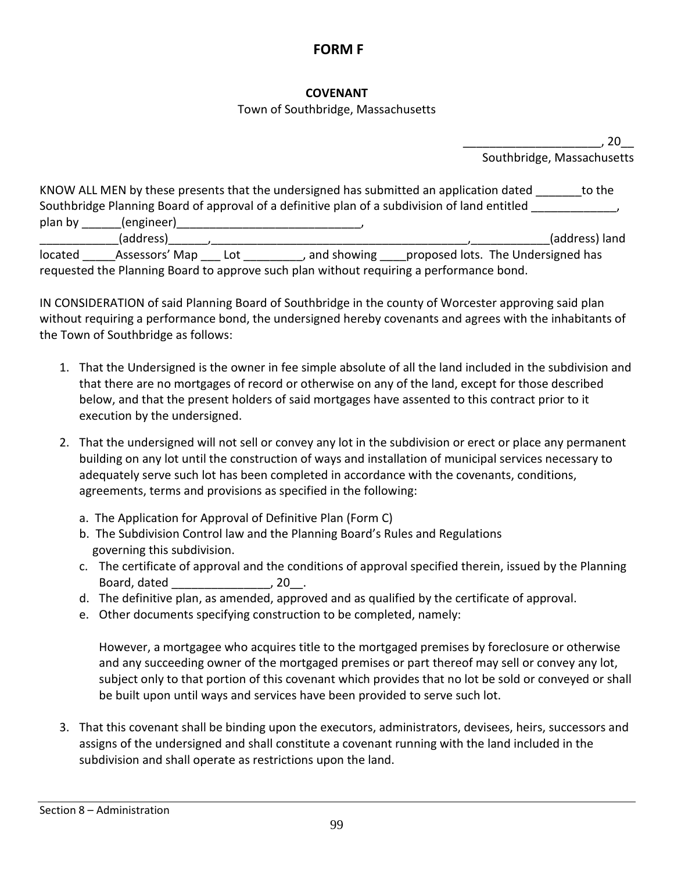## **FORM F**

#### **COVENANT**

Town of Southbridge, Massachusetts

\_\_\_\_\_\_\_\_\_\_\_\_\_\_\_\_\_\_\_\_\_, 20\_\_ Southbridge, Massachusetts

| KNOW ALL MEN by these presents that the undersigned has submitted an application dated<br>to the |                                                                                               |  |  |                                                |  |                |
|--------------------------------------------------------------------------------------------------|-----------------------------------------------------------------------------------------------|--|--|------------------------------------------------|--|----------------|
|                                                                                                  | Southbridge Planning Board of approval of a definitive plan of a subdivision of land entitled |  |  |                                                |  |                |
| plan by                                                                                          | (engineer)                                                                                    |  |  |                                                |  |                |
|                                                                                                  | (address)                                                                                     |  |  |                                                |  | (address) land |
| located                                                                                          | Assessors' Map Lot                                                                            |  |  | and showing proposed lots. The Undersigned has |  |                |
|                                                                                                  | requested the Planning Board to approve such plan without requiring a performance bond.       |  |  |                                                |  |                |

IN CONSIDERATION of said Planning Board of Southbridge in the county of Worcester approving said plan without requiring a performance bond, the undersigned hereby covenants and agrees with the inhabitants of the Town of Southbridge as follows:

- 1. That the Undersigned is the owner in fee simple absolute of all the land included in the subdivision and that there are no mortgages of record or otherwise on any of the land, except for those described below, and that the present holders of said mortgages have assented to this contract prior to it execution by the undersigned.
- 2. That the undersigned will not sell or convey any lot in the subdivision or erect or place any permanent building on any lot until the construction of ways and installation of municipal services necessary to adequately serve such lot has been completed in accordance with the covenants, conditions, agreements, terms and provisions as specified in the following:
	- a. The Application for Approval of Definitive Plan (Form C)
	- b. The Subdivision Control law and the Planning Board's Rules and Regulations governing this subdivision.
	- c. The certificate of approval and the conditions of approval specified therein, issued by the Planning Board, dated 5.20 and 5.20 and 5.20 and 5.20 and 5.20 and 5.20 and 5.20 and 5.20 and 5.20 and 5.20 and 5.20 and 5.20 and 5.20 and 5.20 and 5.20 and 5.20 and 5.20 and 5.20 and 5.20 and 5.20 and 5.20 and 5.20 and 5.20 and 5.
	- d. The definitive plan, as amended, approved and as qualified by the certificate of approval.
	- e. Other documents specifying construction to be completed, namely:

However, a mortgagee who acquires title to the mortgaged premises by foreclosure or otherwise and any succeeding owner of the mortgaged premises or part thereof may sell or convey any lot, subject only to that portion of this covenant which provides that no lot be sold or conveyed or shall be built upon until ways and services have been provided to serve such lot.

3. That this covenant shall be binding upon the executors, administrators, devisees, heirs, successors and assigns of the undersigned and shall constitute a covenant running with the land included in the subdivision and shall operate as restrictions upon the land.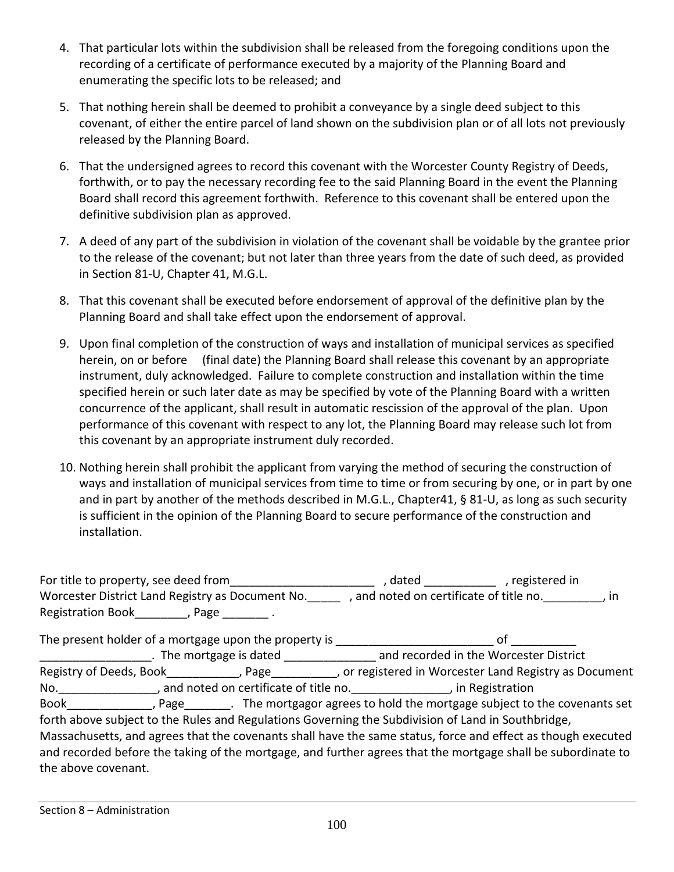- 4. That particular lots within the subdivision shall be released from the foregoing conditions upon the recording of a certificate of performance executed by a majority of the Planning Board and enumerating the specific lots to be released; and
- 5. That nothing herein shall be deemed to prohibit a conveyance by a single deed subject to this covenant, of either the entire parcel of land shown on the subdivision plan or of all lots not previously released by the Planning Board.
- 6. That the undersigned agrees to record this covenant with the Worcester County Registry of Deeds, forthwith, or to pay the necessary recording fee to the said Planning Board in the event the Planning Board shall record this agreement forthwith. Reference to this covenant shall be entered upon the definitive subdivision plan as approved.
- 7. A deed of any part of the subdivision in violation of the covenant shall be voidable by the grantee prior to the release of the covenant; but not later than three years from the date of such deed, as provided in Section 81-U, Chapter 41, M.G.L.
- 8. That this covenant shall be executed before endorsement of approval of the definitive plan by the Planning Board and shall take effect upon the endorsement of approval.
- 9. Upon final completion of the construction of ways and installation of municipal services as specified herein, on or before (final date) the Planning Board shall release this covenant by an appropriate instrument, duly acknowledged. Failure to complete construction and installation within the time specified herein or such later date as may be specified by vote of the Planning Board with a written concurrence of the applicant, shall result in automatic rescission of the approval of the plan. Upon performance of this covenant with respect to any lot, the Planning Board may release such lot from this covenant by an appropriate instrument duly recorded.
- 10. Nothing herein shall prohibit the applicant from varying the method of securing the construction of ways and installation of municipal services from time to time or from securing by one, or in part by one and in part by another of the methods described in M.G.L., Chapter41, § 81-U, as long as such security is sufficient in the opinion of the Planning Board to secure performance of the construction and installation.

For title to property, see deed from\_\_\_\_\_\_\_\_\_\_\_\_\_\_\_\_\_\_\_\_\_\_ , dated \_\_\_\_\_\_\_\_\_\_\_ , registered in Worcester District Land Registry as Document No. \_\_\_\_\_\_ , and noted on certificate of title no. \_\_\_\_\_\_\_\_\_, in Registration Book \_\_\_\_\_\_\_\_, Page \_\_\_\_\_\_\_\_\_. The present holder of a mortgage upon the property is \_\_\_\_\_\_\_\_\_\_\_\_\_\_\_\_\_\_\_\_\_\_\_\_ of \_\_\_\_\_\_\_\_\_\_ **\_\_\_\_\_\_\_\_\_\_\_\_\_\_\_\_\_\_\_\_**. The mortgage is dated \_\_\_\_\_\_\_\_\_\_\_\_\_\_\_\_\_\_ and recorded in the Worcester District Registry of Deeds, Book\_\_\_\_\_\_\_\_\_\_, Page\_\_\_\_\_\_\_\_\_, or registered in Worcester Land Registry as Document No.\_\_\_\_\_\_\_\_\_\_\_\_\_\_\_\_, and noted on certificate of title no.\_\_\_\_\_\_\_\_\_\_\_\_\_\_\_\_, in Registration Book \_\_\_\_\_\_\_\_\_, Page\_\_\_\_\_\_\_\_. The mortgagor agrees to hold the mortgage subject to the covenants set forth above subject to the Rules and Regulations Governing the Subdivision of Land in Southbridge, Massachusetts, and agrees that the covenants shall have the same status, force and effect as though executed and recorded before the taking of the mortgage, and further agrees that the mortgage shall be subordinate to the above covenant.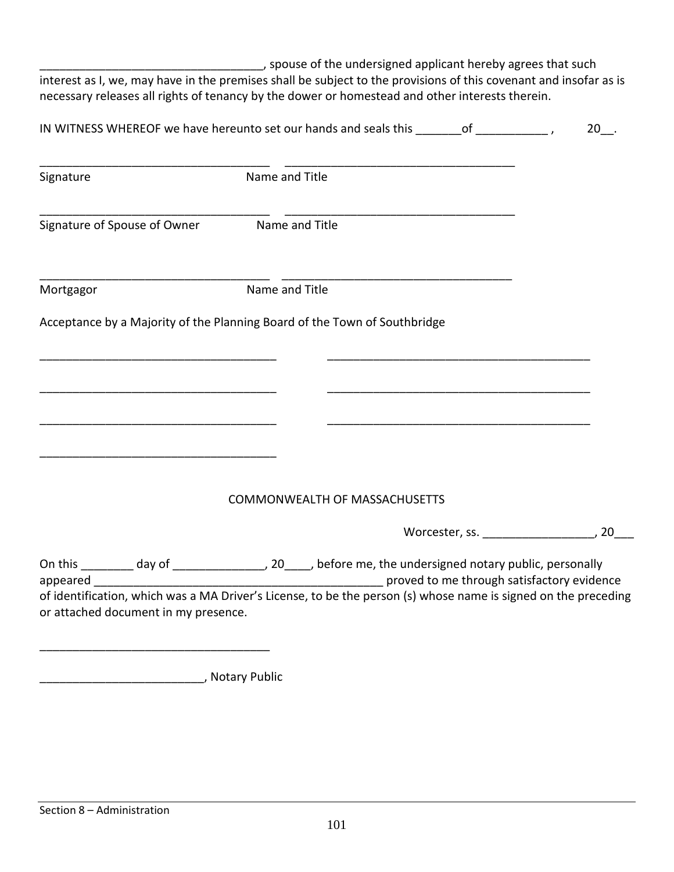$\Box$ , spouse of the undersigned applicant hereby agrees that such interest as I, we, may have in the premises shall be subject to the provisions of this covenant and insofar as is necessary releases all rights of tenancy by the dower or homestead and other interests therein.

|                                      | IN WITNESS WHEREOF we have hereunto set our hands and seals this of                                                                                                                                            | 20. |
|--------------------------------------|----------------------------------------------------------------------------------------------------------------------------------------------------------------------------------------------------------------|-----|
| Signature                            | Name and Title                                                                                                                                                                                                 |     |
|                                      | Signature of Spouse of Owner Name and Title                                                                                                                                                                    |     |
| Mortgagor                            | Name and Title                                                                                                                                                                                                 |     |
|                                      | Acceptance by a Majority of the Planning Board of the Town of Southbridge                                                                                                                                      |     |
|                                      |                                                                                                                                                                                                                |     |
|                                      |                                                                                                                                                                                                                |     |
|                                      |                                                                                                                                                                                                                |     |
|                                      | COMMONWEALTH OF MASSACHUSETTS                                                                                                                                                                                  |     |
|                                      | Worcester, ss. _______                                                                                                                                                                                         | 20  |
| appeared                             | On this _________ day of _________________, 20_____, before me, the undersigned notary public, personally<br>groved to me through satisfactory evidence example and proved to me through satisfactory evidence |     |
| or attached document in my presence. | of identification, which was a MA Driver's License, to be the person (s) whose name is signed on the preceding                                                                                                 |     |
|                                      |                                                                                                                                                                                                                |     |

\_\_\_\_\_\_\_\_\_\_\_\_\_\_\_\_\_\_\_\_\_\_\_\_\_, Notary Public